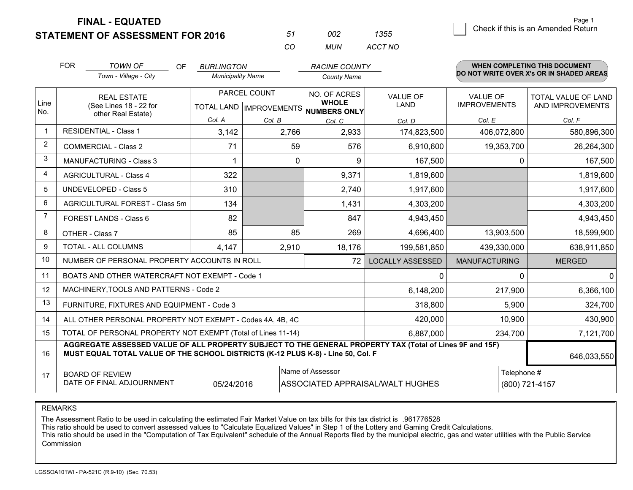**STATEMENT OF ASSESSMENT FOR 2016** 

| 51 | nnə | 1355    |
|----|-----|---------|
| ΩO | MUN | ACCT NO |

|                | <b>FOR</b>                                                                                                                                                                                   | <b>TOWN OF</b><br><b>OF</b><br>Town - Village - City      | <b>BURLINGTON</b><br><b>Municipality Name</b> |                                                     | <b>RACINE COUNTY</b> |                         |                      | <b>WHEN COMPLETING THIS DOCUMENT</b><br>DO NOT WRITE OVER X's OR IN SHADED AREAS |
|----------------|----------------------------------------------------------------------------------------------------------------------------------------------------------------------------------------------|-----------------------------------------------------------|-----------------------------------------------|-----------------------------------------------------|----------------------|-------------------------|----------------------|----------------------------------------------------------------------------------|
|                |                                                                                                                                                                                              |                                                           |                                               |                                                     | <b>County Name</b>   |                         |                      |                                                                                  |
|                |                                                                                                                                                                                              | <b>REAL ESTATE</b>                                        |                                               | PARCEL COUNT                                        | NO. OF ACRES         | <b>VALUE OF</b>         | <b>VALUE OF</b>      | TOTAL VALUE OF LAND                                                              |
| Line<br>No.    | (See Lines 18 - 22 for<br>other Real Estate)                                                                                                                                                 |                                                           |                                               | <b>WHOLE</b><br>TOTAL LAND MPROVEMENTS NUMBERS ONLY | <b>LAND</b>          | <b>IMPROVEMENTS</b>     | AND IMPROVEMENTS     |                                                                                  |
|                |                                                                                                                                                                                              |                                                           | Col. A                                        | Col. B                                              | Col. C               | Col. D                  | Col. E               | Col. F                                                                           |
|                |                                                                                                                                                                                              | <b>RESIDENTIAL - Class 1</b>                              | 3,142                                         | 2,766                                               | 2,933                | 174,823,500             | 406,072,800          | 580,896,300                                                                      |
| 2              |                                                                                                                                                                                              | <b>COMMERCIAL - Class 2</b>                               | 71                                            | 59                                                  | 576                  | 6,910,600               | 19,353,700           | 26,264,300                                                                       |
| 3              |                                                                                                                                                                                              | <b>MANUFACTURING - Class 3</b>                            | -1                                            | 0                                                   | 9                    | 167,500                 | $\Omega$             | 167,500                                                                          |
| 4              |                                                                                                                                                                                              | <b>AGRICULTURAL - Class 4</b>                             | 322                                           |                                                     | 9,371                | 1,819,600               |                      | 1,819,600                                                                        |
| 5              |                                                                                                                                                                                              | <b>UNDEVELOPED - Class 5</b>                              | 310                                           |                                                     | 2,740                | 1,917,600               |                      | 1,917,600                                                                        |
| 6              |                                                                                                                                                                                              | AGRICULTURAL FOREST - Class 5m                            | 134                                           |                                                     | 1,431                | 4,303,200               |                      | 4,303,200                                                                        |
| $\overline{7}$ |                                                                                                                                                                                              | FOREST LANDS - Class 6                                    | 82                                            |                                                     | 847                  | 4,943,450               |                      | 4,943,450                                                                        |
| 8              |                                                                                                                                                                                              | OTHER - Class 7                                           | 85                                            | 85                                                  | 269                  | 4,696,400               | 13,903,500           | 18,599,900                                                                       |
| 9              |                                                                                                                                                                                              | TOTAL - ALL COLUMNS                                       | 4,147                                         | 2,910                                               | 18,176               | 199,581,850             | 439,330,000          | 638,911,850                                                                      |
| 10             |                                                                                                                                                                                              | NUMBER OF PERSONAL PROPERTY ACCOUNTS IN ROLL              |                                               |                                                     | 72                   | <b>LOCALLY ASSESSED</b> | <b>MANUFACTURING</b> | <b>MERGED</b>                                                                    |
| 11             |                                                                                                                                                                                              | BOATS AND OTHER WATERCRAFT NOT EXEMPT - Code 1            |                                               |                                                     |                      | 0                       | $\Omega$             | 0                                                                                |
| 12             |                                                                                                                                                                                              | MACHINERY, TOOLS AND PATTERNS - Code 2                    |                                               |                                                     |                      | 6,148,200               | 217,900              | 6,366,100                                                                        |
| 13             |                                                                                                                                                                                              | FURNITURE, FIXTURES AND EQUIPMENT - Code 3                |                                               |                                                     |                      | 318,800                 | 5,900                | 324,700                                                                          |
| 14             |                                                                                                                                                                                              | ALL OTHER PERSONAL PROPERTY NOT EXEMPT - Codes 4A, 4B, 4C |                                               |                                                     |                      | 420,000                 | 10,900               | 430,900                                                                          |
| 15             | TOTAL OF PERSONAL PROPERTY NOT EXEMPT (Total of Lines 11-14)                                                                                                                                 |                                                           |                                               |                                                     |                      |                         | 234,700              | 7,121,700                                                                        |
| 16             | AGGREGATE ASSESSED VALUE OF ALL PROPERTY SUBJECT TO THE GENERAL PROPERTY TAX (Total of Lines 9F and 15F)<br>MUST EQUAL TOTAL VALUE OF THE SCHOOL DISTRICTS (K-12 PLUS K-8) - Line 50, Col. F |                                                           |                                               |                                                     |                      | 646,033,550             |                      |                                                                                  |
| 17             |                                                                                                                                                                                              | <b>BOARD OF REVIEW</b>                                    |                                               |                                                     | Name of Assessor     |                         | Telephone #          |                                                                                  |
|                | DATE OF FINAL ADJOURNMENT<br>05/24/2016<br>ASSOCIATED APPRAISAL/WALT HUGHES<br>(800) 721-4157                                                                                                |                                                           |                                               |                                                     |                      |                         |                      |                                                                                  |

REMARKS

The Assessment Ratio to be used in calculating the estimated Fair Market Value on tax bills for this tax district is .961776528<br>This ratio should be used to convert assessed values to "Calculate Equalized Values" in Step 1 Commission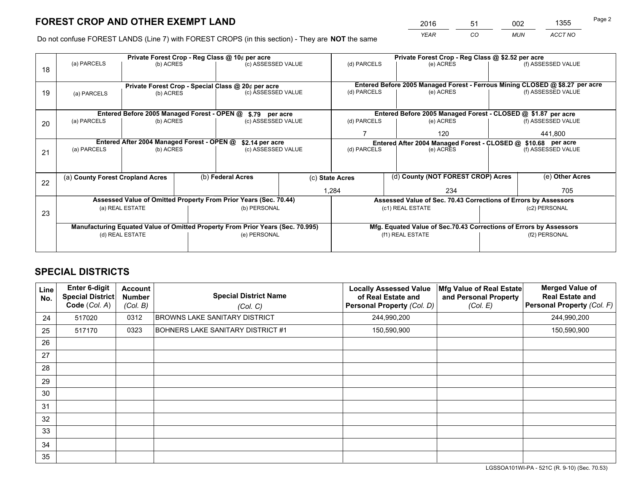*YEAR CO MUN ACCT NO* <sup>2016</sup> <sup>51</sup> <sup>002</sup> <sup>1355</sup>

Do not confuse FOREST LANDS (Line 7) with FOREST CROPS (in this section) - They are **NOT** the same

|    | Private Forest Crop - Reg Class @ 10¢ per acre                                 |                                             |  |                                                                  |  |                          | Private Forest Crop - Reg Class @ \$2.52 per acre                            |                                                                    |               |                    |
|----|--------------------------------------------------------------------------------|---------------------------------------------|--|------------------------------------------------------------------|--|--------------------------|------------------------------------------------------------------------------|--------------------------------------------------------------------|---------------|--------------------|
| 18 | (a) PARCELS                                                                    | (b) ACRES                                   |  | (c) ASSESSED VALUE                                               |  | (d) PARCELS              |                                                                              | (e) ACRES                                                          |               | (f) ASSESSED VALUE |
|    |                                                                                |                                             |  |                                                                  |  |                          |                                                                              |                                                                    |               |                    |
|    |                                                                                |                                             |  | Private Forest Crop - Special Class @ 20¢ per acre               |  |                          | Entered Before 2005 Managed Forest - Ferrous Mining CLOSED @ \$8.27 per acre |                                                                    |               |                    |
| 19 | (a) PARCELS                                                                    | (b) ACRES                                   |  | (c) ASSESSED VALUE                                               |  | (d) PARCELS              |                                                                              | (e) ACRES                                                          |               | (f) ASSESSED VALUE |
|    |                                                                                |                                             |  |                                                                  |  |                          |                                                                              |                                                                    |               |                    |
|    |                                                                                | Entered Before 2005 Managed Forest - OPEN @ |  | \$.79 per acre                                                   |  |                          |                                                                              | Entered Before 2005 Managed Forest - CLOSED @ \$1.87 per acre      |               |                    |
| 20 | (a) PARCELS                                                                    | (b) ACRES                                   |  | (c) ASSESSED VALUE                                               |  | (d) PARCELS              |                                                                              | (e) ACRES                                                          |               | (f) ASSESSED VALUE |
|    |                                                                                |                                             |  |                                                                  |  |                          |                                                                              | 120                                                                | 441,800       |                    |
|    | Entered After 2004 Managed Forest - OPEN @<br>\$2.14 per acre                  |                                             |  |                                                                  |  |                          | Entered After 2004 Managed Forest - CLOSED @ \$10.68 per acre                |                                                                    |               |                    |
| 21 | (a) PARCELS                                                                    | (b) ACRES                                   |  | (c) ASSESSED VALUE                                               |  | (d) PARCELS<br>(e) ACRES |                                                                              | (f) ASSESSED VALUE                                                 |               |                    |
|    |                                                                                |                                             |  |                                                                  |  |                          |                                                                              |                                                                    |               |                    |
|    | (a) County Forest Cropland Acres                                               |                                             |  | (b) Federal Acres                                                |  | (c) State Acres          |                                                                              | (d) County (NOT FOREST CROP) Acres                                 |               | (e) Other Acres    |
| 22 |                                                                                |                                             |  |                                                                  |  | 1,284                    |                                                                              | 234                                                                |               | 705                |
|    |                                                                                |                                             |  | Assessed Value of Omitted Property From Prior Years (Sec. 70.44) |  |                          |                                                                              | Assessed Value of Sec. 70.43 Corrections of Errors by Assessors    |               |                    |
|    |                                                                                | (a) REAL ESTATE                             |  | (b) PERSONAL                                                     |  |                          |                                                                              | (c1) REAL ESTATE                                                   |               | (c2) PERSONAL      |
| 23 |                                                                                |                                             |  |                                                                  |  |                          |                                                                              |                                                                    |               |                    |
|    | Manufacturing Equated Value of Omitted Property From Prior Years (Sec. 70.995) |                                             |  |                                                                  |  |                          |                                                                              | Mfg. Equated Value of Sec.70.43 Corrections of Errors by Assessors |               |                    |
|    | (d) REAL ESTATE                                                                |                                             |  | (e) PERSONAL                                                     |  | (f1) REAL ESTATE         |                                                                              |                                                                    | (f2) PERSONAL |                    |
|    |                                                                                |                                             |  |                                                                  |  |                          |                                                                              |                                                                    |               |                    |

## **SPECIAL DISTRICTS**

| Line<br>No. | <b>Enter 6-digit</b><br>Special District<br>Code (Col. A) | Account<br><b>Number</b><br>(Col. B) | <b>Special District Name</b><br>(Col. C) | <b>Locally Assessed Value</b><br>of Real Estate and<br><b>Personal Property (Col. D)</b> | Mfg Value of Real Estate<br>and Personal Property<br>(Col. E) | <b>Merged Value of</b><br><b>Real Estate and</b><br>Personal Property (Col. F) |
|-------------|-----------------------------------------------------------|--------------------------------------|------------------------------------------|------------------------------------------------------------------------------------------|---------------------------------------------------------------|--------------------------------------------------------------------------------|
| 24          | 517020                                                    | 0312                                 | BROWNS LAKE SANITARY DISTRICT            | 244,990,200                                                                              |                                                               | 244,990,200                                                                    |
| 25          | 517170                                                    | 0323                                 | BOHNERS LAKE SANITARY DISTRICT #1        | 150,590,900                                                                              |                                                               | 150,590,900                                                                    |
| 26          |                                                           |                                      |                                          |                                                                                          |                                                               |                                                                                |
| 27          |                                                           |                                      |                                          |                                                                                          |                                                               |                                                                                |
| 28          |                                                           |                                      |                                          |                                                                                          |                                                               |                                                                                |
| 29          |                                                           |                                      |                                          |                                                                                          |                                                               |                                                                                |
| 30          |                                                           |                                      |                                          |                                                                                          |                                                               |                                                                                |
| 31          |                                                           |                                      |                                          |                                                                                          |                                                               |                                                                                |
| 32          |                                                           |                                      |                                          |                                                                                          |                                                               |                                                                                |
| 33          |                                                           |                                      |                                          |                                                                                          |                                                               |                                                                                |
| 34          |                                                           |                                      |                                          |                                                                                          |                                                               |                                                                                |
| 35          |                                                           |                                      |                                          |                                                                                          |                                                               |                                                                                |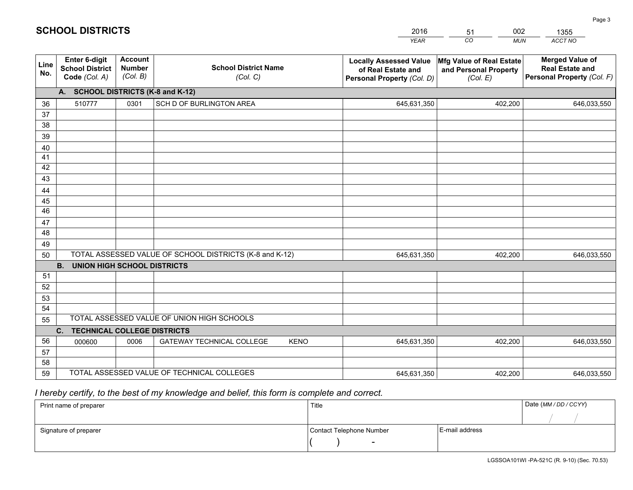|                       |                                                                 |                                             |                                                         | <b>YEAR</b>                                                                       | CO<br><b>MUN</b>                                              | ACCT NO                                                                        |
|-----------------------|-----------------------------------------------------------------|---------------------------------------------|---------------------------------------------------------|-----------------------------------------------------------------------------------|---------------------------------------------------------------|--------------------------------------------------------------------------------|
| Line<br>No.           | <b>Enter 6-digit</b><br><b>School District</b><br>Code (Col. A) | <b>Account</b><br><b>Number</b><br>(Col. B) | <b>School District Name</b><br>(Col. C)                 | <b>Locally Assessed Value</b><br>of Real Estate and<br>Personal Property (Col. D) | Mfg Value of Real Estate<br>and Personal Property<br>(Col. E) | <b>Merged Value of</b><br><b>Real Estate and</b><br>Personal Property (Col. F) |
|                       | A. SCHOOL DISTRICTS (K-8 and K-12)                              |                                             |                                                         |                                                                                   |                                                               |                                                                                |
| 36                    | 510777                                                          | 0301                                        | SCH D OF BURLINGTON AREA                                | 645,631,350                                                                       | 402,200                                                       | 646,033,550                                                                    |
| 37                    |                                                                 |                                             |                                                         |                                                                                   |                                                               |                                                                                |
| 38                    |                                                                 |                                             |                                                         |                                                                                   |                                                               |                                                                                |
| 39                    |                                                                 |                                             |                                                         |                                                                                   |                                                               |                                                                                |
| 40                    |                                                                 |                                             |                                                         |                                                                                   |                                                               |                                                                                |
| 41                    |                                                                 |                                             |                                                         |                                                                                   |                                                               |                                                                                |
| 42                    |                                                                 |                                             |                                                         |                                                                                   |                                                               |                                                                                |
| 43                    |                                                                 |                                             |                                                         |                                                                                   |                                                               |                                                                                |
| 44                    |                                                                 |                                             |                                                         |                                                                                   |                                                               |                                                                                |
| 45<br>$\overline{46}$ |                                                                 |                                             |                                                         |                                                                                   |                                                               |                                                                                |
|                       |                                                                 |                                             |                                                         |                                                                                   |                                                               |                                                                                |
| 47<br>48              |                                                                 |                                             |                                                         |                                                                                   |                                                               |                                                                                |
| 49                    |                                                                 |                                             |                                                         |                                                                                   |                                                               |                                                                                |
| 50                    |                                                                 |                                             | TOTAL ASSESSED VALUE OF SCHOOL DISTRICTS (K-8 and K-12) | 645,631,350                                                                       | 402,200                                                       | 646,033,550                                                                    |
|                       | <b>B.</b><br><b>UNION HIGH SCHOOL DISTRICTS</b>                 |                                             |                                                         |                                                                                   |                                                               |                                                                                |
| 51                    |                                                                 |                                             |                                                         |                                                                                   |                                                               |                                                                                |
| 52                    |                                                                 |                                             |                                                         |                                                                                   |                                                               |                                                                                |
| 53                    |                                                                 |                                             |                                                         |                                                                                   |                                                               |                                                                                |
| 54                    |                                                                 |                                             |                                                         |                                                                                   |                                                               |                                                                                |
| 55                    |                                                                 |                                             | TOTAL ASSESSED VALUE OF UNION HIGH SCHOOLS              |                                                                                   |                                                               |                                                                                |
|                       | C.<br><b>TECHNICAL COLLEGE DISTRICTS</b>                        |                                             |                                                         |                                                                                   |                                                               |                                                                                |
| 56                    | 000600                                                          | 0006                                        | <b>GATEWAY TECHNICAL COLLEGE</b><br><b>KENO</b>         | 645,631,350                                                                       | 402,200                                                       | 646,033,550                                                                    |
| 57                    |                                                                 |                                             |                                                         |                                                                                   |                                                               |                                                                                |
| 58                    |                                                                 |                                             |                                                         |                                                                                   |                                                               |                                                                                |
| 59                    |                                                                 |                                             | TOTAL ASSESSED VALUE OF TECHNICAL COLLEGES              | 645,631,350                                                                       | 402,200                                                       | 646,033,550                                                                    |

51

002

## *I hereby certify, to the best of my knowledge and belief, this form is complete and correct.*

**SCHOOL DISTRICTS**

| Print name of preparer | Title                    |                | Date (MM / DD / CCYY) |
|------------------------|--------------------------|----------------|-----------------------|
|                        |                          |                |                       |
| Signature of preparer  | Contact Telephone Number | E-mail address |                       |
|                        | $\sim$                   |                |                       |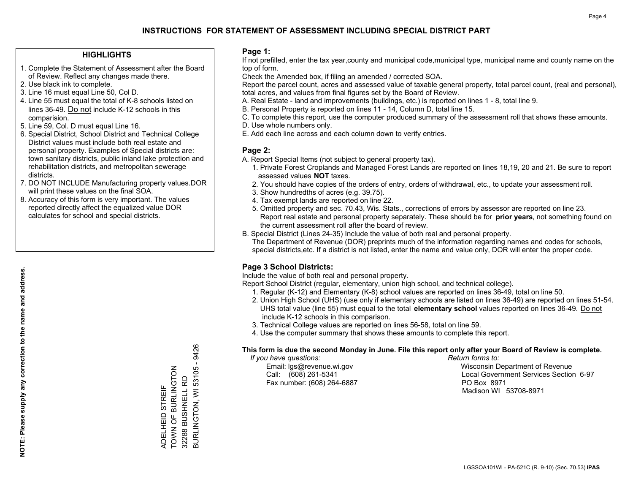## **HIGHLIGHTS**

- 1. Complete the Statement of Assessment after the Board of Review. Reflect any changes made there.
- 2. Use black ink to complete.
- 3. Line 16 must equal Line 50, Col D.
- 4. Line 55 must equal the total of K-8 schools listed on lines 36-49. Do not include K-12 schools in this comparision.
- 5. Line 59, Col. D must equal Line 16.
- 6. Special District, School District and Technical College District values must include both real estate and personal property. Examples of Special districts are: town sanitary districts, public inland lake protection and rehabilitation districts, and metropolitan sewerage districts.
- 7. DO NOT INCLUDE Manufacturing property values.DOR will print these values on the final SOA.

ADELHEID STREIF TOWN OF BURLINGTON 32288 BUSHNELL RD

ADELHEID STREIF<br>TOWN OF BURLINGTON

BURLINGTON, WI 53105 - 9426

BURLINGTON, WI 53105 32288 BUSHNELL RD

9426

 8. Accuracy of this form is very important. The values reported directly affect the equalized value DOR calculates for school and special districts.

### **Page 1:**

 If not prefilled, enter the tax year,county and municipal code,municipal type, municipal name and county name on the top of form.

Check the Amended box, if filing an amended / corrected SOA.

 Report the parcel count, acres and assessed value of taxable general property, total parcel count, (real and personal), total acres, and values from final figures set by the Board of Review.

- A. Real Estate land and improvements (buildings, etc.) is reported on lines 1 8, total line 9.
- B. Personal Property is reported on lines 11 14, Column D, total line 15.
- C. To complete this report, use the computer produced summary of the assessment roll that shows these amounts.
- D. Use whole numbers only.
- E. Add each line across and each column down to verify entries.

## **Page 2:**

- A. Report Special Items (not subject to general property tax).
- 1. Private Forest Croplands and Managed Forest Lands are reported on lines 18,19, 20 and 21. Be sure to report assessed values **NOT** taxes.
- 2. You should have copies of the orders of entry, orders of withdrawal, etc., to update your assessment roll.
	- 3. Show hundredths of acres (e.g. 39.75).
- 4. Tax exempt lands are reported on line 22.
- 5. Omitted property and sec. 70.43, Wis. Stats., corrections of errors by assessor are reported on line 23. Report real estate and personal property separately. These should be for **prior years**, not something found on the current assessment roll after the board of review.
- B. Special District (Lines 24-35) Include the value of both real and personal property.

 The Department of Revenue (DOR) preprints much of the information regarding names and codes for schools, special districts,etc. If a district is not listed, enter the name and value only, DOR will enter the proper code.

## **Page 3 School Districts:**

Include the value of both real and personal property.

Report School District (regular, elementary, union high school, and technical college).

- 1. Regular (K-12) and Elementary (K-8) school values are reported on lines 36-49, total on line 50.
- 2. Union High School (UHS) (use only if elementary schools are listed on lines 36-49) are reported on lines 51-54. UHS total value (line 55) must equal to the total **elementary school** values reported on lines 36-49. Do notinclude K-12 schools in this comparison.
- 3. Technical College values are reported on lines 56-58, total on line 59.
- 4. Use the computer summary that shows these amounts to complete this report.

#### **This form is due the second Monday in June. File this report only after your Board of Review is complete.**

 *If you have questions: Return forms to:*

Fax number: (608) 264-6887 PO Box 8971

 Email: lgs@revenue.wi.gov Wisconsin Department of Revenue Call: (608) 261-5341 Local Government Services Section 6-97Madison WI 53708-8971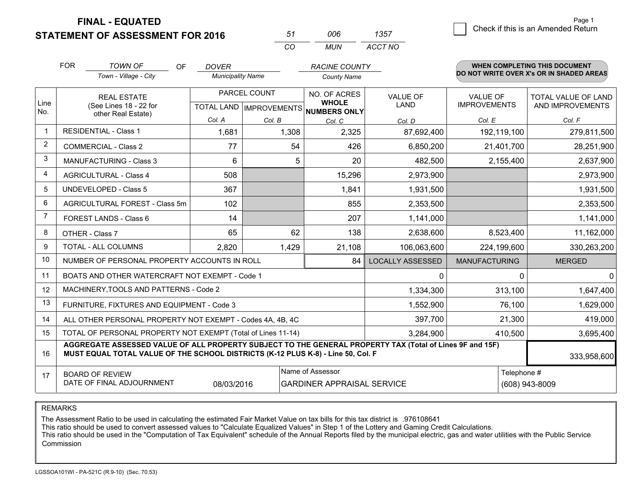**STATEMENT OF ASSESSMENT FOR 2016** 

| 51       | nnr | 1357    |
|----------|-----|---------|
| $\cdots$ | MUN | ACCT NO |

|             | <b>FOR</b><br><b>TOWN OF</b><br>OF                                                                                                                                                           | <b>DOVER</b>             |                           | <b>RACINE COUNTY</b>         |                         |                      | <b>WHEN COMPLETING THIS DOCUMENT</b>     |
|-------------|----------------------------------------------------------------------------------------------------------------------------------------------------------------------------------------------|--------------------------|---------------------------|------------------------------|-------------------------|----------------------|------------------------------------------|
|             | Town - Village - City                                                                                                                                                                        | <b>Municipality Name</b> |                           | <b>County Name</b>           |                         |                      | DO NOT WRITE OVER X's OR IN SHADED AREAS |
|             | <b>REAL ESTATE</b>                                                                                                                                                                           | PARCEL COUNT             |                           | NO. OF ACRES                 | <b>VALUE OF</b>         | <b>VALUE OF</b>      | TOTAL VALUE OF LAND                      |
| Line<br>No. | (See Lines 18 - 22 for<br>other Real Estate)                                                                                                                                                 |                          | TOTAL LAND   IMPROVEMENTS | <b>WHOLE</b><br>NUMBERS ONLY | <b>LAND</b>             | <b>IMPROVEMENTS</b>  | AND IMPROVEMENTS                         |
|             |                                                                                                                                                                                              | Col. A                   | Col. B                    | Col. C                       | Col. D                  | Col. E               | Col. F                                   |
|             | <b>RESIDENTIAL - Class 1</b>                                                                                                                                                                 | 1,681                    | 1,308                     | 2,325                        | 87,692,400              | 192,119,100          | 279,811,500                              |
| 2           | <b>COMMERCIAL - Class 2</b>                                                                                                                                                                  | 77                       | 54                        | 426                          | 6,850,200               | 21,401,700           | 28,251,900                               |
| 3           | <b>MANUFACTURING - Class 3</b>                                                                                                                                                               | 6                        | 5                         | 20                           | 482,500                 | 2,155,400            | 2,637,900                                |
| 4           | <b>AGRICULTURAL - Class 4</b>                                                                                                                                                                | 508                      |                           | 15,296                       | 2,973,900               |                      | 2,973,900                                |
| 5           | UNDEVELOPED - Class 5                                                                                                                                                                        | 367                      |                           | 1,841                        | 1,931,500               |                      | 1,931,500                                |
| 6           | AGRICULTURAL FOREST - Class 5m                                                                                                                                                               | 102                      |                           | 855                          | 2,353,500               |                      | 2,353,500                                |
| 7           | FOREST LANDS - Class 6                                                                                                                                                                       | 14                       |                           | 207                          | 1,141,000               |                      | 1,141,000                                |
| 8           | OTHER - Class 7                                                                                                                                                                              | 65                       | 62                        | 138                          | 2,638,600               | 8,523,400            | 11,162,000                               |
| 9           | TOTAL - ALL COLUMNS                                                                                                                                                                          | 2,820                    | 1,429                     | 21,108                       | 106,063,600             | 224,199,600          | 330,263,200                              |
| 10          | NUMBER OF PERSONAL PROPERTY ACCOUNTS IN ROLL                                                                                                                                                 |                          |                           | 84                           | <b>LOCALLY ASSESSED</b> | <b>MANUFACTURING</b> | <b>MERGED</b>                            |
| 11          | BOATS AND OTHER WATERCRAFT NOT EXEMPT - Code 1                                                                                                                                               |                          |                           |                              | $\Omega$                |                      | $\Omega$<br>$\Omega$                     |
| 12          | MACHINERY, TOOLS AND PATTERNS - Code 2                                                                                                                                                       |                          |                           |                              | 1,334,300               | 313,100              | 1,647,400                                |
| 13          | FURNITURE, FIXTURES AND EQUIPMENT - Code 3                                                                                                                                                   |                          |                           |                              | 1,552,900               | 76,100               | 1,629,000                                |
| 14          | ALL OTHER PERSONAL PROPERTY NOT EXEMPT - Codes 4A, 4B, 4C                                                                                                                                    |                          |                           |                              | 397,700                 | 21,300               | 419,000                                  |
| 15          | TOTAL OF PERSONAL PROPERTY NOT EXEMPT (Total of Lines 11-14)<br>3,284,900                                                                                                                    |                          |                           |                              |                         |                      | 410,500<br>3,695,400                     |
| 16          | AGGREGATE ASSESSED VALUE OF ALL PROPERTY SUBJECT TO THE GENERAL PROPERTY TAX (Total of Lines 9F and 15F)<br>MUST EQUAL TOTAL VALUE OF THE SCHOOL DISTRICTS (K-12 PLUS K-8) - Line 50, Col. F |                          |                           |                              |                         |                      | 333,958,600                              |
| 17          | <b>BOARD OF REVIEW</b>                                                                                                                                                                       |                          |                           | Name of Assessor             |                         |                      | Telephone #                              |
|             | DATE OF FINAL ADJOURNMENT<br>08/03/2016<br><b>GARDINER APPRAISAL SERVICE</b><br>(608) 943-8009                                                                                               |                          |                           |                              |                         |                      |                                          |

REMARKS

The Assessment Ratio to be used in calculating the estimated Fair Market Value on tax bills for this tax district is .976108641<br>This ratio should be used to convert assessed values to "Calculate Equalized Values" in Step 1 Commission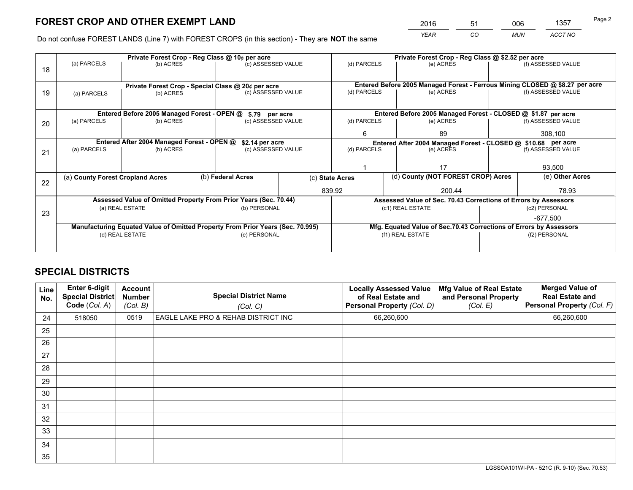*YEAR CO MUN ACCT NO* <sup>2016</sup> <sup>51</sup> <sup>006</sup> <sup>1357</sup>

Do not confuse FOREST LANDS (Line 7) with FOREST CROPS (in this section) - They are **NOT** the same

|    | Private Forest Crop - Reg Class @ 10¢ per acre                                 |                                             |  |                                                                  |        |                                                                    | Private Forest Crop - Reg Class @ \$2.52 per acre                            |               |                    |  |
|----|--------------------------------------------------------------------------------|---------------------------------------------|--|------------------------------------------------------------------|--------|--------------------------------------------------------------------|------------------------------------------------------------------------------|---------------|--------------------|--|
| 18 | (a) PARCELS                                                                    | (b) ACRES                                   |  | (c) ASSESSED VALUE                                               |        | (d) PARCELS                                                        | (e) ACRES                                                                    |               | (f) ASSESSED VALUE |  |
|    |                                                                                |                                             |  |                                                                  |        |                                                                    |                                                                              |               |                    |  |
|    |                                                                                |                                             |  | Private Forest Crop - Special Class @ 20¢ per acre               |        |                                                                    | Entered Before 2005 Managed Forest - Ferrous Mining CLOSED @ \$8.27 per acre |               |                    |  |
| 19 | (a) PARCELS                                                                    | (b) ACRES                                   |  | (c) ASSESSED VALUE                                               |        | (d) PARCELS                                                        | (e) ACRES                                                                    |               | (f) ASSESSED VALUE |  |
|    |                                                                                |                                             |  |                                                                  |        |                                                                    |                                                                              |               |                    |  |
|    |                                                                                | Entered Before 2005 Managed Forest - OPEN @ |  | \$.79 per acre                                                   |        |                                                                    | Entered Before 2005 Managed Forest - CLOSED @ \$1.87 per acre                |               |                    |  |
| 20 | (a) PARCELS                                                                    | (b) ACRES                                   |  | (c) ASSESSED VALUE                                               |        | (d) PARCELS                                                        | (e) ACRES                                                                    |               | (f) ASSESSED VALUE |  |
|    |                                                                                |                                             |  |                                                                  |        | 6                                                                  | 89                                                                           |               | 308,100            |  |
|    | Entered After 2004 Managed Forest - OPEN @<br>\$2.14 per acre                  |                                             |  |                                                                  |        | Entered After 2004 Managed Forest - CLOSED @ \$10.68 per acre      |                                                                              |               |                    |  |
| 21 | (a) PARCELS                                                                    | (b) ACRES                                   |  | (c) ASSESSED VALUE                                               |        | (d) PARCELS                                                        | (e) ACRES                                                                    |               | (f) ASSESSED VALUE |  |
|    |                                                                                |                                             |  |                                                                  |        |                                                                    |                                                                              |               |                    |  |
|    |                                                                                |                                             |  |                                                                  |        |                                                                    | 17                                                                           |               | 93,500             |  |
| 22 | (a) County Forest Cropland Acres                                               |                                             |  | (b) Federal Acres                                                |        | (d) County (NOT FOREST CROP) Acres<br>(c) State Acres              |                                                                              |               | (e) Other Acres    |  |
|    |                                                                                |                                             |  |                                                                  | 839.92 |                                                                    | 200.44                                                                       |               | 78.93              |  |
|    |                                                                                |                                             |  | Assessed Value of Omitted Property From Prior Years (Sec. 70.44) |        |                                                                    | Assessed Value of Sec. 70.43 Corrections of Errors by Assessors              |               |                    |  |
| 23 |                                                                                | (a) REAL ESTATE                             |  | (b) PERSONAL                                                     |        |                                                                    | (c1) REAL ESTATE                                                             |               | (c2) PERSONAL      |  |
|    |                                                                                |                                             |  |                                                                  |        |                                                                    |                                                                              |               | -677.500           |  |
|    | Manufacturing Equated Value of Omitted Property From Prior Years (Sec. 70.995) |                                             |  |                                                                  |        | Mfg. Equated Value of Sec.70.43 Corrections of Errors by Assessors |                                                                              |               |                    |  |
|    |                                                                                | (d) REAL ESTATE                             |  | (e) PERSONAL                                                     |        |                                                                    | (f1) REAL ESTATE                                                             | (f2) PERSONAL |                    |  |
|    |                                                                                |                                             |  |                                                                  |        |                                                                    |                                                                              |               |                    |  |

## **SPECIAL DISTRICTS**

| Line<br>No. | Enter 6-digit<br><b>Special District</b><br>Code (Col. A) | <b>Account</b><br><b>Number</b><br>(Col. B) | <b>Special District Name</b><br>(Col. C) | <b>Locally Assessed Value</b><br>of Real Estate and<br>Personal Property (Col. D) | Mfg Value of Real Estate<br>and Personal Property<br>(Col. E) | <b>Merged Value of</b><br><b>Real Estate and</b><br>Personal Property (Col. F) |
|-------------|-----------------------------------------------------------|---------------------------------------------|------------------------------------------|-----------------------------------------------------------------------------------|---------------------------------------------------------------|--------------------------------------------------------------------------------|
| 24          | 518050                                                    | 0519                                        | EAGLE LAKE PRO & REHAB DISTRICT INC      | 66,260,600                                                                        |                                                               | 66,260,600                                                                     |
| 25          |                                                           |                                             |                                          |                                                                                   |                                                               |                                                                                |
| 26          |                                                           |                                             |                                          |                                                                                   |                                                               |                                                                                |
| 27          |                                                           |                                             |                                          |                                                                                   |                                                               |                                                                                |
| 28          |                                                           |                                             |                                          |                                                                                   |                                                               |                                                                                |
| 29          |                                                           |                                             |                                          |                                                                                   |                                                               |                                                                                |
| 30          |                                                           |                                             |                                          |                                                                                   |                                                               |                                                                                |
| 31          |                                                           |                                             |                                          |                                                                                   |                                                               |                                                                                |
| 32          |                                                           |                                             |                                          |                                                                                   |                                                               |                                                                                |
| 33          |                                                           |                                             |                                          |                                                                                   |                                                               |                                                                                |
| 34          |                                                           |                                             |                                          |                                                                                   |                                                               |                                                                                |
| 35          |                                                           |                                             |                                          |                                                                                   |                                                               |                                                                                |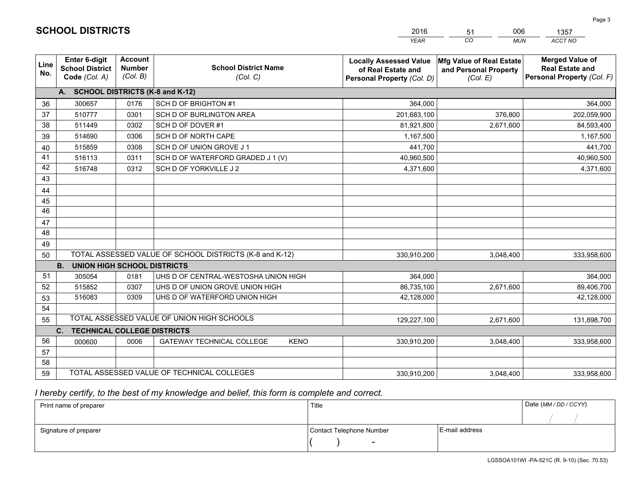|             |                                                                 |                                             |                                                         | <b>YEAR</b>                                                                       | CO<br><b>MUN</b>                                              | ACCT NO                                                                        |
|-------------|-----------------------------------------------------------------|---------------------------------------------|---------------------------------------------------------|-----------------------------------------------------------------------------------|---------------------------------------------------------------|--------------------------------------------------------------------------------|
| Line<br>No. | <b>Enter 6-digit</b><br><b>School District</b><br>Code (Col. A) | <b>Account</b><br><b>Number</b><br>(Col. B) | <b>School District Name</b><br>(Col. C)                 | <b>Locally Assessed Value</b><br>of Real Estate and<br>Personal Property (Col. D) | Mfg Value of Real Estate<br>and Personal Property<br>(Col. E) | <b>Merged Value of</b><br><b>Real Estate and</b><br>Personal Property (Col. F) |
|             | A. SCHOOL DISTRICTS (K-8 and K-12)                              |                                             |                                                         |                                                                                   |                                                               |                                                                                |
| 36          | 300657                                                          | 0176                                        | SCH D OF BRIGHTON #1                                    | 364,000                                                                           |                                                               | 364,000                                                                        |
| 37          | 510777                                                          | 0301                                        | SCH D OF BURLINGTON AREA                                | 201,683,100                                                                       | 376,800                                                       | 202,059,900                                                                    |
| 38          | 511449                                                          | 0302                                        | SCH D OF DOVER#1                                        | 81,921,800                                                                        | 2,671,600                                                     | 84,593,400                                                                     |
| 39          | 514690                                                          | 0306                                        | SCH D OF NORTH CAPE                                     | 1,167,500                                                                         |                                                               | 1,167,500                                                                      |
| 40          | 515859                                                          | 0308                                        | SCH D OF UNION GROVE J 1                                | 441,700                                                                           |                                                               | 441,700                                                                        |
| 41          | 516113                                                          | 0311                                        | SCH D OF WATERFORD GRADED J 1 (V)                       | 40,960,500                                                                        |                                                               | 40,960,500                                                                     |
| 42          | 516748                                                          | 0312                                        | SCH D OF YORKVILLE J 2                                  | 4,371,600                                                                         |                                                               | 4,371,600                                                                      |
| 43          |                                                                 |                                             |                                                         |                                                                                   |                                                               |                                                                                |
| 44          |                                                                 |                                             |                                                         |                                                                                   |                                                               |                                                                                |
| 45          |                                                                 |                                             |                                                         |                                                                                   |                                                               |                                                                                |
| 46          |                                                                 |                                             |                                                         |                                                                                   |                                                               |                                                                                |
| 47          |                                                                 |                                             |                                                         |                                                                                   |                                                               |                                                                                |
| 48          |                                                                 |                                             |                                                         |                                                                                   |                                                               |                                                                                |
| 49          |                                                                 |                                             |                                                         |                                                                                   |                                                               |                                                                                |
| 50          |                                                                 |                                             | TOTAL ASSESSED VALUE OF SCHOOL DISTRICTS (K-8 and K-12) | 330,910,200                                                                       | 3,048,400                                                     | 333,958,600                                                                    |
|             | <b>UNION HIGH SCHOOL DISTRICTS</b><br><b>B.</b>                 |                                             |                                                         |                                                                                   |                                                               |                                                                                |
| 51          | 305054                                                          | 0181                                        | UHS D OF CENTRAL-WESTOSHA UNION HIGH                    | 364,000                                                                           |                                                               | 364,000                                                                        |
| 52          | 515852                                                          | 0307                                        | UHS D OF UNION GROVE UNION HIGH                         | 86,735,100                                                                        | 2,671,600                                                     | 89,406,700                                                                     |
| 53          | 516083                                                          | 0309                                        | UHS D OF WATERFORD UNION HIGH                           | 42,128,000                                                                        |                                                               | 42,128,000                                                                     |
| 54          |                                                                 |                                             |                                                         |                                                                                   |                                                               |                                                                                |
| 55          |                                                                 |                                             | TOTAL ASSESSED VALUE OF UNION HIGH SCHOOLS              | 129,227,100                                                                       | 2,671,600                                                     | 131,898,700                                                                    |
|             | C.<br><b>TECHNICAL COLLEGE DISTRICTS</b>                        |                                             |                                                         |                                                                                   |                                                               |                                                                                |
| 56          | 000600                                                          | 0006                                        | <b>GATEWAY TECHNICAL COLLEGE</b><br><b>KENO</b>         | 330,910,200                                                                       | 3,048,400                                                     | 333,958,600                                                                    |
| 57          |                                                                 |                                             |                                                         |                                                                                   |                                                               |                                                                                |
| 58          |                                                                 |                                             |                                                         |                                                                                   |                                                               |                                                                                |
| 59          |                                                                 |                                             | TOTAL ASSESSED VALUE OF TECHNICAL COLLEGES              | 330,910,200                                                                       | 3,048,400                                                     | 333,958,600                                                                    |

51

006

 *I hereby certify, to the best of my knowledge and belief, this form is complete and correct.*

**SCHOOL DISTRICTS**

| Print name of preparer | Title                    |                | Date (MM / DD / CCYY) |
|------------------------|--------------------------|----------------|-----------------------|
|                        |                          |                |                       |
| Signature of preparer  | Contact Telephone Number | E-mail address |                       |
|                        | $\sim$                   |                |                       |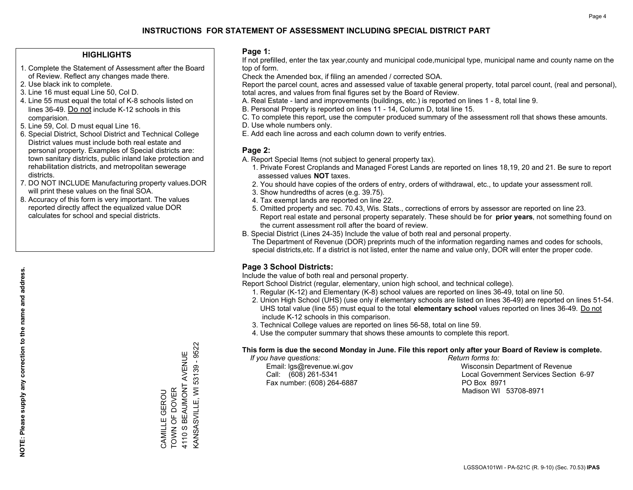## **HIGHLIGHTS**

- 1. Complete the Statement of Assessment after the Board of Review. Reflect any changes made there.
- 2. Use black ink to complete.
- 3. Line 16 must equal Line 50, Col D.
- 4. Line 55 must equal the total of K-8 schools listed on lines 36-49. Do not include K-12 schools in this comparision.
- 5. Line 59, Col. D must equal Line 16.
- 6. Special District, School District and Technical College District values must include both real estate and personal property. Examples of Special districts are: town sanitary districts, public inland lake protection and rehabilitation districts, and metropolitan sewerage districts.
- 7. DO NOT INCLUDE Manufacturing property values.DOR will print these values on the final SOA.

CAMILLE GEROU TOWN OF DOVER 4110 S BEAUMONT AVENUE KANSASVILLE, WI 53139 - 9522

CAMILLE GEROU<br>TOWN OF DOVER<br>4110 S BEAUMONT AVENUE GEROU

**KANSASVILLE, WI 53139 - 9522** 

 8. Accuracy of this form is very important. The values reported directly affect the equalized value DOR calculates for school and special districts.

### **Page 1:**

 If not prefilled, enter the tax year,county and municipal code,municipal type, municipal name and county name on the top of form.

Check the Amended box, if filing an amended / corrected SOA.

 Report the parcel count, acres and assessed value of taxable general property, total parcel count, (real and personal), total acres, and values from final figures set by the Board of Review.

- A. Real Estate land and improvements (buildings, etc.) is reported on lines 1 8, total line 9.
- B. Personal Property is reported on lines 11 14, Column D, total line 15.
- C. To complete this report, use the computer produced summary of the assessment roll that shows these amounts.
- D. Use whole numbers only.
- E. Add each line across and each column down to verify entries.

### **Page 2:**

- A. Report Special Items (not subject to general property tax).
- 1. Private Forest Croplands and Managed Forest Lands are reported on lines 18,19, 20 and 21. Be sure to report assessed values **NOT** taxes.
- 2. You should have copies of the orders of entry, orders of withdrawal, etc., to update your assessment roll.
	- 3. Show hundredths of acres (e.g. 39.75).
- 4. Tax exempt lands are reported on line 22.
- 5. Omitted property and sec. 70.43, Wis. Stats., corrections of errors by assessor are reported on line 23. Report real estate and personal property separately. These should be for **prior years**, not something found on the current assessment roll after the board of review.
- B. Special District (Lines 24-35) Include the value of both real and personal property.
- The Department of Revenue (DOR) preprints much of the information regarding names and codes for schools, special districts,etc. If a district is not listed, enter the name and value only, DOR will enter the proper code.

## **Page 3 School Districts:**

Include the value of both real and personal property.

Report School District (regular, elementary, union high school, and technical college).

- 1. Regular (K-12) and Elementary (K-8) school values are reported on lines 36-49, total on line 50.
- 2. Union High School (UHS) (use only if elementary schools are listed on lines 36-49) are reported on lines 51-54. UHS total value (line 55) must equal to the total **elementary school** values reported on lines 36-49. Do notinclude K-12 schools in this comparison.
- 3. Technical College values are reported on lines 56-58, total on line 59.
- 4. Use the computer summary that shows these amounts to complete this report.

#### **This form is due the second Monday in June. File this report only after your Board of Review is complete.**

 *If you have questions: Return forms to:*

Fax number: (608) 264-6887 PO Box 8971

 Email: lgs@revenue.wi.gov Wisconsin Department of Revenue Call: (608) 261-5341 Local Government Services Section 6-97Madison WI 53708-8971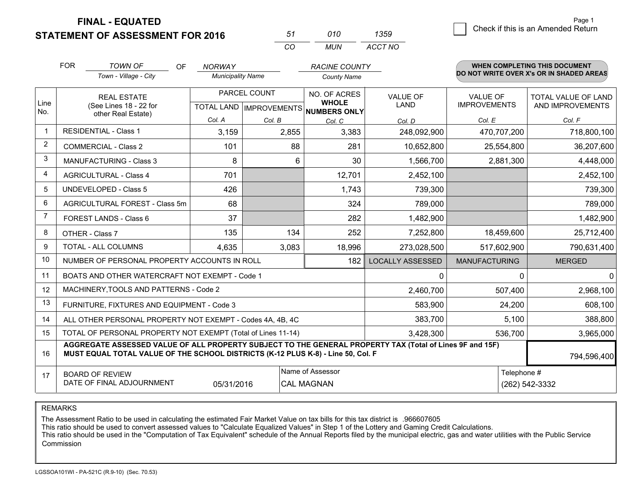**STATEMENT OF ASSESSMENT FOR 2016** 

| 57       | 01 N | 1359    |
|----------|------|---------|
| $\cdots$ | MUN  | ACCT NO |

|                | <b>FOR</b>                                                                                                                                                                                   | <b>TOWN OF</b><br><b>OF</b>                                  | <b>NORWAY</b>            |              | <b>RACINE COUNTY</b>                                                 |                                |                                        | WHEN COMPLETING THIS DOCUMENT                  |
|----------------|----------------------------------------------------------------------------------------------------------------------------------------------------------------------------------------------|--------------------------------------------------------------|--------------------------|--------------|----------------------------------------------------------------------|--------------------------------|----------------------------------------|------------------------------------------------|
|                |                                                                                                                                                                                              | Town - Village - City                                        | <b>Municipality Name</b> |              | <b>County Name</b>                                                   |                                |                                        | DO NOT WRITE OVER X's OR IN SHADED AREAS       |
| Line<br>No.    | <b>REAL ESTATE</b><br>(See Lines 18 - 22 for                                                                                                                                                 |                                                              |                          | PARCEL COUNT | NO. OF ACRES<br><b>WHOLE</b><br>TOTAL LAND IMPROVEMENTS NUMBERS ONLY | <b>VALUE OF</b><br><b>LAND</b> | <b>VALUE OF</b><br><b>IMPROVEMENTS</b> | <b>TOTAL VALUE OF LAND</b><br>AND IMPROVEMENTS |
|                |                                                                                                                                                                                              | other Real Estate)                                           | Col. A                   | Col. B       | Col. C                                                               | Col. D                         | Col. E                                 | Col. F                                         |
|                |                                                                                                                                                                                              | <b>RESIDENTIAL - Class 1</b>                                 | 3,159                    | 2,855        | 3,383                                                                | 248,092,900                    | 470,707,200                            | 718,800,100                                    |
| $\overline{2}$ |                                                                                                                                                                                              | <b>COMMERCIAL - Class 2</b>                                  | 101                      | 88           | 281                                                                  | 10,652,800                     | 25,554,800                             | 36,207,600                                     |
| 3              |                                                                                                                                                                                              | <b>MANUFACTURING - Class 3</b>                               | 8                        | 6            | 30                                                                   | 1,566,700                      | 2,881,300                              | 4,448,000                                      |
| 4              |                                                                                                                                                                                              | <b>AGRICULTURAL - Class 4</b>                                | 701                      |              | 12,701                                                               | 2,452,100                      |                                        | 2,452,100                                      |
| 5              |                                                                                                                                                                                              | <b>UNDEVELOPED - Class 5</b>                                 | 426                      |              | 1,743                                                                | 739,300                        |                                        | 739,300                                        |
| 6              |                                                                                                                                                                                              | AGRICULTURAL FOREST - Class 5m                               | 68                       |              | 324                                                                  | 789,000                        |                                        | 789,000                                        |
| 7              |                                                                                                                                                                                              | FOREST LANDS - Class 6                                       | 37                       |              | 282                                                                  | 1,482,900                      |                                        | 1,482,900                                      |
| 8              |                                                                                                                                                                                              | OTHER - Class 7                                              | 135                      | 134          | 252                                                                  | 7,252,800                      | 18,459,600                             | 25,712,400                                     |
| 9              |                                                                                                                                                                                              | TOTAL - ALL COLUMNS                                          | 4,635                    | 3,083        | 18,996                                                               | 273,028,500                    | 517,602,900                            | 790,631,400                                    |
| 10             |                                                                                                                                                                                              | NUMBER OF PERSONAL PROPERTY ACCOUNTS IN ROLL                 |                          |              | 182                                                                  | <b>LOCALLY ASSESSED</b>        | <b>MANUFACTURING</b>                   | <b>MERGED</b>                                  |
| 11             |                                                                                                                                                                                              | BOATS AND OTHER WATERCRAFT NOT EXEMPT - Code 1               |                          |              |                                                                      | 0                              | $\Omega$                               | $\mathbf{0}$                                   |
| 12             |                                                                                                                                                                                              | MACHINERY, TOOLS AND PATTERNS - Code 2                       |                          |              |                                                                      | 2,460,700                      | 507,400                                | 2,968,100                                      |
| 13             |                                                                                                                                                                                              | FURNITURE, FIXTURES AND EQUIPMENT - Code 3                   |                          |              |                                                                      | 583,900                        | 24,200                                 | 608,100                                        |
| 14             |                                                                                                                                                                                              | ALL OTHER PERSONAL PROPERTY NOT EXEMPT - Codes 4A, 4B, 4C    |                          |              |                                                                      | 383,700                        | 5.100                                  | 388,800                                        |
| 15             |                                                                                                                                                                                              | TOTAL OF PERSONAL PROPERTY NOT EXEMPT (Total of Lines 11-14) |                          |              | 3,428,300                                                            | 536,700                        | 3,965,000                              |                                                |
| 16             | AGGREGATE ASSESSED VALUE OF ALL PROPERTY SUBJECT TO THE GENERAL PROPERTY TAX (Total of Lines 9F and 15F)<br>MUST EQUAL TOTAL VALUE OF THE SCHOOL DISTRICTS (K-12 PLUS K-8) - Line 50, Col. F |                                                              |                          |              |                                                                      | 794,596,400                    |                                        |                                                |
| 17             | Name of Assessor<br>Telephone #<br><b>BOARD OF REVIEW</b><br>DATE OF FINAL ADJOURNMENT<br>05/31/2016<br>(262) 542-3332<br><b>CAL MAGNAN</b>                                                  |                                                              |                          |              |                                                                      |                                |                                        |                                                |

REMARKS

The Assessment Ratio to be used in calculating the estimated Fair Market Value on tax bills for this tax district is .966607605<br>This ratio should be used to convert assessed values to "Calculate Equalized Values" in Step 1 Commission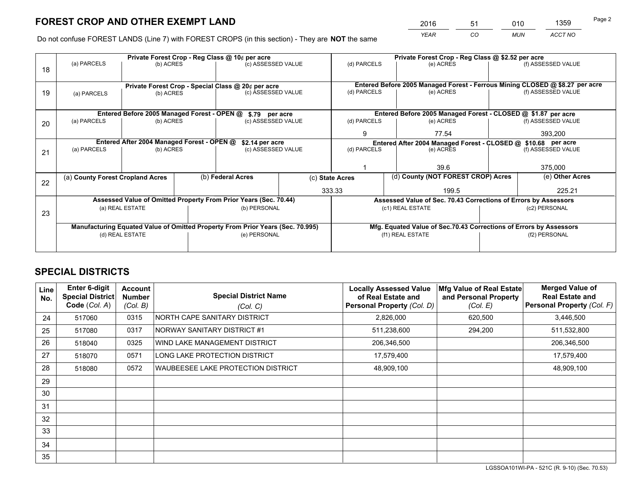*YEAR CO MUN ACCT NO* <sup>2016</sup> <sup>51</sup> <sup>010</sup> <sup>1359</sup>

Do not confuse FOREST LANDS (Line 7) with FOREST CROPS (in this section) - They are **NOT** the same

|    | Private Forest Crop - Reg Class @ 10¢ per acre                                 |                                             |  |                                                                  |                 | Private Forest Crop - Reg Class @ \$2.52 per acre                  |                                                                              |               |                                                                                     |  |
|----|--------------------------------------------------------------------------------|---------------------------------------------|--|------------------------------------------------------------------|-----------------|--------------------------------------------------------------------|------------------------------------------------------------------------------|---------------|-------------------------------------------------------------------------------------|--|
| 18 | (a) PARCELS                                                                    | (b) ACRES                                   |  | (c) ASSESSED VALUE                                               |                 | (d) PARCELS                                                        | (e) ACRES                                                                    |               | (f) ASSESSED VALUE                                                                  |  |
|    |                                                                                |                                             |  |                                                                  |                 |                                                                    |                                                                              |               |                                                                                     |  |
|    |                                                                                |                                             |  | Private Forest Crop - Special Class @ 20¢ per acre               |                 |                                                                    | Entered Before 2005 Managed Forest - Ferrous Mining CLOSED @ \$8.27 per acre |               |                                                                                     |  |
| 19 | (a) PARCELS                                                                    | (b) ACRES                                   |  | (c) ASSESSED VALUE                                               |                 | (d) PARCELS                                                        | (e) ACRES                                                                    |               | (f) ASSESSED VALUE                                                                  |  |
|    |                                                                                |                                             |  |                                                                  |                 |                                                                    |                                                                              |               |                                                                                     |  |
|    |                                                                                | Entered Before 2005 Managed Forest - OPEN @ |  | \$.79 per acre                                                   |                 |                                                                    | Entered Before 2005 Managed Forest - CLOSED @ \$1.87 per acre                |               |                                                                                     |  |
| 20 | (a) PARCELS                                                                    | (b) ACRES                                   |  | (c) ASSESSED VALUE                                               |                 | (d) PARCELS                                                        | (e) ACRES                                                                    |               | (f) ASSESSED VALUE                                                                  |  |
|    |                                                                                |                                             |  |                                                                  |                 | 9                                                                  | 77.54                                                                        |               | 393,200                                                                             |  |
|    | Entered After 2004 Managed Forest - OPEN @                                     |                                             |  |                                                                  | \$2.14 per acre |                                                                    |                                                                              |               | Entered After 2004 Managed Forest - CLOSED @ \$10.68 per acre<br>(f) ASSESSED VALUE |  |
| 21 | (a) PARCELS                                                                    | (b) ACRES                                   |  | (c) ASSESSED VALUE                                               |                 | (d) PARCELS                                                        | (e) ACRES                                                                    |               |                                                                                     |  |
|    |                                                                                |                                             |  |                                                                  |                 |                                                                    |                                                                              |               | 375,000                                                                             |  |
|    |                                                                                |                                             |  |                                                                  |                 |                                                                    | 39.6                                                                         |               |                                                                                     |  |
| 22 | (a) County Forest Cropland Acres                                               |                                             |  | (b) Federal Acres                                                |                 | (d) County (NOT FOREST CROP) Acres<br>(c) State Acres              |                                                                              |               | (e) Other Acres                                                                     |  |
|    |                                                                                |                                             |  |                                                                  |                 | 333.33<br>199.5                                                    |                                                                              |               | 225.21                                                                              |  |
|    |                                                                                |                                             |  | Assessed Value of Omitted Property From Prior Years (Sec. 70.44) |                 |                                                                    | Assessed Value of Sec. 70.43 Corrections of Errors by Assessors              |               |                                                                                     |  |
| 23 |                                                                                | (a) REAL ESTATE                             |  | (b) PERSONAL                                                     |                 |                                                                    | (c1) REAL ESTATE                                                             |               | (c2) PERSONAL                                                                       |  |
|    |                                                                                |                                             |  |                                                                  |                 |                                                                    |                                                                              |               |                                                                                     |  |
|    | Manufacturing Equated Value of Omitted Property From Prior Years (Sec. 70.995) |                                             |  |                                                                  |                 | Mfg. Equated Value of Sec.70.43 Corrections of Errors by Assessors |                                                                              |               |                                                                                     |  |
|    |                                                                                | (d) REAL ESTATE                             |  | (e) PERSONAL                                                     |                 | (f1) REAL ESTATE                                                   |                                                                              | (f2) PERSONAL |                                                                                     |  |
|    |                                                                                |                                             |  |                                                                  |                 |                                                                    |                                                                              |               |                                                                                     |  |

## **SPECIAL DISTRICTS**

| Line<br>No. | <b>Enter 6-digit</b><br><b>Special District</b><br>Code (Col. A) | <b>Account</b><br><b>Number</b><br>(Col. B) | <b>Special District Name</b><br>(Col, C) | <b>Locally Assessed Value</b><br>of Real Estate and<br>Personal Property (Col. D) | Mfg Value of Real Estate<br>and Personal Property<br>(Col. E) | <b>Merged Value of</b><br><b>Real Estate and</b><br>Personal Property (Col. F) |
|-------------|------------------------------------------------------------------|---------------------------------------------|------------------------------------------|-----------------------------------------------------------------------------------|---------------------------------------------------------------|--------------------------------------------------------------------------------|
| 24          | 517060                                                           | 0315                                        | NORTH CAPE SANITARY DISTRICT             | 2,826,000                                                                         | 620,500                                                       | 3,446,500                                                                      |
| 25          | 517080                                                           | 0317                                        | NORWAY SANITARY DISTRICT #1              | 511,238,600                                                                       | 294,200                                                       | 511,532,800                                                                    |
| 26          | 518040                                                           | 0325                                        | WIND LAKE MANAGEMENT DISTRICT            | 206,346,500                                                                       |                                                               | 206,346,500                                                                    |
| 27          | 518070                                                           | 0571                                        | LONG LAKE PROTECTION DISTRICT            | 17,579,400                                                                        |                                                               | 17,579,400                                                                     |
| 28          | 518080                                                           | 0572                                        | WAUBEESEE LAKE PROTECTION DISTRICT       | 48,909,100                                                                        |                                                               | 48,909,100                                                                     |
| 29          |                                                                  |                                             |                                          |                                                                                   |                                                               |                                                                                |
| 30          |                                                                  |                                             |                                          |                                                                                   |                                                               |                                                                                |
| 31          |                                                                  |                                             |                                          |                                                                                   |                                                               |                                                                                |
| 32          |                                                                  |                                             |                                          |                                                                                   |                                                               |                                                                                |
| 33          |                                                                  |                                             |                                          |                                                                                   |                                                               |                                                                                |
| 34          |                                                                  |                                             |                                          |                                                                                   |                                                               |                                                                                |
| 35          |                                                                  |                                             |                                          |                                                                                   |                                                               |                                                                                |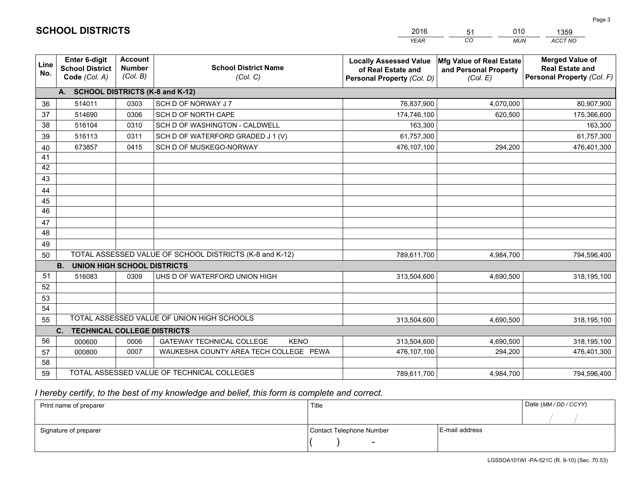|             |                                                                 |                                             |                                                         | <b>YEAR</b>                                                                       | CO<br><b>MUN</b>                                              | ACCT NO                                                                        |
|-------------|-----------------------------------------------------------------|---------------------------------------------|---------------------------------------------------------|-----------------------------------------------------------------------------------|---------------------------------------------------------------|--------------------------------------------------------------------------------|
| Line<br>No. | <b>Enter 6-digit</b><br><b>School District</b><br>Code (Col. A) | <b>Account</b><br><b>Number</b><br>(Col. B) | <b>School District Name</b><br>(Col. C)                 | <b>Locally Assessed Value</b><br>of Real Estate and<br>Personal Property (Col. D) | Mfg Value of Real Estate<br>and Personal Property<br>(Col. E) | <b>Merged Value of</b><br><b>Real Estate and</b><br>Personal Property (Col. F) |
|             | A. SCHOOL DISTRICTS (K-8 and K-12)                              |                                             |                                                         |                                                                                   |                                                               |                                                                                |
| 36          | 514011                                                          | 0303                                        | SCH D OF NORWAY J 7                                     | 76,837,900                                                                        | 4,070,000                                                     | 80,907,900                                                                     |
| 37          | 514690                                                          | 0306                                        | SCH D OF NORTH CAPE                                     | 174,746,100                                                                       | 620,500                                                       | 175,366,600                                                                    |
| 38          | 516104                                                          | 0310                                        | SCH D OF WASHINGTON - CALDWELL                          | 163,300                                                                           |                                                               | 163,300                                                                        |
| 39          | 516113                                                          | 0311                                        | SCH D OF WATERFORD GRADED J 1 (V)                       | 61,757,300                                                                        |                                                               | 61,757,300                                                                     |
| 40          | 673857                                                          | 0415                                        | SCH D OF MUSKEGO-NORWAY                                 | 476,107,100                                                                       | 294,200                                                       | 476,401,300                                                                    |
| 41          |                                                                 |                                             |                                                         |                                                                                   |                                                               |                                                                                |
| 42          |                                                                 |                                             |                                                         |                                                                                   |                                                               |                                                                                |
| 43          |                                                                 |                                             |                                                         |                                                                                   |                                                               |                                                                                |
| 44          |                                                                 |                                             |                                                         |                                                                                   |                                                               |                                                                                |
| 45          |                                                                 |                                             |                                                         |                                                                                   |                                                               |                                                                                |
| 46          |                                                                 |                                             |                                                         |                                                                                   |                                                               |                                                                                |
| 47          |                                                                 |                                             |                                                         |                                                                                   |                                                               |                                                                                |
| 48          |                                                                 |                                             |                                                         |                                                                                   |                                                               |                                                                                |
| 49          |                                                                 |                                             |                                                         |                                                                                   |                                                               |                                                                                |
| 50          |                                                                 |                                             | TOTAL ASSESSED VALUE OF SCHOOL DISTRICTS (K-8 and K-12) | 789,611,700                                                                       | 4,984,700                                                     | 794,596,400                                                                    |
|             | <b>B.</b><br><b>UNION HIGH SCHOOL DISTRICTS</b>                 |                                             |                                                         |                                                                                   |                                                               |                                                                                |
| 51          | 516083                                                          | 0309                                        | UHS D OF WATERFORD UNION HIGH                           | 313,504,600                                                                       | 4,690,500                                                     | 318,195,100                                                                    |
| 52          |                                                                 |                                             |                                                         |                                                                                   |                                                               |                                                                                |
| 53          |                                                                 |                                             |                                                         |                                                                                   |                                                               |                                                                                |
| 54          |                                                                 |                                             |                                                         |                                                                                   |                                                               |                                                                                |
| 55          |                                                                 |                                             | TOTAL ASSESSED VALUE OF UNION HIGH SCHOOLS              | 313,504,600                                                                       | 4,690,500                                                     | 318,195,100                                                                    |
|             | C.<br><b>TECHNICAL COLLEGE DISTRICTS</b>                        |                                             |                                                         |                                                                                   |                                                               |                                                                                |
| 56          | 000600                                                          | 0006                                        | <b>GATEWAY TECHNICAL COLLEGE</b><br><b>KENO</b>         | 313,504,600                                                                       | 4,690,500                                                     | 318,195,100                                                                    |
| 57          | 000800                                                          | 0007                                        | WAUKESHA COUNTY AREA TECH COLLEGE PEWA                  | 476,107,100                                                                       | 294,200                                                       | 476,401,300                                                                    |
| 58          |                                                                 |                                             |                                                         |                                                                                   |                                                               |                                                                                |
| 59          |                                                                 |                                             | TOTAL ASSESSED VALUE OF TECHNICAL COLLEGES              | 789,611,700                                                                       | 4,984,700                                                     | 794,596,400                                                                    |

51

010

## *I hereby certify, to the best of my knowledge and belief, this form is complete and correct.*

**SCHOOL DISTRICTS**

| Print name of preparer | Title                    |                | Date (MM / DD / CCYY) |
|------------------------|--------------------------|----------------|-----------------------|
|                        |                          |                |                       |
| Signature of preparer  | Contact Telephone Number | E-mail address |                       |
|                        | $\overline{\phantom{0}}$ |                |                       |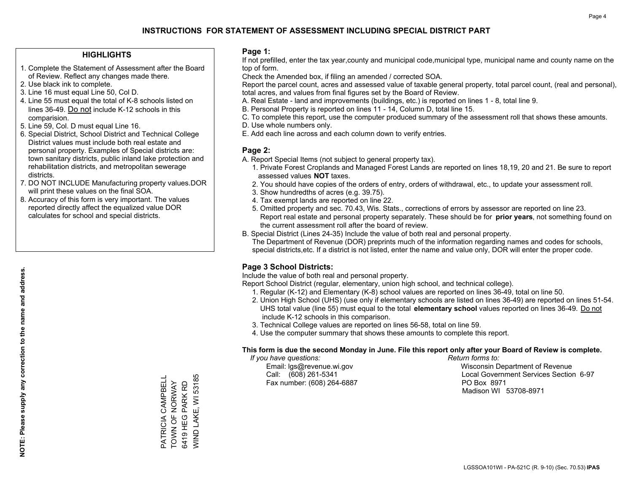## **HIGHLIGHTS**

- 1. Complete the Statement of Assessment after the Board of Review. Reflect any changes made there.
- 2. Use black ink to complete.
- 3. Line 16 must equal Line 50, Col D.
- 4. Line 55 must equal the total of K-8 schools listed on lines 36-49. Do not include K-12 schools in this comparision.
- 5. Line 59, Col. D must equal Line 16.
- 6. Special District, School District and Technical College District values must include both real estate and personal property. Examples of Special districts are: town sanitary districts, public inland lake protection and rehabilitation districts, and metropolitan sewerage districts.
- 7. DO NOT INCLUDE Manufacturing property values.DOR will print these values on the final SOA.
- 8. Accuracy of this form is very important. The values reported directly affect the equalized value DOR calculates for school and special districts.

### **Page 1:**

 If not prefilled, enter the tax year,county and municipal code,municipal type, municipal name and county name on the top of form.

Check the Amended box, if filing an amended / corrected SOA.

 Report the parcel count, acres and assessed value of taxable general property, total parcel count, (real and personal), total acres, and values from final figures set by the Board of Review.

- A. Real Estate land and improvements (buildings, etc.) is reported on lines 1 8, total line 9.
- B. Personal Property is reported on lines 11 14, Column D, total line 15.
- C. To complete this report, use the computer produced summary of the assessment roll that shows these amounts.
- D. Use whole numbers only.
- E. Add each line across and each column down to verify entries.

## **Page 2:**

- A. Report Special Items (not subject to general property tax).
- 1. Private Forest Croplands and Managed Forest Lands are reported on lines 18,19, 20 and 21. Be sure to report assessed values **NOT** taxes.
- 2. You should have copies of the orders of entry, orders of withdrawal, etc., to update your assessment roll.
	- 3. Show hundredths of acres (e.g. 39.75).
- 4. Tax exempt lands are reported on line 22.
- 5. Omitted property and sec. 70.43, Wis. Stats., corrections of errors by assessor are reported on line 23. Report real estate and personal property separately. These should be for **prior years**, not something found on the current assessment roll after the board of review.
- B. Special District (Lines 24-35) Include the value of both real and personal property.

 The Department of Revenue (DOR) preprints much of the information regarding names and codes for schools, special districts,etc. If a district is not listed, enter the name and value only, DOR will enter the proper code.

## **Page 3 School Districts:**

Include the value of both real and personal property.

Report School District (regular, elementary, union high school, and technical college).

- 1. Regular (K-12) and Elementary (K-8) school values are reported on lines 36-49, total on line 50.
- 2. Union High School (UHS) (use only if elementary schools are listed on lines 36-49) are reported on lines 51-54. UHS total value (line 55) must equal to the total **elementary school** values reported on lines 36-49. Do notinclude K-12 schools in this comparison.
- 3. Technical College values are reported on lines 56-58, total on line 59.
- 4. Use the computer summary that shows these amounts to complete this report.

#### **This form is due the second Monday in June. File this report only after your Board of Review is complete.**

 *If you have questions: Return forms to:*

Fax number: (608) 264-6887 PO Box 8971

 Email: lgs@revenue.wi.gov Wisconsin Department of Revenue Call: (608) 261-5341 Local Government Services Section 6-97Madison WI 53708-8971

WIND LAKE, WI 53185 PATRICIA CAMPBELL<br>TOWN OF NORWAY<br>6419 HEG PARK RD WIND LAKE, WI 53185 PATRICIA CAMPBELL TOWN OF NORWAY 6419 HEG PARK RD

**NOTE: Please supply any correction to the name and address.**

NOTE: Please supply any correction to the name and address.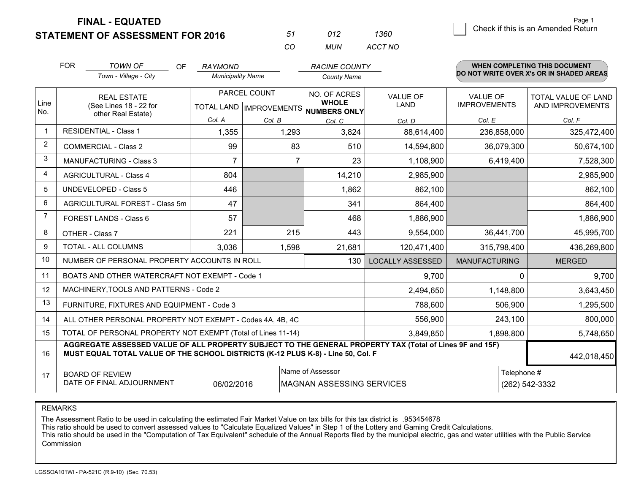**STATEMENT OF ASSESSMENT FOR 2016** 

| 57       | (112) | 1360    |
|----------|-------|---------|
| $\cdots$ | MUN   | ACCT NO |

|                | <b>FOR</b>                                                                                                                                                 | <b>TOWN OF</b><br>OF<br>Town - Village - City                                                                                                                                                | <b>RAYMOND</b><br><b>Municipality Name</b>               |        | <b>RACINE COUNTY</b><br><b>County Name</b> |                         |                                        | WHEN COMPLETING THIS DOCUMENT<br>DO NOT WRITE OVER X's OR IN SHADED AREAS |
|----------------|------------------------------------------------------------------------------------------------------------------------------------------------------------|----------------------------------------------------------------------------------------------------------------------------------------------------------------------------------------------|----------------------------------------------------------|--------|--------------------------------------------|-------------------------|----------------------------------------|---------------------------------------------------------------------------|
| Line<br>No.    | <b>REAL ESTATE</b><br>(See Lines 18 - 22 for<br>other Real Estate)                                                                                         |                                                                                                                                                                                              | PARCEL COUNT<br>TOTAL LAND   IMPROVEMENTS   NUMBERS ONLY |        | NO. OF ACRES<br><b>WHOLE</b>               | <b>VALUE OF</b><br>LAND | <b>VALUE OF</b><br><b>IMPROVEMENTS</b> | <b>TOTAL VALUE OF LAND</b><br>AND IMPROVEMENTS                            |
|                |                                                                                                                                                            |                                                                                                                                                                                              | Col. A                                                   | Col. B | Col. C                                     | Col. D                  | Col. E                                 | Col. F                                                                    |
| $\mathbf{1}$   |                                                                                                                                                            | <b>RESIDENTIAL - Class 1</b>                                                                                                                                                                 | 1,355                                                    | 1,293  | 3,824                                      | 88,614,400              | 236,858,000                            | 325,472,400                                                               |
| 2              |                                                                                                                                                            | <b>COMMERCIAL - Class 2</b>                                                                                                                                                                  | 99                                                       | 83     | 510                                        | 14,594,800              | 36,079,300                             | 50,674,100                                                                |
| 3              |                                                                                                                                                            | <b>MANUFACTURING - Class 3</b>                                                                                                                                                               | $\overline{7}$                                           | 7      | 23                                         | 1,108,900               | 6,419,400                              | 7,528,300                                                                 |
| 4              |                                                                                                                                                            | <b>AGRICULTURAL - Class 4</b>                                                                                                                                                                | 804                                                      |        | 14,210                                     | 2,985,900               |                                        | 2,985,900                                                                 |
| 5              |                                                                                                                                                            | UNDEVELOPED - Class 5                                                                                                                                                                        | 446                                                      |        | 1,862                                      | 862,100                 |                                        | 862,100                                                                   |
| 6              |                                                                                                                                                            | AGRICULTURAL FOREST - Class 5m                                                                                                                                                               | 47                                                       |        | 341                                        | 864,400                 |                                        | 864,400                                                                   |
| $\overline{7}$ |                                                                                                                                                            | FOREST LANDS - Class 6                                                                                                                                                                       | 57                                                       |        | 468                                        | 1,886,900               |                                        | 1,886,900                                                                 |
| 8              |                                                                                                                                                            | OTHER - Class 7                                                                                                                                                                              | 221                                                      | 215    | 443                                        | 9,554,000               | 36,441,700                             | 45,995,700                                                                |
| 9              |                                                                                                                                                            | TOTAL - ALL COLUMNS                                                                                                                                                                          | 3,036                                                    | 1,598  | 21,681                                     | 120,471,400             | 315,798,400                            | 436,269,800                                                               |
| 10             |                                                                                                                                                            | NUMBER OF PERSONAL PROPERTY ACCOUNTS IN ROLL                                                                                                                                                 |                                                          |        | 130                                        | <b>LOCALLY ASSESSED</b> | <b>MANUFACTURING</b>                   | <b>MERGED</b>                                                             |
| 11             |                                                                                                                                                            | BOATS AND OTHER WATERCRAFT NOT EXEMPT - Code 1                                                                                                                                               |                                                          |        |                                            | 9,700                   | $\Omega$                               | 9,700                                                                     |
| 12             |                                                                                                                                                            | MACHINERY, TOOLS AND PATTERNS - Code 2                                                                                                                                                       |                                                          |        |                                            | 2,494,650               | 1,148,800                              | 3,643,450                                                                 |
| 13             |                                                                                                                                                            | FURNITURE, FIXTURES AND EQUIPMENT - Code 3                                                                                                                                                   |                                                          |        |                                            | 788,600                 | 506,900                                | 1,295,500                                                                 |
| 14             |                                                                                                                                                            | ALL OTHER PERSONAL PROPERTY NOT EXEMPT - Codes 4A, 4B, 4C                                                                                                                                    |                                                          |        |                                            | 556,900                 | 243,100                                | 800,000                                                                   |
| 15             |                                                                                                                                                            | TOTAL OF PERSONAL PROPERTY NOT EXEMPT (Total of Lines 11-14)                                                                                                                                 |                                                          |        | 3,849,850                                  | 1,898,800               | 5,748,650                              |                                                                           |
| 16             |                                                                                                                                                            | AGGREGATE ASSESSED VALUE OF ALL PROPERTY SUBJECT TO THE GENERAL PROPERTY TAX (Total of Lines 9F and 15F)<br>MUST EQUAL TOTAL VALUE OF THE SCHOOL DISTRICTS (K-12 PLUS K-8) - Line 50, Col. F |                                                          |        |                                            |                         |                                        | 442,018,450                                                               |
| 17             | Name of Assessor<br>Telephone #<br><b>BOARD OF REVIEW</b><br>DATE OF FINAL ADJOURNMENT<br>06/02/2016<br><b>MAGNAN ASSESSING SERVICES</b><br>(262) 542-3332 |                                                                                                                                                                                              |                                                          |        |                                            |                         |                                        |                                                                           |

REMARKS

The Assessment Ratio to be used in calculating the estimated Fair Market Value on tax bills for this tax district is .953454678<br>This ratio should be used to convert assessed values to "Calculate Equalized Values" in Step 1 Commission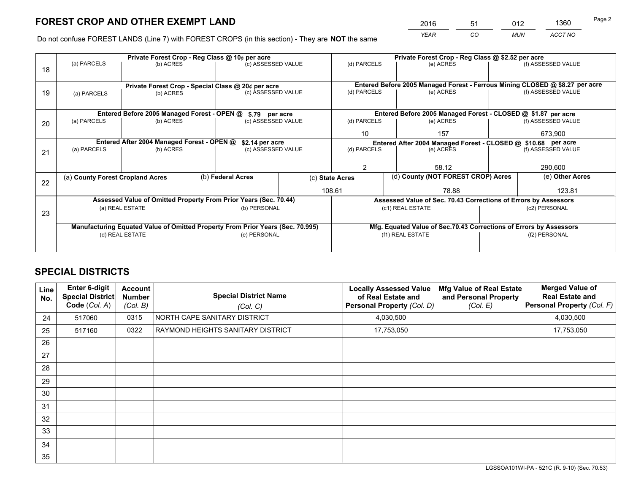*YEAR CO MUN ACCT NO* <sup>2016</sup> <sup>51</sup> <sup>012</sup> <sup>1360</sup>

Do not confuse FOREST LANDS (Line 7) with FOREST CROPS (in this section) - They are **NOT** the same

|    | Private Forest Crop - Reg Class @ 10¢ per acre                                 |                                             |  |                                                                  |                                                                              | Private Forest Crop - Reg Class @ \$2.52 per acre                  |                                                                 |  |                    |  |
|----|--------------------------------------------------------------------------------|---------------------------------------------|--|------------------------------------------------------------------|------------------------------------------------------------------------------|--------------------------------------------------------------------|-----------------------------------------------------------------|--|--------------------|--|
| 18 | (a) PARCELS                                                                    | (b) ACRES                                   |  | (c) ASSESSED VALUE                                               |                                                                              | (d) PARCELS                                                        | (e) ACRES                                                       |  | (f) ASSESSED VALUE |  |
|    |                                                                                |                                             |  |                                                                  |                                                                              |                                                                    |                                                                 |  |                    |  |
|    | Private Forest Crop - Special Class @ 20¢ per acre                             |                                             |  |                                                                  | Entered Before 2005 Managed Forest - Ferrous Mining CLOSED @ \$8.27 per acre |                                                                    |                                                                 |  |                    |  |
| 19 | (a) PARCELS                                                                    | (b) ACRES                                   |  | (c) ASSESSED VALUE                                               |                                                                              | (d) PARCELS                                                        | (e) ACRES                                                       |  | (f) ASSESSED VALUE |  |
|    |                                                                                |                                             |  |                                                                  |                                                                              |                                                                    |                                                                 |  |                    |  |
|    |                                                                                | Entered Before 2005 Managed Forest - OPEN @ |  | \$.79 per acre                                                   |                                                                              |                                                                    | Entered Before 2005 Managed Forest - CLOSED @ \$1.87 per acre   |  |                    |  |
| 20 | (a) PARCELS                                                                    | (b) ACRES                                   |  | (c) ASSESSED VALUE                                               |                                                                              | (d) PARCELS                                                        | (e) ACRES                                                       |  | (f) ASSESSED VALUE |  |
|    |                                                                                |                                             |  |                                                                  |                                                                              | 10                                                                 | 157                                                             |  | 673,900            |  |
|    | Entered After 2004 Managed Forest - OPEN @                                     |                                             |  | \$2.14 per acre                                                  | Entered After 2004 Managed Forest - CLOSED @ \$10.68 per acre                |                                                                    |                                                                 |  | (f) ASSESSED VALUE |  |
| 21 | (a) PARCELS                                                                    | (b) ACRES                                   |  | (c) ASSESSED VALUE                                               |                                                                              | (d) PARCELS                                                        | (e) ACRES                                                       |  |                    |  |
|    |                                                                                |                                             |  |                                                                  |                                                                              |                                                                    |                                                                 |  |                    |  |
|    |                                                                                |                                             |  |                                                                  |                                                                              | $\mathcal{P}$                                                      | 58.12                                                           |  | 290,600            |  |
| 22 | (a) County Forest Cropland Acres                                               |                                             |  | (b) Federal Acres                                                |                                                                              | (d) County (NOT FOREST CROP) Acres<br>(c) State Acres              |                                                                 |  | (e) Other Acres    |  |
|    |                                                                                |                                             |  |                                                                  |                                                                              | 108.61<br>78.88                                                    |                                                                 |  | 123.81             |  |
|    |                                                                                |                                             |  | Assessed Value of Omitted Property From Prior Years (Sec. 70.44) |                                                                              |                                                                    | Assessed Value of Sec. 70.43 Corrections of Errors by Assessors |  |                    |  |
| 23 |                                                                                | (a) REAL ESTATE                             |  | (b) PERSONAL                                                     |                                                                              |                                                                    | (c1) REAL ESTATE                                                |  | (c2) PERSONAL      |  |
|    |                                                                                |                                             |  |                                                                  |                                                                              |                                                                    |                                                                 |  |                    |  |
|    | Manufacturing Equated Value of Omitted Property From Prior Years (Sec. 70.995) |                                             |  |                                                                  |                                                                              | Mfg. Equated Value of Sec.70.43 Corrections of Errors by Assessors |                                                                 |  |                    |  |
|    |                                                                                | (d) REAL ESTATE                             |  | (e) PERSONAL                                                     |                                                                              |                                                                    | (f1) REAL ESTATE                                                |  | (f2) PERSONAL      |  |
|    |                                                                                |                                             |  |                                                                  |                                                                              |                                                                    |                                                                 |  |                    |  |

## **SPECIAL DISTRICTS**

| Line<br>No. | <b>Enter 6-digit</b><br><b>Special District</b><br>Code (Col. A) | <b>Account</b><br><b>Number</b><br>(Col. B) | <b>Special District Name</b><br>(Col. C) | <b>Locally Assessed Value</b><br>of Real Estate and<br><b>Personal Property (Col. D)</b> | Mfg Value of Real Estate<br>and Personal Property<br>(Col. E) | <b>Merged Value of</b><br><b>Real Estate and</b><br>Personal Property (Col. F) |
|-------------|------------------------------------------------------------------|---------------------------------------------|------------------------------------------|------------------------------------------------------------------------------------------|---------------------------------------------------------------|--------------------------------------------------------------------------------|
| 24          | 517060                                                           | 0315                                        | NORTH CAPE SANITARY DISTRICT             | 4,030,500                                                                                |                                                               | 4,030,500                                                                      |
| 25          | 517160                                                           | 0322                                        | RAYMOND HEIGHTS SANITARY DISTRICT        | 17,753,050                                                                               |                                                               | 17,753,050                                                                     |
| 26          |                                                                  |                                             |                                          |                                                                                          |                                                               |                                                                                |
| 27          |                                                                  |                                             |                                          |                                                                                          |                                                               |                                                                                |
| 28          |                                                                  |                                             |                                          |                                                                                          |                                                               |                                                                                |
| 29          |                                                                  |                                             |                                          |                                                                                          |                                                               |                                                                                |
| 30          |                                                                  |                                             |                                          |                                                                                          |                                                               |                                                                                |
| 31          |                                                                  |                                             |                                          |                                                                                          |                                                               |                                                                                |
| 32          |                                                                  |                                             |                                          |                                                                                          |                                                               |                                                                                |
| 33          |                                                                  |                                             |                                          |                                                                                          |                                                               |                                                                                |
| 34          |                                                                  |                                             |                                          |                                                                                          |                                                               |                                                                                |
| 35          |                                                                  |                                             |                                          |                                                                                          |                                                               |                                                                                |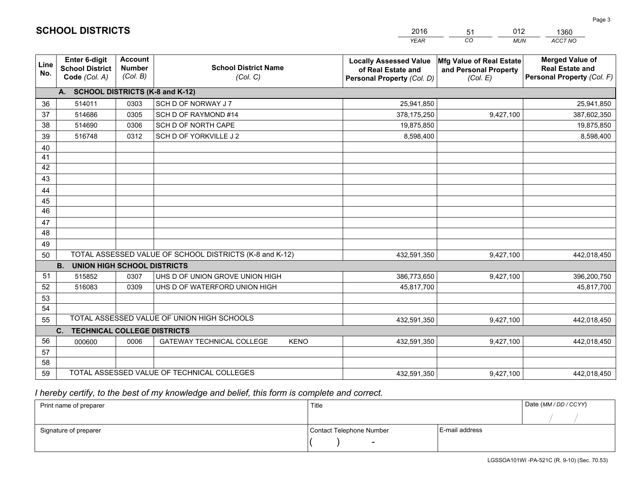|             |                                                          |                                             |                                                         | <b>YEAR</b>                                                                       | CO<br><b>MUN</b>                                              | ACCT NO                                                                        |
|-------------|----------------------------------------------------------|---------------------------------------------|---------------------------------------------------------|-----------------------------------------------------------------------------------|---------------------------------------------------------------|--------------------------------------------------------------------------------|
| Line<br>No. | Enter 6-digit<br><b>School District</b><br>Code (Col. A) | <b>Account</b><br><b>Number</b><br>(Col. B) | <b>School District Name</b><br>(Col. C)                 | <b>Locally Assessed Value</b><br>of Real Estate and<br>Personal Property (Col. D) | Mfg Value of Real Estate<br>and Personal Property<br>(Col. E) | <b>Merged Value of</b><br><b>Real Estate and</b><br>Personal Property (Col. F) |
|             | A. SCHOOL DISTRICTS (K-8 and K-12)                       |                                             |                                                         |                                                                                   |                                                               |                                                                                |
| 36          | 514011                                                   | 0303                                        | SCH D OF NORWAY J 7                                     | 25,941,850                                                                        |                                                               | 25,941,850                                                                     |
| 37          | 514686                                                   | 0305                                        | SCH D OF RAYMOND #14                                    | 378,175,250                                                                       | 9,427,100                                                     | 387,602,350                                                                    |
| 38          | 514690                                                   | 0306                                        | SCH D OF NORTH CAPE                                     | 19,875,850                                                                        |                                                               | 19,875,850                                                                     |
| 39          | 516748                                                   | 0312                                        | SCH D OF YORKVILLE J 2                                  | 8,598,400                                                                         |                                                               | 8,598,400                                                                      |
| 40          |                                                          |                                             |                                                         |                                                                                   |                                                               |                                                                                |
| 41          |                                                          |                                             |                                                         |                                                                                   |                                                               |                                                                                |
| 42          |                                                          |                                             |                                                         |                                                                                   |                                                               |                                                                                |
| 43          |                                                          |                                             |                                                         |                                                                                   |                                                               |                                                                                |
| 44          |                                                          |                                             |                                                         |                                                                                   |                                                               |                                                                                |
| 45          |                                                          |                                             |                                                         |                                                                                   |                                                               |                                                                                |
| 46          |                                                          |                                             |                                                         |                                                                                   |                                                               |                                                                                |
| 47          |                                                          |                                             |                                                         |                                                                                   |                                                               |                                                                                |
| 48          |                                                          |                                             |                                                         |                                                                                   |                                                               |                                                                                |
| 49          |                                                          |                                             |                                                         |                                                                                   |                                                               |                                                                                |
| 50          |                                                          |                                             | TOTAL ASSESSED VALUE OF SCHOOL DISTRICTS (K-8 and K-12) | 432,591,350                                                                       | 9,427,100                                                     | 442,018,450                                                                    |
|             | <b>B.</b><br><b>UNION HIGH SCHOOL DISTRICTS</b>          |                                             |                                                         |                                                                                   |                                                               |                                                                                |
| 51          | 515852                                                   | 0307                                        | UHS D OF UNION GROVE UNION HIGH                         | 386,773,650                                                                       | 9,427,100                                                     | 396,200,750                                                                    |
| 52          | 516083                                                   | 0309                                        | UHS D OF WATERFORD UNION HIGH                           | 45,817,700                                                                        |                                                               | 45,817,700                                                                     |
| 53          |                                                          |                                             |                                                         |                                                                                   |                                                               |                                                                                |
| 54          |                                                          |                                             |                                                         |                                                                                   |                                                               |                                                                                |
| 55          |                                                          |                                             | TOTAL ASSESSED VALUE OF UNION HIGH SCHOOLS              | 432,591,350                                                                       | 9,427,100                                                     | 442,018,450                                                                    |
|             | C.<br><b>TECHNICAL COLLEGE DISTRICTS</b>                 |                                             |                                                         |                                                                                   |                                                               |                                                                                |
| 56          | 000600                                                   | 0006                                        | <b>GATEWAY TECHNICAL COLLEGE</b><br><b>KENO</b>         | 432,591,350                                                                       | 9,427,100                                                     | 442,018,450                                                                    |
| 57          |                                                          |                                             |                                                         |                                                                                   |                                                               |                                                                                |
| 58          |                                                          |                                             |                                                         |                                                                                   |                                                               |                                                                                |
| 59          |                                                          |                                             | TOTAL ASSESSED VALUE OF TECHNICAL COLLEGES              | 432,591,350                                                                       | 9,427,100                                                     | 442,018,450                                                                    |

51

012

 *I hereby certify, to the best of my knowledge and belief, this form is complete and correct.*

**SCHOOL DISTRICTS**

| Print name of preparer | Title                    |                | Date (MM / DD / CCYY) |
|------------------------|--------------------------|----------------|-----------------------|
|                        |                          |                |                       |
| Signature of preparer  | Contact Telephone Number | E-mail address |                       |
|                        | $\overline{\phantom{0}}$ |                |                       |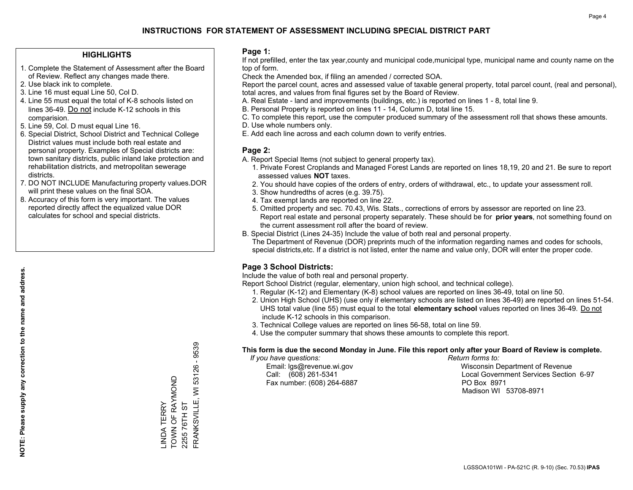## **HIGHLIGHTS**

- 1. Complete the Statement of Assessment after the Board of Review. Reflect any changes made there.
- 2. Use black ink to complete.
- 3. Line 16 must equal Line 50, Col D.
- 4. Line 55 must equal the total of K-8 schools listed on lines 36-49. Do not include K-12 schools in this comparision.
- 5. Line 59, Col. D must equal Line 16.
- 6. Special District, School District and Technical College District values must include both real estate and personal property. Examples of Special districts are: town sanitary districts, public inland lake protection and rehabilitation districts, and metropolitan sewerage districts.
- 7. DO NOT INCLUDE Manufacturing property values.DOR will print these values on the final SOA.

LINDA TERRY

TOWN OF RAYMOND

\_INDA TERRY<br>TOWN OF RAYMOND

2255 76TH ST

2255 76TH ST

FRANKSVILLE, WI 53126 - 9539

FRANKSVILLE, WI 53126 -

9539

 8. Accuracy of this form is very important. The values reported directly affect the equalized value DOR calculates for school and special districts.

### **Page 1:**

 If not prefilled, enter the tax year,county and municipal code,municipal type, municipal name and county name on the top of form.

Check the Amended box, if filing an amended / corrected SOA.

 Report the parcel count, acres and assessed value of taxable general property, total parcel count, (real and personal), total acres, and values from final figures set by the Board of Review.

- A. Real Estate land and improvements (buildings, etc.) is reported on lines 1 8, total line 9.
- B. Personal Property is reported on lines 11 14, Column D, total line 15.
- C. To complete this report, use the computer produced summary of the assessment roll that shows these amounts.
- D. Use whole numbers only.
- E. Add each line across and each column down to verify entries.

### **Page 2:**

- A. Report Special Items (not subject to general property tax).
- 1. Private Forest Croplands and Managed Forest Lands are reported on lines 18,19, 20 and 21. Be sure to report assessed values **NOT** taxes.
- 2. You should have copies of the orders of entry, orders of withdrawal, etc., to update your assessment roll.
	- 3. Show hundredths of acres (e.g. 39.75).
- 4. Tax exempt lands are reported on line 22.
- 5. Omitted property and sec. 70.43, Wis. Stats., corrections of errors by assessor are reported on line 23. Report real estate and personal property separately. These should be for **prior years**, not something found on the current assessment roll after the board of review.
- B. Special District (Lines 24-35) Include the value of both real and personal property.
- The Department of Revenue (DOR) preprints much of the information regarding names and codes for schools, special districts,etc. If a district is not listed, enter the name and value only, DOR will enter the proper code.

## **Page 3 School Districts:**

Include the value of both real and personal property.

Report School District (regular, elementary, union high school, and technical college).

- 1. Regular (K-12) and Elementary (K-8) school values are reported on lines 36-49, total on line 50.
- 2. Union High School (UHS) (use only if elementary schools are listed on lines 36-49) are reported on lines 51-54. UHS total value (line 55) must equal to the total **elementary school** values reported on lines 36-49. Do notinclude K-12 schools in this comparison.
- 3. Technical College values are reported on lines 56-58, total on line 59.
- 4. Use the computer summary that shows these amounts to complete this report.

#### **This form is due the second Monday in June. File this report only after your Board of Review is complete.**

 *If you have questions: Return forms to:*

Fax number: (608) 264-6887 PO Box 8971

 Email: lgs@revenue.wi.gov Wisconsin Department of Revenue Call: (608) 261-5341 Local Government Services Section 6-97Madison WI 53708-8971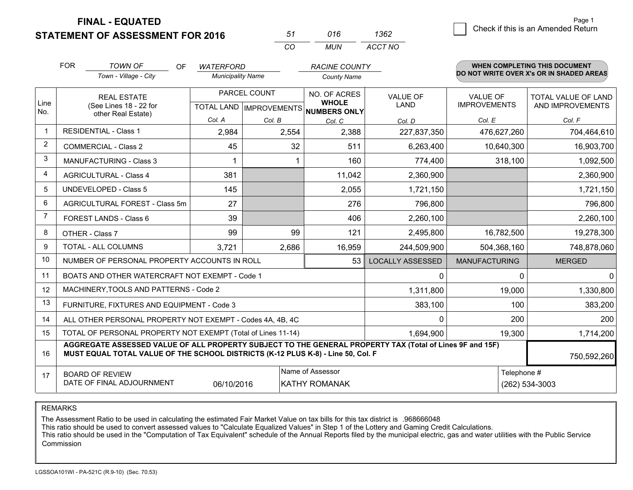**STATEMENT OF ASSESSMENT FOR 2016** 

| 51       | 016  | 1362    |
|----------|------|---------|
| $\cdots$ | MUN. | ACCT NO |

|                | <b>FOR</b><br><b>TOWN OF</b><br><b>OF</b><br><b>WATERFORD</b><br><b>RACINE COUNTY</b><br>Town - Village - City<br><b>Municipality Name</b>                                                   |                                                              |            |              | <b>WHEN COMPLETING THIS DOCUMENT</b><br>DO NOT WRITE OVER X's OR IN SHADED AREAS |                         |                      |                     |  |  |
|----------------|----------------------------------------------------------------------------------------------------------------------------------------------------------------------------------------------|--------------------------------------------------------------|------------|--------------|----------------------------------------------------------------------------------|-------------------------|----------------------|---------------------|--|--|
|                |                                                                                                                                                                                              |                                                              |            |              | <b>County Name</b>                                                               |                         |                      |                     |  |  |
|                | <b>REAL ESTATE</b>                                                                                                                                                                           |                                                              |            | PARCEL COUNT | <b>NO. OF ACRES</b>                                                              | <b>VALUE OF</b>         | <b>VALUE OF</b>      | TOTAL VALUE OF LAND |  |  |
| Line<br>No.    |                                                                                                                                                                                              | (See Lines 18 - 22 for<br>other Real Estate)                 |            |              | <b>WHOLE</b><br>TOTAL LAND   IMPROVEMENTS   NUMBERS ONLY                         | <b>LAND</b>             | <b>IMPROVEMENTS</b>  | AND IMPROVEMENTS    |  |  |
|                |                                                                                                                                                                                              |                                                              | Col. A     | Col. B       | Col. C                                                                           | Col. D                  | Col. E               | Col. F              |  |  |
|                |                                                                                                                                                                                              | <b>RESIDENTIAL - Class 1</b>                                 | 2,984      | 2,554        | 2,388                                                                            | 227,837,350             | 476,627,260          | 704,464,610         |  |  |
| 2              |                                                                                                                                                                                              | <b>COMMERCIAL - Class 2</b>                                  | 45         | 32           | 511                                                                              | 6,263,400               | 10,640,300           | 16,903,700          |  |  |
| 3              |                                                                                                                                                                                              | <b>MANUFACTURING - Class 3</b>                               |            |              | 160                                                                              | 774,400                 | 318,100              | 1,092,500           |  |  |
| 4              |                                                                                                                                                                                              | <b>AGRICULTURAL - Class 4</b>                                | 381        |              | 11,042                                                                           | 2,360,900               |                      | 2,360,900           |  |  |
| 5              |                                                                                                                                                                                              | UNDEVELOPED - Class 5                                        | 145        |              | 2,055                                                                            | 1,721,150               |                      | 1,721,150           |  |  |
| 6              |                                                                                                                                                                                              | AGRICULTURAL FOREST - Class 5m                               | 27         |              | 276                                                                              | 796,800                 |                      | 796,800             |  |  |
| $\overline{7}$ |                                                                                                                                                                                              | FOREST LANDS - Class 6                                       | 39         |              | 406                                                                              | 2,260,100               |                      | 2,260,100           |  |  |
| 8              |                                                                                                                                                                                              | OTHER - Class 7                                              | 99         | 99           | 121                                                                              | 2,495,800               | 16,782,500           | 19,278,300          |  |  |
| 9              |                                                                                                                                                                                              | TOTAL - ALL COLUMNS                                          | 3,721      | 2,686        | 16,959                                                                           | 244,509,900             | 504,368,160          | 748,878,060         |  |  |
| 10             |                                                                                                                                                                                              | NUMBER OF PERSONAL PROPERTY ACCOUNTS IN ROLL                 |            |              | 53                                                                               | <b>LOCALLY ASSESSED</b> | <b>MANUFACTURING</b> | <b>MERGED</b>       |  |  |
| 11             |                                                                                                                                                                                              | BOATS AND OTHER WATERCRAFT NOT EXEMPT - Code 1               |            |              |                                                                                  | $\mathbf{0}$            | 0                    | $\overline{0}$      |  |  |
| 12             |                                                                                                                                                                                              | MACHINERY, TOOLS AND PATTERNS - Code 2                       |            |              |                                                                                  | 1,311,800               | 19,000               | 1,330,800           |  |  |
| 13             |                                                                                                                                                                                              | FURNITURE, FIXTURES AND EQUIPMENT - Code 3                   |            |              |                                                                                  | 383,100                 | 100                  | 383,200             |  |  |
| 14             |                                                                                                                                                                                              | ALL OTHER PERSONAL PROPERTY NOT EXEMPT - Codes 4A, 4B, 4C    |            |              |                                                                                  | 0                       | 200                  | 200                 |  |  |
| 15             |                                                                                                                                                                                              | TOTAL OF PERSONAL PROPERTY NOT EXEMPT (Total of Lines 11-14) |            | 1,694,900    | 19,300                                                                           | 1,714,200               |                      |                     |  |  |
| 16             | AGGREGATE ASSESSED VALUE OF ALL PROPERTY SUBJECT TO THE GENERAL PROPERTY TAX (Total of Lines 9F and 15F)<br>MUST EQUAL TOTAL VALUE OF THE SCHOOL DISTRICTS (K-12 PLUS K-8) - Line 50, Col. F |                                                              |            |              |                                                                                  |                         | 750,592,260          |                     |  |  |
| 17             |                                                                                                                                                                                              | <b>BOARD OF REVIEW</b>                                       |            |              | Name of Assessor                                                                 |                         | Telephone #          |                     |  |  |
|                |                                                                                                                                                                                              | DATE OF FINAL ADJOURNMENT                                    | 06/10/2016 |              | <b>KATHY ROMANAK</b>                                                             |                         |                      | (262) 534-3003      |  |  |

REMARKS

The Assessment Ratio to be used in calculating the estimated Fair Market Value on tax bills for this tax district is .968666048

This ratio should be used to convert assessed values to "Calculate Equalized Values" in Step 1 of the Lottery and Gaming Credit Calculations.<br>This ratio should be used in the "Computation of Tax Equivalent" schedule of the Commission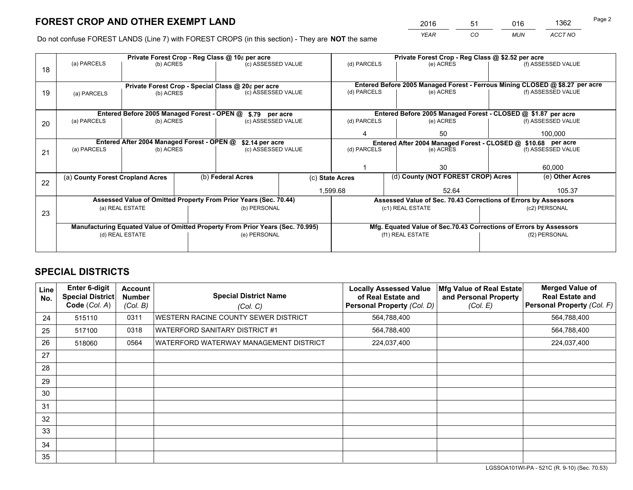*YEAR CO MUN ACCT NO* <sup>2016</sup> <sup>51</sup> <sup>016</sup> <sup>1362</sup>

Do not confuse FOREST LANDS (Line 7) with FOREST CROPS (in this section) - They are **NOT** the same

|    |                                                               |                                             |  | Private Forest Crop - Reg Class @ 10¢ per acre                                 |          | Private Forest Crop - Reg Class @ \$2.52 per acre                            |                                                                    |               |                    |
|----|---------------------------------------------------------------|---------------------------------------------|--|--------------------------------------------------------------------------------|----------|------------------------------------------------------------------------------|--------------------------------------------------------------------|---------------|--------------------|
| 18 | (a) PARCELS                                                   | (b) ACRES                                   |  | (c) ASSESSED VALUE                                                             |          | (d) PARCELS                                                                  | (e) ACRES                                                          |               | (f) ASSESSED VALUE |
|    |                                                               |                                             |  |                                                                                |          |                                                                              |                                                                    |               |                    |
|    |                                                               |                                             |  | Private Forest Crop - Special Class @ 20¢ per acre                             |          | Entered Before 2005 Managed Forest - Ferrous Mining CLOSED @ \$8.27 per acre |                                                                    |               |                    |
| 19 | (a) PARCELS                                                   | (b) ACRES                                   |  | (c) ASSESSED VALUE                                                             |          | (d) PARCELS                                                                  | (e) ACRES                                                          |               | (f) ASSESSED VALUE |
|    |                                                               |                                             |  |                                                                                |          |                                                                              |                                                                    |               |                    |
|    |                                                               | Entered Before 2005 Managed Forest - OPEN @ |  | \$.79 per acre                                                                 |          |                                                                              | Entered Before 2005 Managed Forest - CLOSED @ \$1.87 per acre      |               |                    |
| 20 | (a) PARCELS                                                   | (b) ACRES                                   |  | (c) ASSESSED VALUE                                                             |          | (d) PARCELS                                                                  | (e) ACRES                                                          |               | (f) ASSESSED VALUE |
|    |                                                               |                                             |  |                                                                                |          | 50                                                                           |                                                                    | 100,000       |                    |
|    | Entered After 2004 Managed Forest - OPEN @<br>\$2.14 per acre |                                             |  |                                                                                |          | Entered After 2004 Managed Forest - CLOSED @ \$10.68 per acre                |                                                                    |               |                    |
| 21 | (a) PARCELS                                                   | (b) ACRES                                   |  | (c) ASSESSED VALUE                                                             |          | (d) PARCELS                                                                  | (e) ACRES                                                          |               | (f) ASSESSED VALUE |
|    |                                                               |                                             |  |                                                                                |          |                                                                              |                                                                    |               |                    |
|    |                                                               |                                             |  |                                                                                |          |                                                                              | 30                                                                 |               | 60,000             |
| 22 | (a) County Forest Cropland Acres                              |                                             |  | (b) Federal Acres                                                              |          | (c) State Acres                                                              | (d) County (NOT FOREST CROP) Acres                                 |               | (e) Other Acres    |
|    |                                                               |                                             |  |                                                                                | 1,599.68 |                                                                              | 52.64                                                              |               | 105.37             |
|    |                                                               |                                             |  | Assessed Value of Omitted Property From Prior Years (Sec. 70.44)               |          |                                                                              | Assessed Value of Sec. 70.43 Corrections of Errors by Assessors    |               |                    |
| 23 |                                                               | (a) REAL ESTATE                             |  | (b) PERSONAL                                                                   |          |                                                                              | (c1) REAL ESTATE                                                   |               | (c2) PERSONAL      |
|    |                                                               |                                             |  |                                                                                |          |                                                                              |                                                                    |               |                    |
|    |                                                               |                                             |  | Manufacturing Equated Value of Omitted Property From Prior Years (Sec. 70.995) |          |                                                                              | Mfg. Equated Value of Sec.70.43 Corrections of Errors by Assessors |               |                    |
|    |                                                               | (d) REAL ESTATE                             |  | (e) PERSONAL                                                                   |          | (f1) REAL ESTATE                                                             |                                                                    | (f2) PERSONAL |                    |
|    |                                                               |                                             |  |                                                                                |          |                                                                              |                                                                    |               |                    |

## **SPECIAL DISTRICTS**

| Line<br>No. | <b>Enter 6-digit</b><br><b>Special District</b><br>Code (Col. A) | Account<br><b>Number</b><br>(Col. B) | <b>Special District Name</b><br>(Col. C) | <b>Locally Assessed Value</b><br>of Real Estate and<br><b>Personal Property (Col. D)</b> | Mfg Value of Real Estate<br>and Personal Property<br>(Col. E) | <b>Merged Value of</b><br><b>Real Estate and</b><br>Personal Property (Col. F) |
|-------------|------------------------------------------------------------------|--------------------------------------|------------------------------------------|------------------------------------------------------------------------------------------|---------------------------------------------------------------|--------------------------------------------------------------------------------|
| 24          | 515110                                                           | 0311                                 | WESTERN RACINE COUNTY SEWER DISTRICT     | 564,788,400                                                                              |                                                               | 564,788,400                                                                    |
| 25          | 517100                                                           | 0318                                 | WATERFORD SANITARY DISTRICT #1           | 564,788,400                                                                              |                                                               | 564,788,400                                                                    |
| 26          | 518060                                                           | 0564                                 | WATERFORD WATERWAY MANAGEMENT DISTRICT   | 224,037,400                                                                              |                                                               | 224,037,400                                                                    |
| 27          |                                                                  |                                      |                                          |                                                                                          |                                                               |                                                                                |
| 28          |                                                                  |                                      |                                          |                                                                                          |                                                               |                                                                                |
| 29          |                                                                  |                                      |                                          |                                                                                          |                                                               |                                                                                |
| 30          |                                                                  |                                      |                                          |                                                                                          |                                                               |                                                                                |
| 31          |                                                                  |                                      |                                          |                                                                                          |                                                               |                                                                                |
| 32          |                                                                  |                                      |                                          |                                                                                          |                                                               |                                                                                |
| 33          |                                                                  |                                      |                                          |                                                                                          |                                                               |                                                                                |
| 34          |                                                                  |                                      |                                          |                                                                                          |                                                               |                                                                                |
| 35          |                                                                  |                                      |                                          |                                                                                          |                                                               |                                                                                |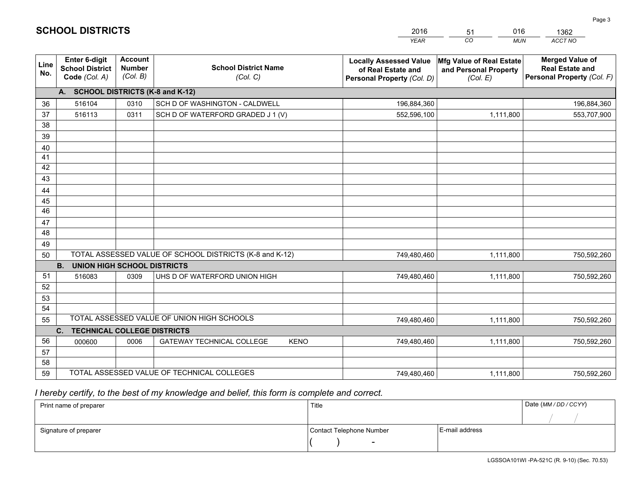|             |                                                          |                                             |                                                         | <b>YEAR</b>                                                                       | CO<br><b>MUN</b>                                              | ACCT NO                                                                        |
|-------------|----------------------------------------------------------|---------------------------------------------|---------------------------------------------------------|-----------------------------------------------------------------------------------|---------------------------------------------------------------|--------------------------------------------------------------------------------|
| Line<br>No. | Enter 6-digit<br><b>School District</b><br>Code (Col. A) | <b>Account</b><br><b>Number</b><br>(Col. B) | <b>School District Name</b><br>(Col. C)                 | <b>Locally Assessed Value</b><br>of Real Estate and<br>Personal Property (Col. D) | Mfg Value of Real Estate<br>and Personal Property<br>(Col. E) | <b>Merged Value of</b><br><b>Real Estate and</b><br>Personal Property (Col. F) |
|             | А.                                                       |                                             | <b>SCHOOL DISTRICTS (K-8 and K-12)</b>                  |                                                                                   |                                                               |                                                                                |
| 36          | 516104                                                   | 0310                                        | SCH D OF WASHINGTON - CALDWELL                          | 196,884,360                                                                       |                                                               | 196,884,360                                                                    |
| 37          | 516113                                                   | 0311                                        | SCH D OF WATERFORD GRADED J 1 (V)                       | 552,596,100                                                                       | 1,111,800                                                     | 553,707,900                                                                    |
| 38          |                                                          |                                             |                                                         |                                                                                   |                                                               |                                                                                |
| 39          |                                                          |                                             |                                                         |                                                                                   |                                                               |                                                                                |
| 40          |                                                          |                                             |                                                         |                                                                                   |                                                               |                                                                                |
| 41          |                                                          |                                             |                                                         |                                                                                   |                                                               |                                                                                |
| 42          |                                                          |                                             |                                                         |                                                                                   |                                                               |                                                                                |
| 43          |                                                          |                                             |                                                         |                                                                                   |                                                               |                                                                                |
| 44<br>45    |                                                          |                                             |                                                         |                                                                                   |                                                               |                                                                                |
| 46          |                                                          |                                             |                                                         |                                                                                   |                                                               |                                                                                |
| 47          |                                                          |                                             |                                                         |                                                                                   |                                                               |                                                                                |
| 48          |                                                          |                                             |                                                         |                                                                                   |                                                               |                                                                                |
| 49          |                                                          |                                             |                                                         |                                                                                   |                                                               |                                                                                |
| 50          |                                                          |                                             | TOTAL ASSESSED VALUE OF SCHOOL DISTRICTS (K-8 and K-12) | 749,480,460                                                                       | 1,111,800                                                     | 750,592,260                                                                    |
|             | <b>B.</b><br><b>UNION HIGH SCHOOL DISTRICTS</b>          |                                             |                                                         |                                                                                   |                                                               |                                                                                |
| 51          | 516083                                                   | 0309                                        | UHS D OF WATERFORD UNION HIGH                           | 749,480,460                                                                       | 1,111,800                                                     | 750,592,260                                                                    |
| 52          |                                                          |                                             |                                                         |                                                                                   |                                                               |                                                                                |
| 53          |                                                          |                                             |                                                         |                                                                                   |                                                               |                                                                                |
| 54          |                                                          |                                             |                                                         |                                                                                   |                                                               |                                                                                |
| 55          |                                                          |                                             | TOTAL ASSESSED VALUE OF UNION HIGH SCHOOLS              | 749,480,460                                                                       | 1,111,800                                                     | 750,592,260                                                                    |
|             | C.<br><b>TECHNICAL COLLEGE DISTRICTS</b>                 |                                             |                                                         |                                                                                   |                                                               |                                                                                |
| 56          | 000600                                                   | 0006                                        | <b>GATEWAY TECHNICAL COLLEGE</b><br><b>KENO</b>         | 749,480,460                                                                       | 1,111,800                                                     | 750,592,260                                                                    |
| 57          |                                                          |                                             |                                                         |                                                                                   |                                                               |                                                                                |
| 58          |                                                          |                                             |                                                         |                                                                                   |                                                               |                                                                                |
| 59          |                                                          |                                             | TOTAL ASSESSED VALUE OF TECHNICAL COLLEGES              | 749,480,460                                                                       | 1,111,800                                                     | 750,592,260                                                                    |

51

016

 *I hereby certify, to the best of my knowledge and belief, this form is complete and correct.*

**SCHOOL DISTRICTS**

| Print name of preparer | Title                    |                | Date (MM / DD / CCYY) |
|------------------------|--------------------------|----------------|-----------------------|
|                        |                          |                |                       |
| Signature of preparer  | Contact Telephone Number | E-mail address |                       |
|                        | $\sim$                   |                |                       |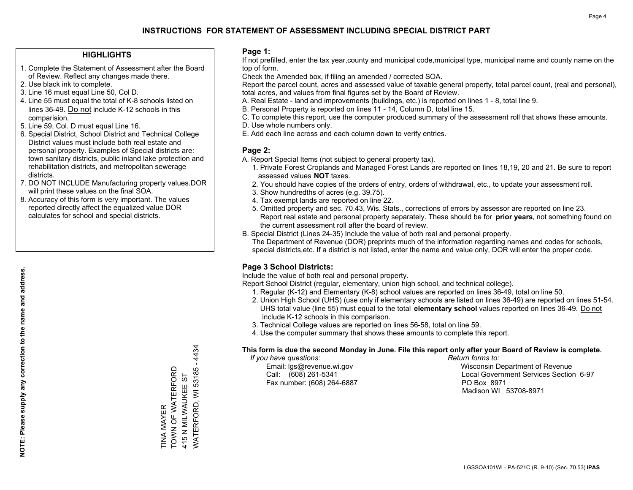## **HIGHLIGHTS**

- 1. Complete the Statement of Assessment after the Board of Review. Reflect any changes made there.
- 2. Use black ink to complete.
- 3. Line 16 must equal Line 50, Col D.
- 4. Line 55 must equal the total of K-8 schools listed on lines 36-49. Do not include K-12 schools in this comparision.
- 5. Line 59, Col. D must equal Line 16.
- 6. Special District, School District and Technical College District values must include both real estate and personal property. Examples of Special districts are: town sanitary districts, public inland lake protection and rehabilitation districts, and metropolitan sewerage districts.
- 7. DO NOT INCLUDE Manufacturing property values.DOR will print these values on the final SOA.
- 8. Accuracy of this form is very important. The values reported directly affect the equalized value DOR calculates for school and special districts.

### **Page 1:**

 If not prefilled, enter the tax year,county and municipal code,municipal type, municipal name and county name on the top of form.

Check the Amended box, if filing an amended / corrected SOA.

 Report the parcel count, acres and assessed value of taxable general property, total parcel count, (real and personal), total acres, and values from final figures set by the Board of Review.

- A. Real Estate land and improvements (buildings, etc.) is reported on lines 1 8, total line 9.
- B. Personal Property is reported on lines 11 14, Column D, total line 15.
- C. To complete this report, use the computer produced summary of the assessment roll that shows these amounts.
- D. Use whole numbers only.
- E. Add each line across and each column down to verify entries.

## **Page 2:**

- A. Report Special Items (not subject to general property tax).
- 1. Private Forest Croplands and Managed Forest Lands are reported on lines 18,19, 20 and 21. Be sure to report assessed values **NOT** taxes.
- 2. You should have copies of the orders of entry, orders of withdrawal, etc., to update your assessment roll.
	- 3. Show hundredths of acres (e.g. 39.75).
- 4. Tax exempt lands are reported on line 22.
- 5. Omitted property and sec. 70.43, Wis. Stats., corrections of errors by assessor are reported on line 23. Report real estate and personal property separately. These should be for **prior years**, not something found on the current assessment roll after the board of review.
- B. Special District (Lines 24-35) Include the value of both real and personal property.
- The Department of Revenue (DOR) preprints much of the information regarding names and codes for schools, special districts,etc. If a district is not listed, enter the name and value only, DOR will enter the proper code.

## **Page 3 School Districts:**

Include the value of both real and personal property.

Report School District (regular, elementary, union high school, and technical college).

- 1. Regular (K-12) and Elementary (K-8) school values are reported on lines 36-49, total on line 50.
- 2. Union High School (UHS) (use only if elementary schools are listed on lines 36-49) are reported on lines 51-54. UHS total value (line 55) must equal to the total **elementary school** values reported on lines 36-49. Do notinclude K-12 schools in this comparison.
- 3. Technical College values are reported on lines 56-58, total on line 59.
- 4. Use the computer summary that shows these amounts to complete this report.

#### **This form is due the second Monday in June. File this report only after your Board of Review is complete.**

 *If you have questions: Return forms to:*

Fax number: (608) 264-6887 PO Box 8971

 Email: lgs@revenue.wi.gov Wisconsin Department of Revenue Call: (608) 261-5341 Local Government Services Section 6-97Madison WI 53708-8971

WATERFORD, WI 53185 - 4434 WATERFORD, WI 53185 - 4434 TOWN OF WATERFORD TINA MAYER<br>TOWN OF WATERFORD 415 N MILWAUKEE ST 415 N MILWAUKEE ST TINA MAYER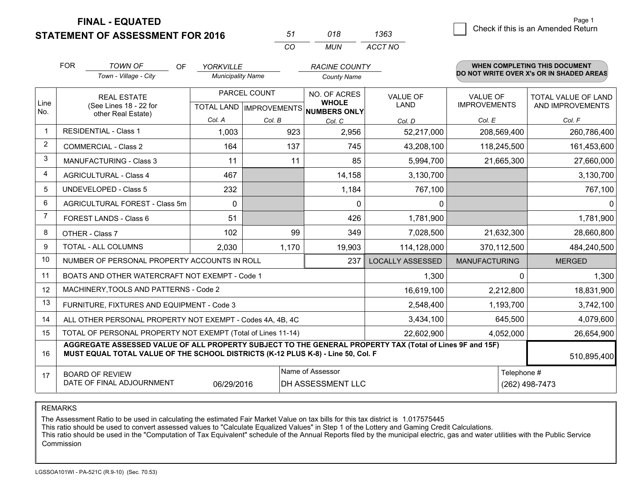**STATEMENT OF ASSESSMENT FOR 2016** 

| 51 | 018 | 1363    |
|----|-----|---------|
| (  | MUN | ACCT NO |

|                | <b>FOR</b><br><b>TOWN OF</b><br><b>OF</b><br><b>YORKVILLE</b><br><b>Municipality Name</b>                                                                                                    |                                                           | <b>RACINE COUNTY</b> |                                                          |                    | <b>WHEN COMPLETING THIS DOCUMENT</b><br>DO NOT WRITE OVER X's OR IN SHADED AREAS |                      |                            |
|----------------|----------------------------------------------------------------------------------------------------------------------------------------------------------------------------------------------|-----------------------------------------------------------|----------------------|----------------------------------------------------------|--------------------|----------------------------------------------------------------------------------|----------------------|----------------------------|
|                |                                                                                                                                                                                              | Town - Village - City                                     |                      |                                                          | <b>County Name</b> |                                                                                  |                      |                            |
|                |                                                                                                                                                                                              | <b>REAL ESTATE</b>                                        |                      | PARCEL COUNT                                             | NO. OF ACRES       | <b>VALUE OF</b>                                                                  | <b>VALUE OF</b>      | <b>TOTAL VALUE OF LAND</b> |
| Line<br>No.    | (See Lines 18 - 22 for<br>other Real Estate)                                                                                                                                                 |                                                           |                      | <b>WHOLE</b><br>TOTAL LAND   IMPROVEMENTS   NUMBERS ONLY | LAND               | <b>IMPROVEMENTS</b>                                                              | AND IMPROVEMENTS     |                            |
|                |                                                                                                                                                                                              |                                                           | Col. A               | Col. B                                                   | Col. C             | Col. D                                                                           | Col. E               | Col. F                     |
|                |                                                                                                                                                                                              | <b>RESIDENTIAL - Class 1</b>                              | 1,003                | 923                                                      | 2,956              | 52,217,000                                                                       | 208,569,400          | 260,786,400                |
| 2              |                                                                                                                                                                                              | <b>COMMERCIAL - Class 2</b>                               | 164                  | 137                                                      | 745                | 43,208,100                                                                       | 118,245,500          | 161,453,600                |
| 3              |                                                                                                                                                                                              | <b>MANUFACTURING - Class 3</b>                            | 11                   | 11                                                       | 85                 | 5,994,700                                                                        | 21,665,300           | 27,660,000                 |
| 4              |                                                                                                                                                                                              | <b>AGRICULTURAL - Class 4</b>                             | 467                  |                                                          | 14,158             | 3,130,700                                                                        |                      | 3,130,700                  |
| 5              |                                                                                                                                                                                              | <b>UNDEVELOPED - Class 5</b>                              | 232                  |                                                          | 1,184              | 767,100                                                                          |                      | 767,100                    |
| 6              |                                                                                                                                                                                              | AGRICULTURAL FOREST - Class 5m                            | $\mathbf{0}$         |                                                          | $\mathbf{0}$       | 0                                                                                |                      | 0                          |
| $\overline{7}$ |                                                                                                                                                                                              | FOREST LANDS - Class 6                                    | 51                   |                                                          | 426                | 1,781,900                                                                        |                      | 1,781,900                  |
| 8              |                                                                                                                                                                                              | OTHER - Class 7                                           | 102                  | 99                                                       | 349                | 7,028,500                                                                        | 21,632,300           | 28,660,800                 |
| 9              |                                                                                                                                                                                              | TOTAL - ALL COLUMNS                                       | 2,030                | 1,170                                                    | 19,903             | 114,128,000                                                                      | 370,112,500          | 484,240,500                |
| 10             |                                                                                                                                                                                              | NUMBER OF PERSONAL PROPERTY ACCOUNTS IN ROLL              |                      |                                                          | 237                | <b>LOCALLY ASSESSED</b>                                                          | <b>MANUFACTURING</b> | <b>MERGED</b>              |
| 11             |                                                                                                                                                                                              | BOATS AND OTHER WATERCRAFT NOT EXEMPT - Code 1            |                      |                                                          |                    | 1,300                                                                            | $\Omega$             | 1,300                      |
| 12             |                                                                                                                                                                                              | MACHINERY, TOOLS AND PATTERNS - Code 2                    |                      |                                                          |                    | 16,619,100                                                                       | 2,212,800            | 18,831,900                 |
| 13             |                                                                                                                                                                                              | FURNITURE, FIXTURES AND EQUIPMENT - Code 3                |                      |                                                          |                    | 2,548,400                                                                        | 1,193,700            | 3,742,100                  |
| 14             |                                                                                                                                                                                              | ALL OTHER PERSONAL PROPERTY NOT EXEMPT - Codes 4A, 4B, 4C |                      |                                                          |                    | 3,434,100                                                                        | 645,500              | 4,079,600                  |
| 15             | TOTAL OF PERSONAL PROPERTY NOT EXEMPT (Total of Lines 11-14)<br>22,602,900                                                                                                                   |                                                           |                      |                                                          |                    |                                                                                  | 4,052,000            | 26,654,900                 |
| 16             | AGGREGATE ASSESSED VALUE OF ALL PROPERTY SUBJECT TO THE GENERAL PROPERTY TAX (Total of Lines 9F and 15F)<br>MUST EQUAL TOTAL VALUE OF THE SCHOOL DISTRICTS (K-12 PLUS K-8) - Line 50, Col. F |                                                           |                      |                                                          |                    |                                                                                  |                      | 510,895,400                |
| 17             |                                                                                                                                                                                              | <b>BOARD OF REVIEW</b>                                    |                      |                                                          | Name of Assessor   |                                                                                  | Telephone #          |                            |
|                |                                                                                                                                                                                              | DATE OF FINAL ADJOURNMENT                                 | 06/29/2016           |                                                          | DH ASSESSMENT LLC  |                                                                                  |                      | (262) 498-7473             |

REMARKS

The Assessment Ratio to be used in calculating the estimated Fair Market Value on tax bills for this tax district is 1.017575445

This ratio should be used to convert assessed values to "Calculate Equalized Values" in Step 1 of the Lottery and Gaming Credit Calculations.<br>This ratio should be used in the "Computation of Tax Equivalent" schedule of the Commission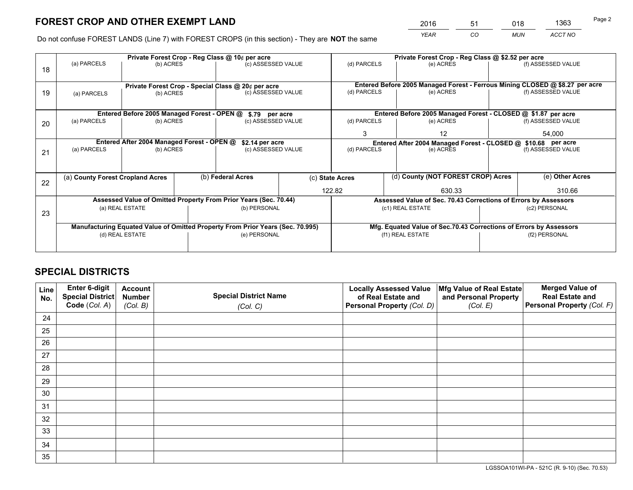*YEAR CO MUN ACCT NO* <sup>2016</sup> <sup>51</sup> <sup>018</sup> <sup>1363</sup>

Do not confuse FOREST LANDS (Line 7) with FOREST CROPS (in this section) - They are **NOT** the same

|    | Private Forest Crop - Reg Class @ 10¢ per acre                                 |                                             |  |                                                                  |  |                                                                              | Private Forest Crop - Reg Class @ \$2.52 per acre                  |                    |                                                                 |  |
|----|--------------------------------------------------------------------------------|---------------------------------------------|--|------------------------------------------------------------------|--|------------------------------------------------------------------------------|--------------------------------------------------------------------|--------------------|-----------------------------------------------------------------|--|
| 18 | (a) PARCELS                                                                    | (b) ACRES                                   |  | (c) ASSESSED VALUE                                               |  | (d) PARCELS                                                                  | (e) ACRES                                                          |                    | (f) ASSESSED VALUE                                              |  |
|    |                                                                                |                                             |  |                                                                  |  |                                                                              |                                                                    |                    |                                                                 |  |
|    | Private Forest Crop - Special Class @ 20¢ per acre                             |                                             |  |                                                                  |  | Entered Before 2005 Managed Forest - Ferrous Mining CLOSED @ \$8.27 per acre |                                                                    |                    |                                                                 |  |
| 19 | (a) PARCELS                                                                    | (b) ACRES                                   |  | (c) ASSESSED VALUE                                               |  | (d) PARCELS                                                                  | (e) ACRES                                                          |                    | (f) ASSESSED VALUE                                              |  |
|    |                                                                                |                                             |  |                                                                  |  |                                                                              |                                                                    |                    |                                                                 |  |
|    |                                                                                | Entered Before 2005 Managed Forest - OPEN @ |  | \$.79 per acre                                                   |  |                                                                              | Entered Before 2005 Managed Forest - CLOSED @ \$1.87 per acre      |                    |                                                                 |  |
| 20 | (a) PARCELS                                                                    | (b) ACRES                                   |  | (c) ASSESSED VALUE                                               |  | (d) PARCELS                                                                  | (e) ACRES                                                          |                    | (f) ASSESSED VALUE                                              |  |
|    |                                                                                |                                             |  |                                                                  |  | 3                                                                            | 12                                                                 |                    | 54,000                                                          |  |
|    | Entered After 2004 Managed Forest - OPEN @<br>\$2.14 per acre                  |                                             |  |                                                                  |  | Entered After 2004 Managed Forest - CLOSED @ \$10.68 per acre                |                                                                    |                    |                                                                 |  |
| 21 | (a) PARCELS                                                                    | (b) ACRES                                   |  | (c) ASSESSED VALUE                                               |  | (d) PARCELS<br>(e) ACRES                                                     |                                                                    | (f) ASSESSED VALUE |                                                                 |  |
|    |                                                                                |                                             |  |                                                                  |  |                                                                              |                                                                    |                    |                                                                 |  |
|    | (a) County Forest Cropland Acres                                               |                                             |  | (b) Federal Acres                                                |  | (d) County (NOT FOREST CROP) Acres<br>(c) State Acres                        |                                                                    |                    | (e) Other Acres                                                 |  |
| 22 |                                                                                |                                             |  |                                                                  |  |                                                                              |                                                                    |                    |                                                                 |  |
|    |                                                                                |                                             |  |                                                                  |  | 122.82                                                                       | 630.33                                                             |                    | 310.66                                                          |  |
|    |                                                                                |                                             |  | Assessed Value of Omitted Property From Prior Years (Sec. 70.44) |  |                                                                              |                                                                    |                    | Assessed Value of Sec. 70.43 Corrections of Errors by Assessors |  |
| 23 |                                                                                | (a) REAL ESTATE                             |  | (b) PERSONAL                                                     |  |                                                                              | (c1) REAL ESTATE                                                   | (c2) PERSONAL      |                                                                 |  |
|    |                                                                                |                                             |  |                                                                  |  |                                                                              |                                                                    |                    |                                                                 |  |
|    | Manufacturing Equated Value of Omitted Property From Prior Years (Sec. 70.995) |                                             |  |                                                                  |  |                                                                              | Mfg. Equated Value of Sec.70.43 Corrections of Errors by Assessors |                    |                                                                 |  |
|    |                                                                                | (d) REAL ESTATE                             |  | (e) PERSONAL                                                     |  | (f1) REAL ESTATE                                                             |                                                                    |                    | (f2) PERSONAL                                                   |  |
|    |                                                                                |                                             |  |                                                                  |  |                                                                              |                                                                    |                    |                                                                 |  |

## **SPECIAL DISTRICTS**

| Line<br>No. | Enter 6-digit<br>Special District<br>Code (Col. A) | <b>Account</b><br><b>Number</b> | <b>Special District Name</b> | <b>Locally Assessed Value</b><br>of Real Estate and | Mfg Value of Real Estate<br>and Personal Property | <b>Merged Value of</b><br><b>Real Estate and</b><br>Personal Property (Col. F) |
|-------------|----------------------------------------------------|---------------------------------|------------------------------|-----------------------------------------------------|---------------------------------------------------|--------------------------------------------------------------------------------|
|             |                                                    | (Col. B)                        | (Col. C)                     | Personal Property (Col. D)                          | (Col. E)                                          |                                                                                |
| 24          |                                                    |                                 |                              |                                                     |                                                   |                                                                                |
| 25          |                                                    |                                 |                              |                                                     |                                                   |                                                                                |
| 26          |                                                    |                                 |                              |                                                     |                                                   |                                                                                |
| 27          |                                                    |                                 |                              |                                                     |                                                   |                                                                                |
| 28          |                                                    |                                 |                              |                                                     |                                                   |                                                                                |
| 29          |                                                    |                                 |                              |                                                     |                                                   |                                                                                |
| 30          |                                                    |                                 |                              |                                                     |                                                   |                                                                                |
| 31          |                                                    |                                 |                              |                                                     |                                                   |                                                                                |
| 32          |                                                    |                                 |                              |                                                     |                                                   |                                                                                |
| 33          |                                                    |                                 |                              |                                                     |                                                   |                                                                                |
| 34          |                                                    |                                 |                              |                                                     |                                                   |                                                                                |
| 35          |                                                    |                                 |                              |                                                     |                                                   |                                                                                |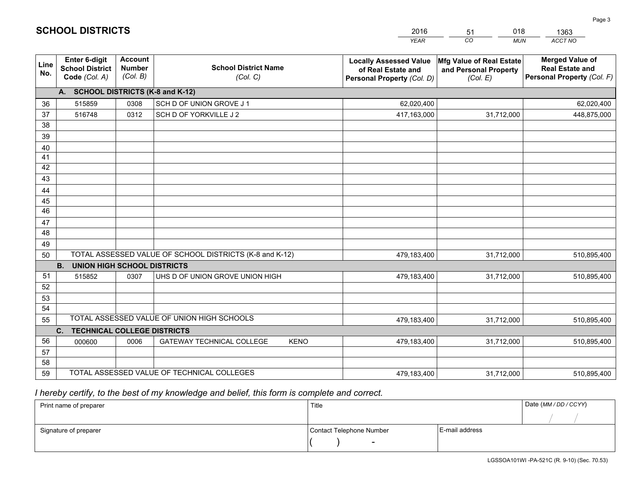|             |                                                                 |                                             |                                                         | <b>YEAR</b>                                                                       | CO<br><b>MUN</b>                                              | ACCT NO                                                                        |
|-------------|-----------------------------------------------------------------|---------------------------------------------|---------------------------------------------------------|-----------------------------------------------------------------------------------|---------------------------------------------------------------|--------------------------------------------------------------------------------|
| Line<br>No. | <b>Enter 6-digit</b><br><b>School District</b><br>Code (Col. A) | <b>Account</b><br><b>Number</b><br>(Col. B) | <b>School District Name</b><br>(Col. C)                 | <b>Locally Assessed Value</b><br>of Real Estate and<br>Personal Property (Col. D) | Mfg Value of Real Estate<br>and Personal Property<br>(Col. E) | <b>Merged Value of</b><br><b>Real Estate and</b><br>Personal Property (Col. F) |
|             | A. SCHOOL DISTRICTS (K-8 and K-12)                              |                                             |                                                         |                                                                                   |                                                               |                                                                                |
| 36          | 515859                                                          | 0308                                        | SCH D OF UNION GROVE J 1                                | 62,020,400                                                                        |                                                               | 62,020,400                                                                     |
| 37          | 516748                                                          | 0312                                        | SCH D OF YORKVILLE J 2                                  | 417,163,000                                                                       | 31,712,000                                                    | 448,875,000                                                                    |
| 38          |                                                                 |                                             |                                                         |                                                                                   |                                                               |                                                                                |
| 39          |                                                                 |                                             |                                                         |                                                                                   |                                                               |                                                                                |
| 40          |                                                                 |                                             |                                                         |                                                                                   |                                                               |                                                                                |
| 41          |                                                                 |                                             |                                                         |                                                                                   |                                                               |                                                                                |
| 42          |                                                                 |                                             |                                                         |                                                                                   |                                                               |                                                                                |
| 43          |                                                                 |                                             |                                                         |                                                                                   |                                                               |                                                                                |
| 44          |                                                                 |                                             |                                                         |                                                                                   |                                                               |                                                                                |
| 45<br>46    |                                                                 |                                             |                                                         |                                                                                   |                                                               |                                                                                |
| 47          |                                                                 |                                             |                                                         |                                                                                   |                                                               |                                                                                |
| 48          |                                                                 |                                             |                                                         |                                                                                   |                                                               |                                                                                |
| 49          |                                                                 |                                             |                                                         |                                                                                   |                                                               |                                                                                |
| 50          |                                                                 |                                             | TOTAL ASSESSED VALUE OF SCHOOL DISTRICTS (K-8 and K-12) | 479,183,400                                                                       | 31,712,000                                                    | 510,895,400                                                                    |
|             | <b>B.</b><br><b>UNION HIGH SCHOOL DISTRICTS</b>                 |                                             |                                                         |                                                                                   |                                                               |                                                                                |
| 51          | 515852                                                          | 0307                                        | UHS D OF UNION GROVE UNION HIGH                         | 479,183,400                                                                       | 31,712,000                                                    | 510,895,400                                                                    |
| 52          |                                                                 |                                             |                                                         |                                                                                   |                                                               |                                                                                |
| 53          |                                                                 |                                             |                                                         |                                                                                   |                                                               |                                                                                |
| 54          |                                                                 |                                             |                                                         |                                                                                   |                                                               |                                                                                |
| 55          |                                                                 |                                             | TOTAL ASSESSED VALUE OF UNION HIGH SCHOOLS              | 479,183,400                                                                       | 31,712,000                                                    | 510,895,400                                                                    |
|             | C.<br><b>TECHNICAL COLLEGE DISTRICTS</b>                        |                                             |                                                         |                                                                                   |                                                               |                                                                                |
| 56          | 000600                                                          | 0006                                        | <b>GATEWAY TECHNICAL COLLEGE</b><br><b>KENO</b>         | 479,183,400                                                                       | 31,712,000                                                    | 510,895,400                                                                    |
| 57          |                                                                 |                                             |                                                         |                                                                                   |                                                               |                                                                                |
| 58          |                                                                 |                                             |                                                         |                                                                                   |                                                               |                                                                                |
| 59          |                                                                 |                                             | TOTAL ASSESSED VALUE OF TECHNICAL COLLEGES              | 479,183,400                                                                       | 31,712,000                                                    | 510,895,400                                                                    |

51

018

 *I hereby certify, to the best of my knowledge and belief, this form is complete and correct.*

**SCHOOL DISTRICTS**

| Print name of preparer | Title                    | Date (MM / DD / CCYY) |  |
|------------------------|--------------------------|-----------------------|--|
|                        |                          |                       |  |
| Signature of preparer  | Contact Telephone Number | E-mail address        |  |
|                        | $\sim$                   |                       |  |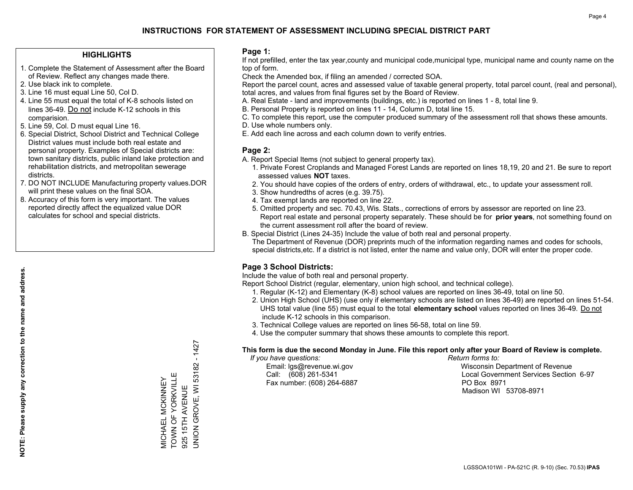## **HIGHLIGHTS**

- 1. Complete the Statement of Assessment after the Board of Review. Reflect any changes made there.
- 2. Use black ink to complete.
- 3. Line 16 must equal Line 50, Col D.
- 4. Line 55 must equal the total of K-8 schools listed on lines 36-49. Do not include K-12 schools in this comparision.
- 5. Line 59, Col. D must equal Line 16.
- 6. Special District, School District and Technical College District values must include both real estate and personal property. Examples of Special districts are: town sanitary districts, public inland lake protection and rehabilitation districts, and metropolitan sewerage districts.
- 7. DO NOT INCLUDE Manufacturing property values.DOR will print these values on the final SOA.

MICHAEL MCKINNEY TOWN OF YORKVILLE 925 15TH AVENUE

**MICHAEL MCKINNEY**<br>TOWN OF YORKVILLE

UNION GROVE, WI 53182 - 1427

JNION GROVE, WI 53182

925 15TH AVENUE

 $-1427$ 

 8. Accuracy of this form is very important. The values reported directly affect the equalized value DOR calculates for school and special districts.

### **Page 1:**

 If not prefilled, enter the tax year,county and municipal code,municipal type, municipal name and county name on the top of form.

Check the Amended box, if filing an amended / corrected SOA.

 Report the parcel count, acres and assessed value of taxable general property, total parcel count, (real and personal), total acres, and values from final figures set by the Board of Review.

- A. Real Estate land and improvements (buildings, etc.) is reported on lines 1 8, total line 9.
- B. Personal Property is reported on lines 11 14, Column D, total line 15.
- C. To complete this report, use the computer produced summary of the assessment roll that shows these amounts.
- D. Use whole numbers only.
- E. Add each line across and each column down to verify entries.

### **Page 2:**

- A. Report Special Items (not subject to general property tax).
- 1. Private Forest Croplands and Managed Forest Lands are reported on lines 18,19, 20 and 21. Be sure to report assessed values **NOT** taxes.
- 2. You should have copies of the orders of entry, orders of withdrawal, etc., to update your assessment roll.
	- 3. Show hundredths of acres (e.g. 39.75).
- 4. Tax exempt lands are reported on line 22.
- 5. Omitted property and sec. 70.43, Wis. Stats., corrections of errors by assessor are reported on line 23. Report real estate and personal property separately. These should be for **prior years**, not something found on the current assessment roll after the board of review.
- B. Special District (Lines 24-35) Include the value of both real and personal property.
- The Department of Revenue (DOR) preprints much of the information regarding names and codes for schools, special districts,etc. If a district is not listed, enter the name and value only, DOR will enter the proper code.

## **Page 3 School Districts:**

Include the value of both real and personal property.

Report School District (regular, elementary, union high school, and technical college).

- 1. Regular (K-12) and Elementary (K-8) school values are reported on lines 36-49, total on line 50.
- 2. Union High School (UHS) (use only if elementary schools are listed on lines 36-49) are reported on lines 51-54. UHS total value (line 55) must equal to the total **elementary school** values reported on lines 36-49. Do notinclude K-12 schools in this comparison.
- 3. Technical College values are reported on lines 56-58, total on line 59.
- 4. Use the computer summary that shows these amounts to complete this report.

#### **This form is due the second Monday in June. File this report only after your Board of Review is complete.**

 *If you have questions: Return forms to:*

Fax number: (608) 264-6887 PO Box 8971

 Email: lgs@revenue.wi.gov Wisconsin Department of Revenue Call: (608) 261-5341 Local Government Services Section 6-97Madison WI 53708-8971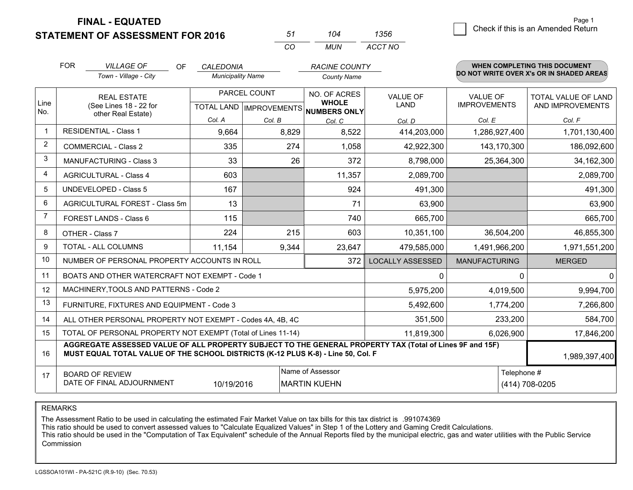**STATEMENT OF ASSESSMENT FOR 2016** 

| 51  | 104 | 1356    |
|-----|-----|---------|
| CO. | MUN | ACCT NO |

|             | <b>FOR</b><br><b>VILLAGE OF</b><br>OF.<br>Town - Village - City                                                                                                                              | <b>CALEDONIA</b><br><b>Municipality Name</b> |                                                            | <b>RACINE COUNTY</b><br><b>County Name</b> |                                |                                        | WHEN COMPLETING THIS DOCUMENT<br>DO NOT WRITE OVER X's OR IN SHADED AREAS |
|-------------|----------------------------------------------------------------------------------------------------------------------------------------------------------------------------------------------|----------------------------------------------|------------------------------------------------------------|--------------------------------------------|--------------------------------|----------------------------------------|---------------------------------------------------------------------------|
| Line<br>No. | <b>REAL ESTATE</b><br>(See Lines 18 - 22 for<br>other Real Estate)                                                                                                                           |                                              | PARCEL COUNT<br>TOTAL LAND   IMPROVEMENTS <br>NUMBERS ONLY |                                            | <b>VALUE OF</b><br><b>LAND</b> | <b>VALUE OF</b><br><b>IMPROVEMENTS</b> | <b>TOTAL VALUE OF LAND</b><br>AND IMPROVEMENTS                            |
|             |                                                                                                                                                                                              | Col. A                                       | Col. B                                                     | Col. C                                     | Col. D                         | Col. E                                 | Col. F                                                                    |
| $\mathbf 1$ | <b>RESIDENTIAL - Class 1</b>                                                                                                                                                                 | 9,664                                        | 8,829                                                      | 8,522                                      | 414,203,000                    | 1,286,927,400                          | 1,701,130,400                                                             |
| 2           | <b>COMMERCIAL - Class 2</b>                                                                                                                                                                  | 335                                          | 274                                                        | 1,058                                      | 42,922,300                     | 143,170,300                            | 186,092,600                                                               |
| 3           | <b>MANUFACTURING - Class 3</b>                                                                                                                                                               | 33                                           | 26                                                         | 372                                        | 8,798,000                      | 25,364,300                             | 34,162,300                                                                |
| 4           | <b>AGRICULTURAL - Class 4</b>                                                                                                                                                                | 603                                          |                                                            | 11,357                                     | 2,089,700                      |                                        | 2,089,700                                                                 |
| 5           | UNDEVELOPED - Class 5                                                                                                                                                                        | 167                                          |                                                            | 924                                        | 491,300                        |                                        | 491,300                                                                   |
| 6           | AGRICULTURAL FOREST - Class 5m                                                                                                                                                               | 13                                           |                                                            | 71                                         | 63,900                         |                                        | 63,900                                                                    |
| 7           | FOREST LANDS - Class 6                                                                                                                                                                       | 115                                          |                                                            | 740                                        | 665,700                        |                                        | 665,700                                                                   |
| 8           | OTHER - Class 7                                                                                                                                                                              | 224                                          | 215                                                        | 603                                        | 10,351,100                     | 36,504,200                             | 46,855,300                                                                |
| 9           | TOTAL - ALL COLUMNS                                                                                                                                                                          | 11,154                                       | 9,344                                                      | 23,647                                     | 479,585,000                    | 1,491,966,200                          | 1,971,551,200                                                             |
| 10          | NUMBER OF PERSONAL PROPERTY ACCOUNTS IN ROLL                                                                                                                                                 |                                              |                                                            | 372                                        | <b>LOCALLY ASSESSED</b>        | <b>MANUFACTURING</b>                   | <b>MERGED</b>                                                             |
| 11          | BOATS AND OTHER WATERCRAFT NOT EXEMPT - Code 1                                                                                                                                               |                                              |                                                            |                                            | 0                              |                                        | $\mathbf{0}$<br>0                                                         |
| 12          | MACHINERY, TOOLS AND PATTERNS - Code 2                                                                                                                                                       |                                              |                                                            |                                            | 5,975,200                      | 4,019,500                              | 9,994,700                                                                 |
| 13          | FURNITURE, FIXTURES AND EQUIPMENT - Code 3                                                                                                                                                   |                                              |                                                            |                                            | 5,492,600                      | 1,774,200                              | 7,266,800                                                                 |
| 14          | ALL OTHER PERSONAL PROPERTY NOT EXEMPT - Codes 4A, 4B, 4C                                                                                                                                    |                                              | 351,500                                                    | 233,200                                    | 584,700                        |                                        |                                                                           |
| 15          | TOTAL OF PERSONAL PROPERTY NOT EXEMPT (Total of Lines 11-14)<br>11,819,300                                                                                                                   |                                              |                                                            |                                            |                                |                                        | 6,026,900<br>17,846,200                                                   |
| 16          | AGGREGATE ASSESSED VALUE OF ALL PROPERTY SUBJECT TO THE GENERAL PROPERTY TAX (Total of Lines 9F and 15F)<br>MUST EQUAL TOTAL VALUE OF THE SCHOOL DISTRICTS (K-12 PLUS K-8) - Line 50, Col. F |                                              |                                                            |                                            |                                |                                        | 1,989,397,400                                                             |
| 17          | Name of Assessor<br><b>BOARD OF REVIEW</b><br>DATE OF FINAL ADJOURNMENT<br>10/19/2016<br><b>MARTIN KUEHN</b>                                                                                 |                                              |                                                            |                                            |                                |                                        | Telephone #<br>(414) 708-0205                                             |

REMARKS

The Assessment Ratio to be used in calculating the estimated Fair Market Value on tax bills for this tax district is .991074369

This ratio should be used to convert assessed values to "Calculate Equalized Values" in Step 1 of the Lottery and Gaming Credit Calculations.<br>This ratio should be used in the "Computation of Tax Equivalent" schedule of the Commission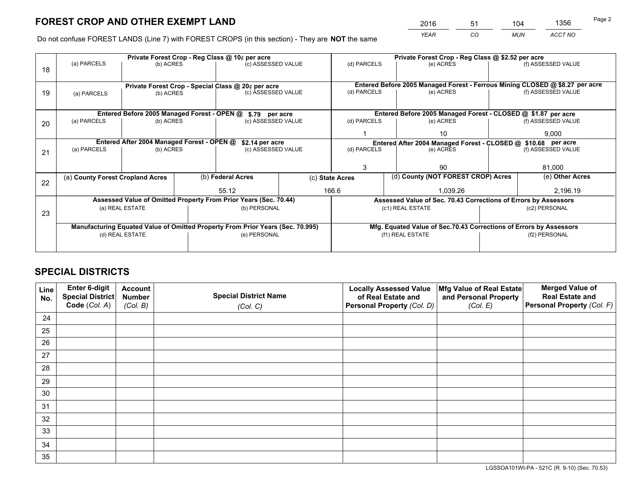*YEAR CO MUN ACCT NO* <sup>2016</sup> <sup>51</sup> <sup>104</sup> <sup>1356</sup>

Do not confuse FOREST LANDS (Line 7) with FOREST CROPS (in this section) - They are **NOT** the same

| (f) ASSESSED VALUE<br>Entered Before 2005 Managed Forest - Ferrous Mining CLOSED @ \$8.27 per acre<br>(f) ASSESSED VALUE |  |  |  |
|--------------------------------------------------------------------------------------------------------------------------|--|--|--|
|                                                                                                                          |  |  |  |
|                                                                                                                          |  |  |  |
|                                                                                                                          |  |  |  |
|                                                                                                                          |  |  |  |
|                                                                                                                          |  |  |  |
| Entered Before 2005 Managed Forest - CLOSED @ \$1.87 per acre                                                            |  |  |  |
| (f) ASSESSED VALUE                                                                                                       |  |  |  |
| 9,000                                                                                                                    |  |  |  |
| Entered After 2004 Managed Forest - CLOSED @ \$10.68 per acre                                                            |  |  |  |
| (f) ASSESSED VALUE                                                                                                       |  |  |  |
|                                                                                                                          |  |  |  |
| 81,000                                                                                                                   |  |  |  |
| (e) Other Acres                                                                                                          |  |  |  |
| 2,196.19                                                                                                                 |  |  |  |
| Assessed Value of Sec. 70.43 Corrections of Errors by Assessors                                                          |  |  |  |
|                                                                                                                          |  |  |  |
|                                                                                                                          |  |  |  |
| Mfg. Equated Value of Sec.70.43 Corrections of Errors by Assessors                                                       |  |  |  |
|                                                                                                                          |  |  |  |
| (f2) PERSONAL                                                                                                            |  |  |  |
| (c2) PERSONAL                                                                                                            |  |  |  |

## **SPECIAL DISTRICTS**

| Line<br>No. | Enter 6-digit<br>Special District<br>Code (Col. A) | <b>Account</b><br><b>Number</b><br>(Col. B) | <b>Special District Name</b><br>(Col. C) | <b>Locally Assessed Value</b><br>of Real Estate and<br>Personal Property (Col. D) | Mfg Value of Real Estate<br>and Personal Property<br>(Col. E) | <b>Merged Value of</b><br><b>Real Estate and</b><br>Personal Property (Col. F) |
|-------------|----------------------------------------------------|---------------------------------------------|------------------------------------------|-----------------------------------------------------------------------------------|---------------------------------------------------------------|--------------------------------------------------------------------------------|
| 24          |                                                    |                                             |                                          |                                                                                   |                                                               |                                                                                |
| 25          |                                                    |                                             |                                          |                                                                                   |                                                               |                                                                                |
| 26          |                                                    |                                             |                                          |                                                                                   |                                                               |                                                                                |
| 27          |                                                    |                                             |                                          |                                                                                   |                                                               |                                                                                |
| 28          |                                                    |                                             |                                          |                                                                                   |                                                               |                                                                                |
| 29          |                                                    |                                             |                                          |                                                                                   |                                                               |                                                                                |
| 30          |                                                    |                                             |                                          |                                                                                   |                                                               |                                                                                |
| 31          |                                                    |                                             |                                          |                                                                                   |                                                               |                                                                                |
| 32          |                                                    |                                             |                                          |                                                                                   |                                                               |                                                                                |
| 33          |                                                    |                                             |                                          |                                                                                   |                                                               |                                                                                |
| 34          |                                                    |                                             |                                          |                                                                                   |                                                               |                                                                                |
| 35          |                                                    |                                             |                                          |                                                                                   |                                                               |                                                                                |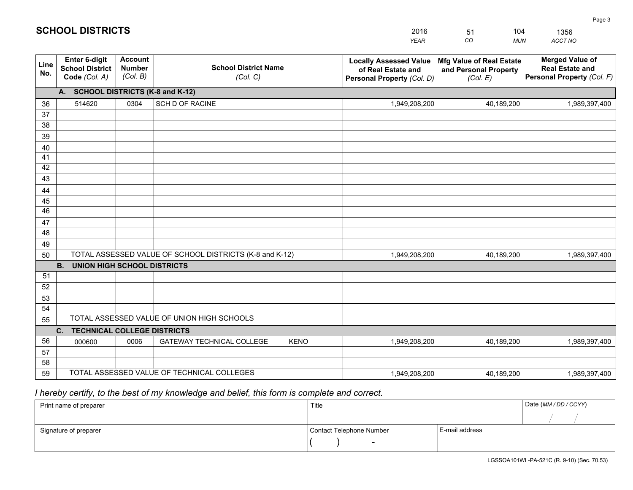|             |                                                                 |                                             |                                                         | <b>YEAR</b>                                                                       | CO<br><b>MUN</b>                                              | ACCT NO                                                                        |
|-------------|-----------------------------------------------------------------|---------------------------------------------|---------------------------------------------------------|-----------------------------------------------------------------------------------|---------------------------------------------------------------|--------------------------------------------------------------------------------|
| Line<br>No. | <b>Enter 6-digit</b><br><b>School District</b><br>Code (Col. A) | <b>Account</b><br><b>Number</b><br>(Col. B) | <b>School District Name</b><br>(Col. C)                 | <b>Locally Assessed Value</b><br>of Real Estate and<br>Personal Property (Col. D) | Mfg Value of Real Estate<br>and Personal Property<br>(Col. E) | <b>Merged Value of</b><br><b>Real Estate and</b><br>Personal Property (Col. F) |
|             | A. SCHOOL DISTRICTS (K-8 and K-12)                              |                                             |                                                         |                                                                                   |                                                               |                                                                                |
| 36          | 514620                                                          | 0304                                        | <b>SCH D OF RACINE</b>                                  | 1,949,208,200                                                                     | 40,189,200                                                    | 1,989,397,400                                                                  |
| 37          |                                                                 |                                             |                                                         |                                                                                   |                                                               |                                                                                |
| 38          |                                                                 |                                             |                                                         |                                                                                   |                                                               |                                                                                |
| 39          |                                                                 |                                             |                                                         |                                                                                   |                                                               |                                                                                |
| 40          |                                                                 |                                             |                                                         |                                                                                   |                                                               |                                                                                |
| 41<br>42    |                                                                 |                                             |                                                         |                                                                                   |                                                               |                                                                                |
| 43          |                                                                 |                                             |                                                         |                                                                                   |                                                               |                                                                                |
| 44          |                                                                 |                                             |                                                         |                                                                                   |                                                               |                                                                                |
| 45          |                                                                 |                                             |                                                         |                                                                                   |                                                               |                                                                                |
| 46          |                                                                 |                                             |                                                         |                                                                                   |                                                               |                                                                                |
| 47          |                                                                 |                                             |                                                         |                                                                                   |                                                               |                                                                                |
| 48          |                                                                 |                                             |                                                         |                                                                                   |                                                               |                                                                                |
| 49          |                                                                 |                                             |                                                         |                                                                                   |                                                               |                                                                                |
| 50          |                                                                 |                                             | TOTAL ASSESSED VALUE OF SCHOOL DISTRICTS (K-8 and K-12) | 1,949,208,200                                                                     | 40,189,200                                                    | 1,989,397,400                                                                  |
|             | <b>B.</b><br><b>UNION HIGH SCHOOL DISTRICTS</b>                 |                                             |                                                         |                                                                                   |                                                               |                                                                                |
| 51          |                                                                 |                                             |                                                         |                                                                                   |                                                               |                                                                                |
| 52          |                                                                 |                                             |                                                         |                                                                                   |                                                               |                                                                                |
| 53          |                                                                 |                                             |                                                         |                                                                                   |                                                               |                                                                                |
| 54          |                                                                 |                                             | TOTAL ASSESSED VALUE OF UNION HIGH SCHOOLS              |                                                                                   |                                                               |                                                                                |
| 55          |                                                                 |                                             |                                                         |                                                                                   |                                                               |                                                                                |
| 56          | C.<br><b>TECHNICAL COLLEGE DISTRICTS</b>                        |                                             |                                                         |                                                                                   |                                                               |                                                                                |
| 57          | 000600                                                          | 0006                                        | <b>GATEWAY TECHNICAL COLLEGE</b><br><b>KENO</b>         | 1,949,208,200                                                                     | 40,189,200                                                    | 1,989,397,400                                                                  |
| 58          |                                                                 |                                             |                                                         |                                                                                   |                                                               |                                                                                |
| 59          |                                                                 |                                             | TOTAL ASSESSED VALUE OF TECHNICAL COLLEGES              | 1,949,208,200                                                                     | 40,189,200                                                    | 1,989,397,400                                                                  |

51

104

 *I hereby certify, to the best of my knowledge and belief, this form is complete and correct.*

**SCHOOL DISTRICTS**

| Print name of preparer | Title                    |                | Date (MM / DD / CCYY) |
|------------------------|--------------------------|----------------|-----------------------|
|                        |                          |                |                       |
| Signature of preparer  | Contact Telephone Number | E-mail address |                       |
|                        | $\overline{\phantom{0}}$ |                |                       |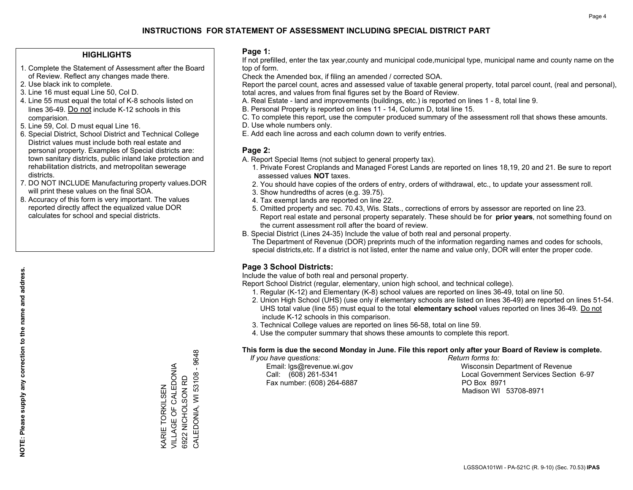## **HIGHLIGHTS**

- 1. Complete the Statement of Assessment after the Board of Review. Reflect any changes made there.
- 2. Use black ink to complete.
- 3. Line 16 must equal Line 50, Col D.
- 4. Line 55 must equal the total of K-8 schools listed on lines 36-49. Do not include K-12 schools in this comparision.
- 5. Line 59, Col. D must equal Line 16.
- 6. Special District, School District and Technical College District values must include both real estate and personal property. Examples of Special districts are: town sanitary districts, public inland lake protection and rehabilitation districts, and metropolitan sewerage districts.
- 7. DO NOT INCLUDE Manufacturing property values.DOR will print these values on the final SOA.

KARIE TORKILSEN VILLAGE OF CALEDONIA 6922 NICHOLSON RD

**VARIE TORKILSEN** 

VILLAGE OF CALEDONIA

CALEDONIA, WI 53108 - 9648

CALEDONIA, WI 53108 6922 NICHOLSON RD

 $-9648$ 

 8. Accuracy of this form is very important. The values reported directly affect the equalized value DOR calculates for school and special districts.

### **Page 1:**

 If not prefilled, enter the tax year,county and municipal code,municipal type, municipal name and county name on the top of form.

Check the Amended box, if filing an amended / corrected SOA.

 Report the parcel count, acres and assessed value of taxable general property, total parcel count, (real and personal), total acres, and values from final figures set by the Board of Review.

- A. Real Estate land and improvements (buildings, etc.) is reported on lines 1 8, total line 9.
- B. Personal Property is reported on lines 11 14, Column D, total line 15.
- C. To complete this report, use the computer produced summary of the assessment roll that shows these amounts.
- D. Use whole numbers only.
- E. Add each line across and each column down to verify entries.

### **Page 2:**

- A. Report Special Items (not subject to general property tax).
- 1. Private Forest Croplands and Managed Forest Lands are reported on lines 18,19, 20 and 21. Be sure to report assessed values **NOT** taxes.
- 2. You should have copies of the orders of entry, orders of withdrawal, etc., to update your assessment roll.
	- 3. Show hundredths of acres (e.g. 39.75).
- 4. Tax exempt lands are reported on line 22.
- 5. Omitted property and sec. 70.43, Wis. Stats., corrections of errors by assessor are reported on line 23. Report real estate and personal property separately. These should be for **prior years**, not something found on the current assessment roll after the board of review.
- B. Special District (Lines 24-35) Include the value of both real and personal property.
- The Department of Revenue (DOR) preprints much of the information regarding names and codes for schools, special districts,etc. If a district is not listed, enter the name and value only, DOR will enter the proper code.

## **Page 3 School Districts:**

Include the value of both real and personal property.

Report School District (regular, elementary, union high school, and technical college).

- 1. Regular (K-12) and Elementary (K-8) school values are reported on lines 36-49, total on line 50.
- 2. Union High School (UHS) (use only if elementary schools are listed on lines 36-49) are reported on lines 51-54. UHS total value (line 55) must equal to the total **elementary school** values reported on lines 36-49. Do notinclude K-12 schools in this comparison.
- 3. Technical College values are reported on lines 56-58, total on line 59.
- 4. Use the computer summary that shows these amounts to complete this report.

#### **This form is due the second Monday in June. File this report only after your Board of Review is complete.**

 *If you have questions: Return forms to:*

Fax number: (608) 264-6887 PO Box 8971

 Email: lgs@revenue.wi.gov Wisconsin Department of Revenue Call: (608) 261-5341 Local Government Services Section 6-97Madison WI 53708-8971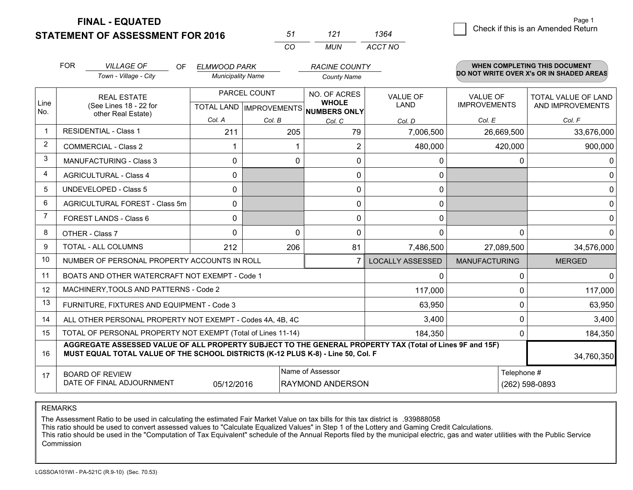**STATEMENT OF ASSESSMENT FOR 2016** 

**FINAL - EQUATED**

 $\overline{a}$  Check if this is an Amended Return Page 1

|                | <b>FOR</b>                                                                                                       | <b>VILLAGE OF</b><br>OF<br>Town - Village - City                                                                                                                                             | <b>ELMWOOD PARK</b><br><b>Municipality Name</b> |              | <b>RACINE COUNTY</b><br><b>County Name</b>           |                         |                      | <b>WHEN COMPLETING THIS DOCUMENT</b><br>DO NOT WRITE OVER X's OR IN SHADED AREAS |
|----------------|------------------------------------------------------------------------------------------------------------------|----------------------------------------------------------------------------------------------------------------------------------------------------------------------------------------------|-------------------------------------------------|--------------|------------------------------------------------------|-------------------------|----------------------|----------------------------------------------------------------------------------|
|                |                                                                                                                  | <b>REAL ESTATE</b>                                                                                                                                                                           |                                                 | PARCEL COUNT | NO. OF ACRES                                         | <b>VALUE OF</b>         | <b>VALUE OF</b>      | <b>TOTAL VALUE OF LAND</b>                                                       |
| Line<br>No.    |                                                                                                                  | (See Lines 18 - 22 for<br>other Real Estate)                                                                                                                                                 |                                                 |              | <b>WHOLE</b><br>TOTAL LAND IMPROVEMENTS NUMBERS ONLY | <b>LAND</b>             | <b>IMPROVEMENTS</b>  | AND IMPROVEMENTS                                                                 |
|                |                                                                                                                  |                                                                                                                                                                                              | Col. A                                          | Col. B       | Col. C                                               | Col. D                  | Col. E               | Col. F                                                                           |
| $\mathbf 1$    |                                                                                                                  | <b>RESIDENTIAL - Class 1</b>                                                                                                                                                                 | 211                                             | 205          | 79                                                   | 7,006,500               | 26,669,500           | 33,676,000                                                                       |
| 2              |                                                                                                                  | <b>COMMERCIAL - Class 2</b>                                                                                                                                                                  |                                                 |              | $\overline{2}$                                       | 480,000                 | 420,000              | 900,000                                                                          |
| 3              |                                                                                                                  | <b>MANUFACTURING - Class 3</b>                                                                                                                                                               | 0                                               | $\Omega$     | 0                                                    | 0                       |                      | 0<br>$\Omega$                                                                    |
| 4              |                                                                                                                  | <b>AGRICULTURAL - Class 4</b>                                                                                                                                                                | 0                                               |              | 0                                                    | $\mathbf{0}$            |                      | $\Omega$                                                                         |
| 5              |                                                                                                                  | <b>UNDEVELOPED - Class 5</b>                                                                                                                                                                 | $\mathbf{0}$                                    |              | 0                                                    | 0                       |                      | $\Omega$                                                                         |
| 6              |                                                                                                                  | AGRICULTURAL FOREST - Class 5m                                                                                                                                                               | 0                                               |              | 0                                                    | $\mathbf{0}$            |                      | $\Omega$                                                                         |
| $\overline{7}$ |                                                                                                                  | FOREST LANDS - Class 6                                                                                                                                                                       | $\mathbf{0}$                                    |              | 0                                                    | 0                       |                      | $\mathbf{0}$                                                                     |
| 8              |                                                                                                                  | OTHER - Class 7                                                                                                                                                                              | 0                                               | $\Omega$     | 0                                                    | $\mathbf{0}$            |                      | $\Omega$<br>0                                                                    |
| 9              |                                                                                                                  | TOTAL - ALL COLUMNS                                                                                                                                                                          | 212                                             | 206          | 81                                                   | 7,486,500               | 27,089,500           | 34,576,000                                                                       |
| 10             |                                                                                                                  | NUMBER OF PERSONAL PROPERTY ACCOUNTS IN ROLL                                                                                                                                                 |                                                 |              |                                                      | <b>LOCALLY ASSESSED</b> | <b>MANUFACTURING</b> | <b>MERGED</b>                                                                    |
| 11             |                                                                                                                  | BOATS AND OTHER WATERCRAFT NOT EXEMPT - Code 1                                                                                                                                               |                                                 |              |                                                      | $\mathbf{0}$            |                      | 0<br>$\Omega$                                                                    |
| 12             |                                                                                                                  | MACHINERY, TOOLS AND PATTERNS - Code 2                                                                                                                                                       |                                                 |              |                                                      | 117,000                 |                      | 0<br>117,000                                                                     |
| 13             |                                                                                                                  | FURNITURE, FIXTURES AND EQUIPMENT - Code 3                                                                                                                                                   |                                                 |              |                                                      | 63,950                  |                      | 0<br>63,950                                                                      |
| 14             |                                                                                                                  | ALL OTHER PERSONAL PROPERTY NOT EXEMPT - Codes 4A, 4B, 4C                                                                                                                                    |                                                 |              |                                                      | 3,400                   |                      | 0<br>3,400                                                                       |
| 15             | TOTAL OF PERSONAL PROPERTY NOT EXEMPT (Total of Lines 11-14)                                                     |                                                                                                                                                                                              |                                                 |              |                                                      | 184,350                 |                      | 0<br>184,350                                                                     |
| 16             |                                                                                                                  | AGGREGATE ASSESSED VALUE OF ALL PROPERTY SUBJECT TO THE GENERAL PROPERTY TAX (Total of Lines 9F and 15F)<br>MUST EQUAL TOTAL VALUE OF THE SCHOOL DISTRICTS (K-12 PLUS K-8) - Line 50, Col. F |                                                 |              |                                                      |                         |                      | 34,760,350                                                                       |
| 17             | Name of Assessor<br><b>BOARD OF REVIEW</b><br>DATE OF FINAL ADJOURNMENT<br>05/12/2016<br><b>RAYMOND ANDERSON</b> |                                                                                                                                                                                              |                                                 |              |                                                      |                         |                      | Telephone #<br>(262) 598-0893                                                    |

*CO*

*MUN*

*ACCT NO1364*

*<sup>51</sup> <sup>121</sup>*

REMARKS

The Assessment Ratio to be used in calculating the estimated Fair Market Value on tax bills for this tax district is .939888058<br>This ratio should be used to convert assessed values to "Calculate Equalized Values" in Step 1 Commission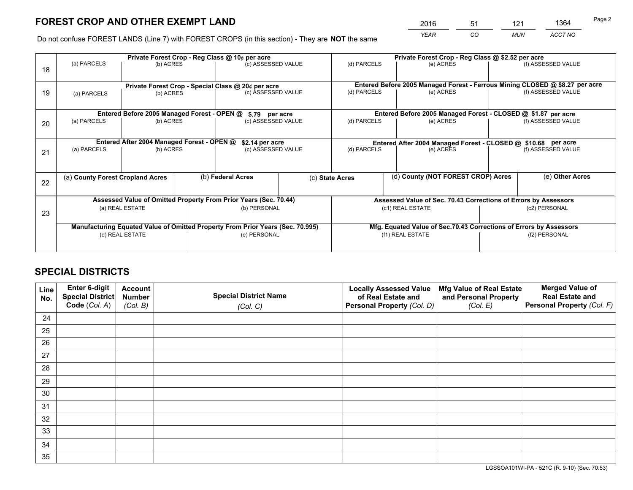*YEAR CO MUN ACCT NO* <sup>2016</sup> <sup>51</sup> <sup>121</sup> <sup>1364</sup>

Do not confuse FOREST LANDS (Line 7) with FOREST CROPS (in this section) - They are **NOT** the same

|    | Private Forest Crop - Reg Class @ 10¢ per acre                                 |                                             |                                   |                    |                                                                              | Private Forest Crop - Reg Class @ \$2.52 per acre                  |                                                               |                    |                    |
|----|--------------------------------------------------------------------------------|---------------------------------------------|-----------------------------------|--------------------|------------------------------------------------------------------------------|--------------------------------------------------------------------|---------------------------------------------------------------|--------------------|--------------------|
| 18 | (a) PARCELS                                                                    | (b) ACRES                                   |                                   | (c) ASSESSED VALUE |                                                                              | (d) PARCELS                                                        | (e) ACRES                                                     |                    | (f) ASSESSED VALUE |
|    |                                                                                |                                             |                                   |                    |                                                                              |                                                                    |                                                               |                    |                    |
|    | Private Forest Crop - Special Class @ 20¢ per acre                             |                                             |                                   |                    | Entered Before 2005 Managed Forest - Ferrous Mining CLOSED @ \$8.27 per acre |                                                                    |                                                               |                    |                    |
| 19 | (a) PARCELS                                                                    | (b) ACRES                                   |                                   | (c) ASSESSED VALUE |                                                                              | (d) PARCELS                                                        | (e) ACRES                                                     |                    | (f) ASSESSED VALUE |
|    |                                                                                |                                             |                                   |                    |                                                                              |                                                                    |                                                               |                    |                    |
|    |                                                                                | Entered Before 2005 Managed Forest - OPEN @ |                                   | \$.79 per acre     |                                                                              |                                                                    | Entered Before 2005 Managed Forest - CLOSED @ \$1.87 per acre |                    |                    |
| 20 | (a) PARCELS                                                                    | (b) ACRES                                   |                                   | (c) ASSESSED VALUE |                                                                              | (d) PARCELS                                                        | (e) ACRES                                                     |                    | (f) ASSESSED VALUE |
|    |                                                                                |                                             |                                   |                    |                                                                              |                                                                    |                                                               |                    |                    |
|    | Entered After 2004 Managed Forest - OPEN @<br>\$2.14 per acre                  |                                             |                                   |                    | Entered After 2004 Managed Forest - CLOSED @ \$10.68 per acre                |                                                                    |                                                               |                    |                    |
| 21 | (a) PARCELS                                                                    | (b) ACRES                                   |                                   | (c) ASSESSED VALUE |                                                                              | (d) PARCELS<br>(e) ACRES                                           |                                                               | (f) ASSESSED VALUE |                    |
|    |                                                                                |                                             |                                   |                    |                                                                              |                                                                    |                                                               |                    |                    |
|    |                                                                                |                                             |                                   | (b) Federal Acres  |                                                                              |                                                                    | (d) County (NOT FOREST CROP) Acres                            |                    | (e) Other Acres    |
| 22 | (a) County Forest Cropland Acres                                               |                                             |                                   |                    | (c) State Acres                                                              |                                                                    |                                                               |                    |                    |
|    |                                                                                |                                             |                                   |                    |                                                                              |                                                                    |                                                               |                    |                    |
|    | Assessed Value of Omitted Property From Prior Years (Sec. 70.44)               |                                             |                                   |                    | Assessed Value of Sec. 70.43 Corrections of Errors by Assessors              |                                                                    |                                                               |                    |                    |
| 23 | (b) PERSONAL<br>(a) REAL ESTATE                                                |                                             | (c1) REAL ESTATE<br>(c2) PERSONAL |                    |                                                                              |                                                                    |                                                               |                    |                    |
|    |                                                                                |                                             |                                   |                    |                                                                              |                                                                    |                                                               |                    |                    |
|    | Manufacturing Equated Value of Omitted Property From Prior Years (Sec. 70.995) |                                             |                                   |                    |                                                                              | Mfg. Equated Value of Sec.70.43 Corrections of Errors by Assessors |                                                               |                    |                    |
|    |                                                                                | (d) REAL ESTATE                             |                                   | (e) PERSONAL       |                                                                              |                                                                    | (f1) REAL ESTATE                                              |                    | (f2) PERSONAL      |
|    |                                                                                |                                             |                                   |                    |                                                                              |                                                                    |                                                               |                    |                    |

## **SPECIAL DISTRICTS**

| Line<br>No. | Enter 6-digit<br>Special District<br>Code (Col. A) | <b>Account</b><br><b>Number</b><br>(Col. B) | <b>Special District Name</b><br>(Col. C) | <b>Locally Assessed Value</b><br>of Real Estate and<br>Personal Property (Col. D) | Mfg Value of Real Estate<br>and Personal Property<br>(Col. E) | <b>Merged Value of</b><br><b>Real Estate and</b><br>Personal Property (Col. F) |
|-------------|----------------------------------------------------|---------------------------------------------|------------------------------------------|-----------------------------------------------------------------------------------|---------------------------------------------------------------|--------------------------------------------------------------------------------|
| 24          |                                                    |                                             |                                          |                                                                                   |                                                               |                                                                                |
| 25          |                                                    |                                             |                                          |                                                                                   |                                                               |                                                                                |
| 26          |                                                    |                                             |                                          |                                                                                   |                                                               |                                                                                |
| 27          |                                                    |                                             |                                          |                                                                                   |                                                               |                                                                                |
| 28          |                                                    |                                             |                                          |                                                                                   |                                                               |                                                                                |
| 29          |                                                    |                                             |                                          |                                                                                   |                                                               |                                                                                |
| 30          |                                                    |                                             |                                          |                                                                                   |                                                               |                                                                                |
| 31          |                                                    |                                             |                                          |                                                                                   |                                                               |                                                                                |
| 32          |                                                    |                                             |                                          |                                                                                   |                                                               |                                                                                |
| 33          |                                                    |                                             |                                          |                                                                                   |                                                               |                                                                                |
| 34          |                                                    |                                             |                                          |                                                                                   |                                                               |                                                                                |
| 35          |                                                    |                                             |                                          |                                                                                   |                                                               |                                                                                |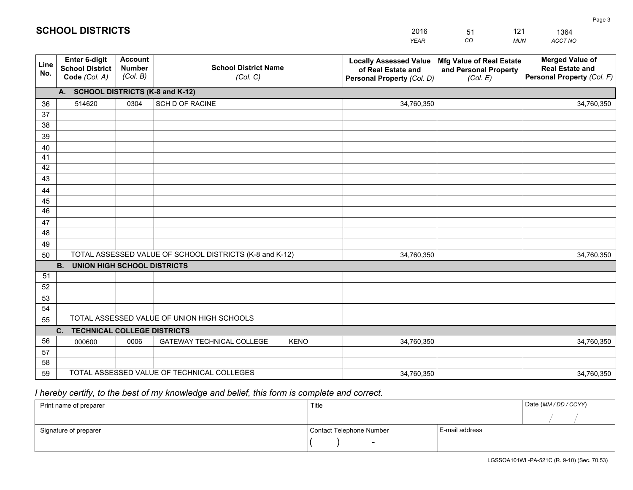|             |                                                          |                                             |                                                         | YEAR                                                                              | CO.<br><b>MUN</b>                                             | ACCT NO                                                                        |
|-------------|----------------------------------------------------------|---------------------------------------------|---------------------------------------------------------|-----------------------------------------------------------------------------------|---------------------------------------------------------------|--------------------------------------------------------------------------------|
| Line<br>No. | Enter 6-digit<br><b>School District</b><br>Code (Col. A) | <b>Account</b><br><b>Number</b><br>(Col. B) | <b>School District Name</b><br>(Col. C)                 | <b>Locally Assessed Value</b><br>of Real Estate and<br>Personal Property (Col. D) | Mfg Value of Real Estate<br>and Personal Property<br>(Col. E) | <b>Merged Value of</b><br><b>Real Estate and</b><br>Personal Property (Col. F) |
|             | A. SCHOOL DISTRICTS (K-8 and K-12)                       |                                             |                                                         |                                                                                   |                                                               |                                                                                |
| 36          | 514620                                                   | 0304                                        | SCH D OF RACINE                                         | 34,760,350                                                                        |                                                               | 34,760,350                                                                     |
| 37          |                                                          |                                             |                                                         |                                                                                   |                                                               |                                                                                |
| 38          |                                                          |                                             |                                                         |                                                                                   |                                                               |                                                                                |
| 39          |                                                          |                                             |                                                         |                                                                                   |                                                               |                                                                                |
| 40          |                                                          |                                             |                                                         |                                                                                   |                                                               |                                                                                |
| 41          |                                                          |                                             |                                                         |                                                                                   |                                                               |                                                                                |
| 42          |                                                          |                                             |                                                         |                                                                                   |                                                               |                                                                                |
| 43          |                                                          |                                             |                                                         |                                                                                   |                                                               |                                                                                |
| 44          |                                                          |                                             |                                                         |                                                                                   |                                                               |                                                                                |
| 45<br>46    |                                                          |                                             |                                                         |                                                                                   |                                                               |                                                                                |
| 47          |                                                          |                                             |                                                         |                                                                                   |                                                               |                                                                                |
| 48          |                                                          |                                             |                                                         |                                                                                   |                                                               |                                                                                |
| 49          |                                                          |                                             |                                                         |                                                                                   |                                                               |                                                                                |
| 50          |                                                          |                                             | TOTAL ASSESSED VALUE OF SCHOOL DISTRICTS (K-8 and K-12) | 34,760,350                                                                        |                                                               | 34,760,350                                                                     |
|             | <b>UNION HIGH SCHOOL DISTRICTS</b><br><b>B.</b>          |                                             |                                                         |                                                                                   |                                                               |                                                                                |
| 51          |                                                          |                                             |                                                         |                                                                                   |                                                               |                                                                                |
| 52          |                                                          |                                             |                                                         |                                                                                   |                                                               |                                                                                |
| 53          |                                                          |                                             |                                                         |                                                                                   |                                                               |                                                                                |
| 54          |                                                          |                                             |                                                         |                                                                                   |                                                               |                                                                                |
| 55          |                                                          |                                             | TOTAL ASSESSED VALUE OF UNION HIGH SCHOOLS              |                                                                                   |                                                               |                                                                                |
|             | C.<br><b>TECHNICAL COLLEGE DISTRICTS</b>                 |                                             |                                                         |                                                                                   |                                                               |                                                                                |
| 56          | 000600                                                   | 0006                                        | <b>GATEWAY TECHNICAL COLLEGE</b><br><b>KENO</b>         | 34,760,350                                                                        |                                                               | 34,760,350                                                                     |
| 57          |                                                          |                                             |                                                         |                                                                                   |                                                               |                                                                                |
| 58          |                                                          |                                             |                                                         |                                                                                   |                                                               |                                                                                |
| 59          |                                                          |                                             | TOTAL ASSESSED VALUE OF TECHNICAL COLLEGES              | 34,760,350                                                                        |                                                               | 34,760,350                                                                     |

51

121

 *I hereby certify, to the best of my knowledge and belief, this form is complete and correct.*

**SCHOOL DISTRICTS**

| Print name of preparer | Title                    |                | Date (MM/DD/CCYY) |
|------------------------|--------------------------|----------------|-------------------|
|                        |                          |                |                   |
| Signature of preparer  | Contact Telephone Number | E-mail address |                   |
|                        | $\overline{\phantom{a}}$ |                |                   |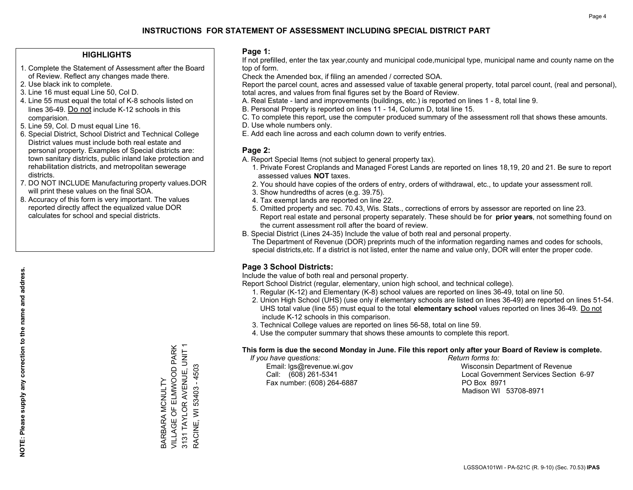## **HIGHLIGHTS**

- 1. Complete the Statement of Assessment after the Board of Review. Reflect any changes made there.
- 2. Use black ink to complete.
- 3. Line 16 must equal Line 50, Col D.
- 4. Line 55 must equal the total of K-8 schools listed on lines 36-49. Do not include K-12 schools in this comparision.
- 5. Line 59, Col. D must equal Line 16.
- 6. Special District, School District and Technical College District values must include both real estate and personal property. Examples of Special districts are: town sanitary districts, public inland lake protection and rehabilitation districts, and metropolitan sewerage districts.
- 7. DO NOT INCLUDE Manufacturing property values.DOR will print these values on the final SOA.
- 8. Accuracy of this form is very important. The values reported directly affect the equalized value DOR calculates for school and special districts.

### **Page 1:**

 If not prefilled, enter the tax year,county and municipal code,municipal type, municipal name and county name on the top of form.

Check the Amended box, if filing an amended / corrected SOA.

 Report the parcel count, acres and assessed value of taxable general property, total parcel count, (real and personal), total acres, and values from final figures set by the Board of Review.

- A. Real Estate land and improvements (buildings, etc.) is reported on lines 1 8, total line 9.
- B. Personal Property is reported on lines 11 14, Column D, total line 15.
- C. To complete this report, use the computer produced summary of the assessment roll that shows these amounts.
- D. Use whole numbers only.
- E. Add each line across and each column down to verify entries.

## **Page 2:**

- A. Report Special Items (not subject to general property tax).
- 1. Private Forest Croplands and Managed Forest Lands are reported on lines 18,19, 20 and 21. Be sure to report assessed values **NOT** taxes.
- 2. You should have copies of the orders of entry, orders of withdrawal, etc., to update your assessment roll.
	- 3. Show hundredths of acres (e.g. 39.75).
- 4. Tax exempt lands are reported on line 22.
- 5. Omitted property and sec. 70.43, Wis. Stats., corrections of errors by assessor are reported on line 23. Report real estate and personal property separately. These should be for **prior years**, not something found on the current assessment roll after the board of review.
- B. Special District (Lines 24-35) Include the value of both real and personal property.
- The Department of Revenue (DOR) preprints much of the information regarding names and codes for schools, special districts,etc. If a district is not listed, enter the name and value only, DOR will enter the proper code.

## **Page 3 School Districts:**

Include the value of both real and personal property.

Report School District (regular, elementary, union high school, and technical college).

- 1. Regular (K-12) and Elementary (K-8) school values are reported on lines 36-49, total on line 50.
- 2. Union High School (UHS) (use only if elementary schools are listed on lines 36-49) are reported on lines 51-54. UHS total value (line 55) must equal to the total **elementary school** values reported on lines 36-49. Do notinclude K-12 schools in this comparison.
- 3. Technical College values are reported on lines 56-58, total on line 59.
- 4. Use the computer summary that shows these amounts to complete this report.

#### **This form is due the second Monday in June. File this report only after your Board of Review is complete.**

 *If you have questions: Return forms to:*

Fax number: (608) 264-6887 PO Box 8971

 Email: lgs@revenue.wi.gov Wisconsin Department of Revenue Call: (608) 261-5341 Local Government Services Section 6-97Madison WI 53708-8971

VILLAGE OF ELMWOOD PARK 3131 TAYLOR AVENUE, UNIT 1 VILLAGE OF ELMWOOD PARK 3131 TAYLOR AVENUE, UNIT 1 53403 - 4503 RACINE, WI 53403 - 4503 **BARBARA MCNULTY** BARBARA MCNULTY RACINE, WI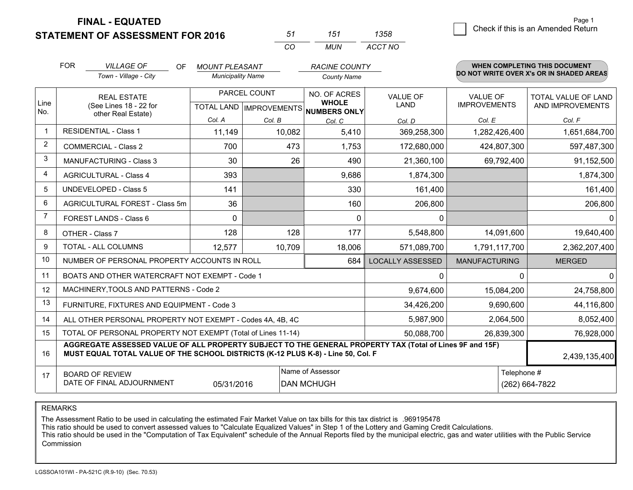|  | <b>STATEMENT OF ASSESSMENT FOR 2016</b> |
|--|-----------------------------------------|
|--|-----------------------------------------|

| 51         | 151 | 1358    |
|------------|-----|---------|
| $\sqrt{2}$ | MUN | ACCT NO |

|                | <b>FOR</b>                                                                                                                                                                                   | <b>VILLAGE OF</b><br><b>OF</b>                               | <b>MOUNT PLEASANT</b>    |              | <b>RACINE COUNTY</b>                |                                |                                        | WHEN COMPLETING THIS DOCUMENT            |
|----------------|----------------------------------------------------------------------------------------------------------------------------------------------------------------------------------------------|--------------------------------------------------------------|--------------------------|--------------|-------------------------------------|--------------------------------|----------------------------------------|------------------------------------------|
|                |                                                                                                                                                                                              | Town - Village - City                                        | <b>Municipality Name</b> |              | <b>County Name</b>                  |                                |                                        | DO NOT WRITE OVER X's OR IN SHADED AREAS |
| Line           |                                                                                                                                                                                              | <b>REAL ESTATE</b><br>(See Lines 18 - 22 for                 |                          | PARCEL COUNT | NO. OF ACRES<br><b>WHOLE</b>        | <b>VALUE OF</b><br><b>LAND</b> | <b>VALUE OF</b><br><b>IMPROVEMENTS</b> | TOTAL VALUE OF LAND<br>AND IMPROVEMENTS  |
| No.            |                                                                                                                                                                                              | other Real Estate)                                           |                          |              | TOTAL LAND MPROVEMENTS NUMBERS ONLY |                                |                                        |                                          |
| $\mathbf{1}$   |                                                                                                                                                                                              | <b>RESIDENTIAL - Class 1</b>                                 | Col. A                   | Col. B       | Col. C                              | Col. D                         | Col. E                                 | Col. F                                   |
|                |                                                                                                                                                                                              |                                                              | 11,149                   | 10,082       | 5,410                               | 369,258,300                    | 1,282,426,400                          | 1,651,684,700                            |
| 2              |                                                                                                                                                                                              | <b>COMMERCIAL - Class 2</b>                                  | 700                      | 473          | 1,753                               | 172,680,000                    | 424,807,300                            | 597,487,300                              |
| 3              |                                                                                                                                                                                              | MANUFACTURING - Class 3                                      | 30                       | 26           | 490                                 | 21,360,100                     | 69,792,400                             | 91,152,500                               |
| 4              |                                                                                                                                                                                              | <b>AGRICULTURAL - Class 4</b>                                | 393                      |              | 9,686                               | 1,874,300                      |                                        | 1,874,300                                |
| 5              |                                                                                                                                                                                              | <b>UNDEVELOPED - Class 5</b>                                 | 141                      |              | 330                                 | 161,400                        |                                        | 161,400                                  |
| 6              |                                                                                                                                                                                              | AGRICULTURAL FOREST - Class 5m                               | 36                       |              | 160                                 | 206,800                        |                                        | 206,800                                  |
| $\overline{7}$ |                                                                                                                                                                                              | <b>FOREST LANDS - Class 6</b>                                | $\Omega$                 |              | $\Omega$                            | $\Omega$                       |                                        | $\Omega$                                 |
| 8              |                                                                                                                                                                                              | OTHER - Class 7                                              | 128                      | 128          | 177                                 | 5,548,800                      | 14,091,600                             | 19,640,400                               |
| 9              |                                                                                                                                                                                              | TOTAL - ALL COLUMNS                                          | 12,577                   | 10,709       | 18,006                              | 571,089,700                    | 1,791,117,700                          | 2,362,207,400                            |
| 10             |                                                                                                                                                                                              | NUMBER OF PERSONAL PROPERTY ACCOUNTS IN ROLL                 |                          |              | 684                                 | <b>LOCALLY ASSESSED</b>        | <b>MANUFACTURING</b>                   | <b>MERGED</b>                            |
| 11             |                                                                                                                                                                                              | BOATS AND OTHER WATERCRAFT NOT EXEMPT - Code 1               |                          |              |                                     | 0                              | $\Omega$                               | $\mathbf{0}$                             |
| 12             |                                                                                                                                                                                              | MACHINERY, TOOLS AND PATTERNS - Code 2                       |                          |              |                                     | 9,674,600                      | 15,084,200                             | 24,758,800                               |
| 13             |                                                                                                                                                                                              | FURNITURE, FIXTURES AND EQUIPMENT - Code 3                   |                          |              |                                     | 34,426,200                     | 9,690,600                              | 44,116,800                               |
| 14             |                                                                                                                                                                                              | ALL OTHER PERSONAL PROPERTY NOT EXEMPT - Codes 4A, 4B, 4C    |                          |              |                                     | 5,987,900                      | 2,064,500                              | 8,052,400                                |
| 15             |                                                                                                                                                                                              | TOTAL OF PERSONAL PROPERTY NOT EXEMPT (Total of Lines 11-14) |                          |              |                                     | 50,088,700                     | 26,839,300                             | 76,928,000                               |
| 16             | AGGREGATE ASSESSED VALUE OF ALL PROPERTY SUBJECT TO THE GENERAL PROPERTY TAX (Total of Lines 9F and 15F)<br>MUST EQUAL TOTAL VALUE OF THE SCHOOL DISTRICTS (K-12 PLUS K-8) - Line 50, Col. F |                                                              |                          |              |                                     |                                | 2,439,135,400                          |                                          |
| 17             |                                                                                                                                                                                              | <b>BOARD OF REVIEW</b>                                       |                          |              | Name of Assessor                    |                                | Telephone #                            |                                          |
|                |                                                                                                                                                                                              | DATE OF FINAL ADJOURNMENT<br><b>DAN MCHUGH</b><br>05/31/2016 |                          |              |                                     | (262) 664-7822                 |                                        |                                          |

REMARKS

The Assessment Ratio to be used in calculating the estimated Fair Market Value on tax bills for this tax district is .969195478

This ratio should be used to convert assessed values to "Calculate Equalized Values" in Step 1 of the Lottery and Gaming Credit Calculations.<br>This ratio should be used in the "Computation of Tax Equivalent" schedule of the Commission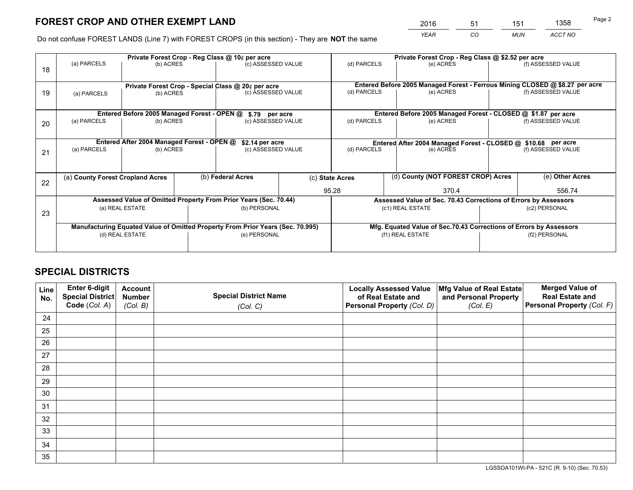*YEAR CO MUN ACCT NO* <sup>2016</sup> <sup>51</sup> <sup>151</sup> <sup>1358</sup>

Do not confuse FOREST LANDS (Line 7) with FOREST CROPS (in this section) - They are **NOT** the same

|    |                                                    |                                             |  | Private Forest Crop - Reg Class @ 10¢ per acre                                 |                                                               | Private Forest Crop - Reg Class @ \$2.52 per acre                            |                                                                    |  |                    |  |
|----|----------------------------------------------------|---------------------------------------------|--|--------------------------------------------------------------------------------|---------------------------------------------------------------|------------------------------------------------------------------------------|--------------------------------------------------------------------|--|--------------------|--|
| 18 | (a) PARCELS                                        | (b) ACRES                                   |  | (c) ASSESSED VALUE                                                             |                                                               | (d) PARCELS                                                                  | (e) ACRES                                                          |  | (f) ASSESSED VALUE |  |
|    |                                                    |                                             |  |                                                                                |                                                               |                                                                              |                                                                    |  |                    |  |
|    | Private Forest Crop - Special Class @ 20¢ per acre |                                             |  |                                                                                |                                                               | Entered Before 2005 Managed Forest - Ferrous Mining CLOSED @ \$8.27 per acre |                                                                    |  |                    |  |
| 19 | (a) PARCELS                                        | (b) ACRES                                   |  | (c) ASSESSED VALUE                                                             |                                                               | (d) PARCELS                                                                  | (e) ACRES                                                          |  | (f) ASSESSED VALUE |  |
|    |                                                    |                                             |  |                                                                                |                                                               |                                                                              |                                                                    |  |                    |  |
|    |                                                    | Entered Before 2005 Managed Forest - OPEN @ |  | \$.79 per acre                                                                 |                                                               |                                                                              | Entered Before 2005 Managed Forest - CLOSED @ \$1.87 per acre      |  |                    |  |
| 20 | (a) PARCELS                                        | (b) ACRES                                   |  | (c) ASSESSED VALUE                                                             |                                                               | (d) PARCELS                                                                  | (e) ACRES                                                          |  | (f) ASSESSED VALUE |  |
|    |                                                    |                                             |  |                                                                                |                                                               |                                                                              |                                                                    |  |                    |  |
|    | Entered After 2004 Managed Forest - OPEN @         | \$2.14 per acre                             |  |                                                                                | Entered After 2004 Managed Forest - CLOSED @ \$10.68 per acre |                                                                              |                                                                    |  |                    |  |
| 21 | (a) PARCELS                                        | (b) ACRES                                   |  | (c) ASSESSED VALUE                                                             |                                                               | (d) PARCELS<br>(e) ACRES                                                     |                                                                    |  | (f) ASSESSED VALUE |  |
|    |                                                    |                                             |  |                                                                                |                                                               |                                                                              |                                                                    |  |                    |  |
|    |                                                    |                                             |  |                                                                                |                                                               |                                                                              | (d) County (NOT FOREST CROP) Acres                                 |  |                    |  |
| 22 | (a) County Forest Cropland Acres                   |                                             |  | (b) Federal Acres                                                              |                                                               | (c) State Acres                                                              |                                                                    |  | (e) Other Acres    |  |
|    |                                                    |                                             |  |                                                                                |                                                               | 95.28                                                                        | 370.4                                                              |  | 556.74             |  |
|    |                                                    |                                             |  | Assessed Value of Omitted Property From Prior Years (Sec. 70.44)               |                                                               |                                                                              | Assessed Value of Sec. 70.43 Corrections of Errors by Assessors    |  |                    |  |
| 23 |                                                    | (a) REAL ESTATE                             |  | (b) PERSONAL                                                                   |                                                               |                                                                              | (c1) REAL ESTATE                                                   |  | (c2) PERSONAL      |  |
|    |                                                    |                                             |  |                                                                                |                                                               |                                                                              |                                                                    |  |                    |  |
|    |                                                    |                                             |  | Manufacturing Equated Value of Omitted Property From Prior Years (Sec. 70.995) |                                                               |                                                                              | Mfg. Equated Value of Sec.70.43 Corrections of Errors by Assessors |  |                    |  |
|    |                                                    | (d) REAL ESTATE                             |  | (e) PERSONAL                                                                   |                                                               | (f1) REAL ESTATE                                                             |                                                                    |  | (f2) PERSONAL      |  |
|    |                                                    |                                             |  |                                                                                |                                                               |                                                                              |                                                                    |  |                    |  |

## **SPECIAL DISTRICTS**

| Line<br>No. | Enter 6-digit<br>Special District<br>Code (Col. A) | <b>Account</b><br><b>Number</b> | <b>Special District Name</b> | <b>Locally Assessed Value</b><br>of Real Estate and | Mfg Value of Real Estate<br>and Personal Property | <b>Merged Value of</b><br><b>Real Estate and</b><br>Personal Property (Col. F) |
|-------------|----------------------------------------------------|---------------------------------|------------------------------|-----------------------------------------------------|---------------------------------------------------|--------------------------------------------------------------------------------|
|             |                                                    | (Col. B)                        | (Col. C)                     | Personal Property (Col. D)                          | (Col. E)                                          |                                                                                |
| 24          |                                                    |                                 |                              |                                                     |                                                   |                                                                                |
| 25          |                                                    |                                 |                              |                                                     |                                                   |                                                                                |
| 26          |                                                    |                                 |                              |                                                     |                                                   |                                                                                |
| 27          |                                                    |                                 |                              |                                                     |                                                   |                                                                                |
| 28          |                                                    |                                 |                              |                                                     |                                                   |                                                                                |
| 29          |                                                    |                                 |                              |                                                     |                                                   |                                                                                |
| 30          |                                                    |                                 |                              |                                                     |                                                   |                                                                                |
| 31          |                                                    |                                 |                              |                                                     |                                                   |                                                                                |
| 32          |                                                    |                                 |                              |                                                     |                                                   |                                                                                |
| 33          |                                                    |                                 |                              |                                                     |                                                   |                                                                                |
| 34          |                                                    |                                 |                              |                                                     |                                                   |                                                                                |
| 35          |                                                    |                                 |                              |                                                     |                                                   |                                                                                |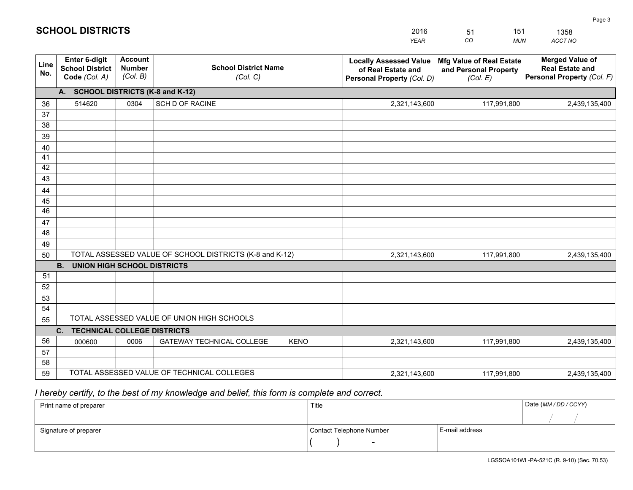|             |                                                          |                                             |                                                         | YEAR                                                                              | CO.<br><b>MUN</b>                                             | ACCT NO                                                                        |
|-------------|----------------------------------------------------------|---------------------------------------------|---------------------------------------------------------|-----------------------------------------------------------------------------------|---------------------------------------------------------------|--------------------------------------------------------------------------------|
| Line<br>No. | Enter 6-digit<br><b>School District</b><br>Code (Col. A) | <b>Account</b><br><b>Number</b><br>(Col. B) | <b>School District Name</b><br>(Col. C)                 | <b>Locally Assessed Value</b><br>of Real Estate and<br>Personal Property (Col. D) | Mfg Value of Real Estate<br>and Personal Property<br>(Col. E) | <b>Merged Value of</b><br><b>Real Estate and</b><br>Personal Property (Col. F) |
|             | A. SCHOOL DISTRICTS (K-8 and K-12)                       |                                             |                                                         |                                                                                   |                                                               |                                                                                |
| 36          | 514620                                                   | 0304                                        | SCH D OF RACINE                                         | 2,321,143,600                                                                     | 117,991,800                                                   | 2,439,135,400                                                                  |
| 37          |                                                          |                                             |                                                         |                                                                                   |                                                               |                                                                                |
| 38          |                                                          |                                             |                                                         |                                                                                   |                                                               |                                                                                |
| 39          |                                                          |                                             |                                                         |                                                                                   |                                                               |                                                                                |
| 40          |                                                          |                                             |                                                         |                                                                                   |                                                               |                                                                                |
| 41<br>42    |                                                          |                                             |                                                         |                                                                                   |                                                               |                                                                                |
| 43          |                                                          |                                             |                                                         |                                                                                   |                                                               |                                                                                |
| 44          |                                                          |                                             |                                                         |                                                                                   |                                                               |                                                                                |
| 45          |                                                          |                                             |                                                         |                                                                                   |                                                               |                                                                                |
| 46          |                                                          |                                             |                                                         |                                                                                   |                                                               |                                                                                |
| 47          |                                                          |                                             |                                                         |                                                                                   |                                                               |                                                                                |
| 48          |                                                          |                                             |                                                         |                                                                                   |                                                               |                                                                                |
| 49          |                                                          |                                             |                                                         |                                                                                   |                                                               |                                                                                |
| 50          |                                                          |                                             | TOTAL ASSESSED VALUE OF SCHOOL DISTRICTS (K-8 and K-12) | 2,321,143,600                                                                     | 117,991,800                                                   | 2,439,135,400                                                                  |
|             | <b>B.</b><br><b>UNION HIGH SCHOOL DISTRICTS</b>          |                                             |                                                         |                                                                                   |                                                               |                                                                                |
| 51<br>52    |                                                          |                                             |                                                         |                                                                                   |                                                               |                                                                                |
| 53          |                                                          |                                             |                                                         |                                                                                   |                                                               |                                                                                |
| 54          |                                                          |                                             |                                                         |                                                                                   |                                                               |                                                                                |
| 55          |                                                          |                                             | TOTAL ASSESSED VALUE OF UNION HIGH SCHOOLS              |                                                                                   |                                                               |                                                                                |
|             | C.<br><b>TECHNICAL COLLEGE DISTRICTS</b>                 |                                             |                                                         |                                                                                   |                                                               |                                                                                |
| 56          | 000600                                                   | 0006                                        | <b>GATEWAY TECHNICAL COLLEGE</b><br><b>KENO</b>         | 2,321,143,600                                                                     | 117,991,800                                                   | 2,439,135,400                                                                  |
| 57          |                                                          |                                             |                                                         |                                                                                   |                                                               |                                                                                |
| 58          |                                                          |                                             |                                                         |                                                                                   |                                                               |                                                                                |
| 59          |                                                          |                                             | TOTAL ASSESSED VALUE OF TECHNICAL COLLEGES              | 2,321,143,600                                                                     | 117,991,800                                                   | 2,439,135,400                                                                  |

51

151

 *I hereby certify, to the best of my knowledge and belief, this form is complete and correct.*

**SCHOOL DISTRICTS**

| Print name of preparer | Title                    |                | Date (MM/DD/CCYY) |
|------------------------|--------------------------|----------------|-------------------|
|                        |                          |                |                   |
| Signature of preparer  | Contact Telephone Number | E-mail address |                   |
|                        | $\overline{\phantom{0}}$ |                |                   |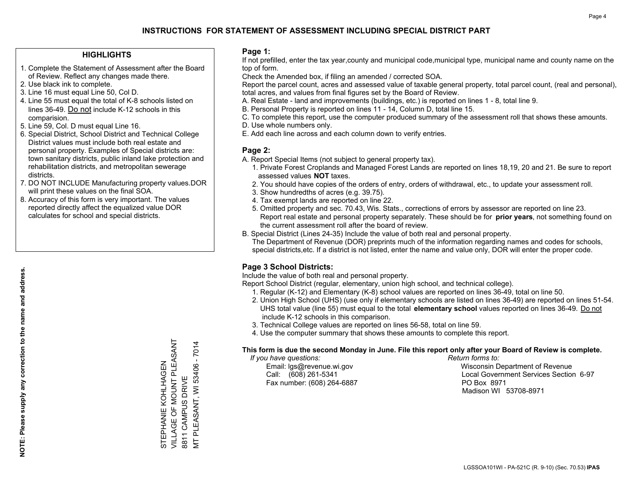## **HIGHLIGHTS**

- 1. Complete the Statement of Assessment after the Board of Review. Reflect any changes made there.
- 2. Use black ink to complete.
- 3. Line 16 must equal Line 50, Col D.
- 4. Line 55 must equal the total of K-8 schools listed on lines 36-49. Do not include K-12 schools in this comparision.
- 5. Line 59, Col. D must equal Line 16.
- 6. Special District, School District and Technical College District values must include both real estate and personal property. Examples of Special districts are: town sanitary districts, public inland lake protection and rehabilitation districts, and metropolitan sewerage districts.
- 7. DO NOT INCLUDE Manufacturing property values.DOR will print these values on the final SOA.

STEPHANIE KOHLHAGEN VILLAGE OF MOUNT PLEASANT

STEPHANIE KOHLHAGEN<br>VILLAGE OF MOUNT PLEASANT

8811 CAMPUS DRIVE

8811 CAMPUS DRIVE

MT PLEASANT, WI 53406 - 7014

PLEASANT, WI 53406 -

 $\overline{5}$ 

7014

 8. Accuracy of this form is very important. The values reported directly affect the equalized value DOR calculates for school and special districts.

### **Page 1:**

 If not prefilled, enter the tax year,county and municipal code,municipal type, municipal name and county name on the top of form.

Check the Amended box, if filing an amended / corrected SOA.

 Report the parcel count, acres and assessed value of taxable general property, total parcel count, (real and personal), total acres, and values from final figures set by the Board of Review.

- A. Real Estate land and improvements (buildings, etc.) is reported on lines 1 8, total line 9.
- B. Personal Property is reported on lines 11 14, Column D, total line 15.
- C. To complete this report, use the computer produced summary of the assessment roll that shows these amounts.
- D. Use whole numbers only.
- E. Add each line across and each column down to verify entries.

## **Page 2:**

- A. Report Special Items (not subject to general property tax).
- 1. Private Forest Croplands and Managed Forest Lands are reported on lines 18,19, 20 and 21. Be sure to report assessed values **NOT** taxes.
- 2. You should have copies of the orders of entry, orders of withdrawal, etc., to update your assessment roll.
	- 3. Show hundredths of acres (e.g. 39.75).
- 4. Tax exempt lands are reported on line 22.
- 5. Omitted property and sec. 70.43, Wis. Stats., corrections of errors by assessor are reported on line 23. Report real estate and personal property separately. These should be for **prior years**, not something found on the current assessment roll after the board of review.
- B. Special District (Lines 24-35) Include the value of both real and personal property.
- The Department of Revenue (DOR) preprints much of the information regarding names and codes for schools, special districts,etc. If a district is not listed, enter the name and value only, DOR will enter the proper code.

## **Page 3 School Districts:**

Include the value of both real and personal property.

Report School District (regular, elementary, union high school, and technical college).

- 1. Regular (K-12) and Elementary (K-8) school values are reported on lines 36-49, total on line 50.
- 2. Union High School (UHS) (use only if elementary schools are listed on lines 36-49) are reported on lines 51-54. UHS total value (line 55) must equal to the total **elementary school** values reported on lines 36-49. Do notinclude K-12 schools in this comparison.
- 3. Technical College values are reported on lines 56-58, total on line 59.
- 4. Use the computer summary that shows these amounts to complete this report.

#### **This form is due the second Monday in June. File this report only after your Board of Review is complete.**

 *If you have questions: Return forms to:*

Fax number: (608) 264-6887 PO Box 8971

 Email: lgs@revenue.wi.gov Wisconsin Department of Revenue Call: (608) 261-5341 Local Government Services Section 6-97Madison WI 53708-8971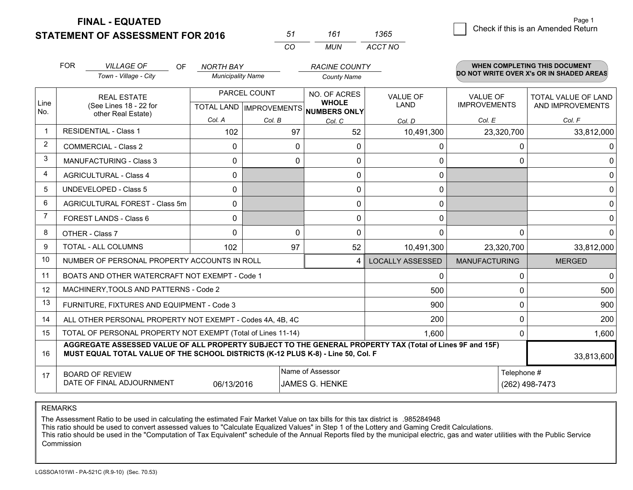**STATEMENT OF ASSESSMENT FOR 2016** 

| 51  | 161 | 1365    |
|-----|-----|---------|
| CO. | MUN | ACCT NO |

|                | <b>FOR</b>                                                                                                                                                                                   | <b>VILLAGE OF</b><br><b>OF</b>                               | NORTH BAY                |          | <b>RACINE COUNTY</b>                                     |                         |                      | <b>WHEN COMPLETING THIS DOCUMENT</b>     |
|----------------|----------------------------------------------------------------------------------------------------------------------------------------------------------------------------------------------|--------------------------------------------------------------|--------------------------|----------|----------------------------------------------------------|-------------------------|----------------------|------------------------------------------|
|                |                                                                                                                                                                                              | Town - Village - City                                        | <b>Municipality Name</b> |          | <b>County Name</b>                                       |                         |                      | DO NOT WRITE OVER X's OR IN SHADED AREAS |
|                |                                                                                                                                                                                              | <b>REAL ESTATE</b>                                           | PARCEL COUNT             |          | NO. OF ACRES                                             | <b>VALUE OF</b>         | <b>VALUE OF</b>      | <b>TOTAL VALUE OF LAND</b>               |
| Line<br>No.    |                                                                                                                                                                                              | (See Lines 18 - 22 for<br>other Real Estate)                 |                          |          | <b>WHOLE</b><br>TOTAL LAND   IMPROVEMENTS   NUMBERS ONLY | <b>LAND</b>             | <b>IMPROVEMENTS</b>  | AND IMPROVEMENTS                         |
|                |                                                                                                                                                                                              |                                                              | Col. A                   | Col. B   | Col. C                                                   | Col. D                  | Col. E               | Col. F                                   |
| $\mathbf 1$    |                                                                                                                                                                                              | <b>RESIDENTIAL - Class 1</b>                                 | 102                      | 97       | 52                                                       | 10,491,300              | 23,320,700           | 33,812,000                               |
| 2              |                                                                                                                                                                                              | <b>COMMERCIAL - Class 2</b>                                  | $\mathbf{0}$             | 0        | $\Omega$                                                 | 0                       | $\Omega$             | 0                                        |
| 3              |                                                                                                                                                                                              | <b>MANUFACTURING - Class 3</b>                               | $\Omega$                 | 0        | $\Omega$                                                 | 0                       | $\Omega$             | $\Omega$                                 |
| 4              |                                                                                                                                                                                              | <b>AGRICULTURAL - Class 4</b>                                | 0                        |          | 0                                                        | $\mathbf 0$             |                      | $\mathbf 0$                              |
| 5              |                                                                                                                                                                                              | <b>UNDEVELOPED - Class 5</b>                                 | $\Omega$                 |          | $\Omega$                                                 | 0                       |                      | $\Omega$                                 |
| 6              |                                                                                                                                                                                              | AGRICULTURAL FOREST - Class 5m                               | 0                        |          | 0                                                        | $\mathbf 0$             |                      | $\mathbf{0}$                             |
| $\overline{7}$ |                                                                                                                                                                                              | FOREST LANDS - Class 6                                       | 0                        |          | 0                                                        | 0                       |                      | 0                                        |
| 8              |                                                                                                                                                                                              | OTHER - Class 7                                              | $\Omega$                 | $\Omega$ | $\Omega$                                                 | $\Omega$                | $\Omega$             | $\Omega$                                 |
| 9              |                                                                                                                                                                                              | TOTAL - ALL COLUMNS                                          | 102                      | 97       | 52                                                       | 10,491,300              | 23,320,700           | 33,812,000                               |
| 10             |                                                                                                                                                                                              | NUMBER OF PERSONAL PROPERTY ACCOUNTS IN ROLL                 |                          |          | 4                                                        | <b>LOCALLY ASSESSED</b> | <b>MANUFACTURING</b> | <b>MERGED</b>                            |
| 11             |                                                                                                                                                                                              | BOATS AND OTHER WATERCRAFT NOT EXEMPT - Code 1               |                          |          |                                                          | 0                       | $\Omega$             | 0                                        |
| 12             |                                                                                                                                                                                              | MACHINERY, TOOLS AND PATTERNS - Code 2                       |                          |          |                                                          | 500                     | $\Omega$             | 500                                      |
| 13             |                                                                                                                                                                                              | FURNITURE, FIXTURES AND EQUIPMENT - Code 3                   |                          |          |                                                          | 900                     | $\Omega$             | 900                                      |
| 14             |                                                                                                                                                                                              | ALL OTHER PERSONAL PROPERTY NOT EXEMPT - Codes 4A, 4B, 4C    |                          |          |                                                          | 200                     | $\mathbf{0}$         | 200                                      |
| 15             |                                                                                                                                                                                              | TOTAL OF PERSONAL PROPERTY NOT EXEMPT (Total of Lines 11-14) |                          |          | 1.600                                                    | $\Omega$                | 1,600                |                                          |
| 16             | AGGREGATE ASSESSED VALUE OF ALL PROPERTY SUBJECT TO THE GENERAL PROPERTY TAX (Total of Lines 9F and 15F)<br>MUST EQUAL TOTAL VALUE OF THE SCHOOL DISTRICTS (K-12 PLUS K-8) - Line 50, Col. F |                                                              |                          |          |                                                          |                         | 33,813,600           |                                          |
| 17             |                                                                                                                                                                                              | <b>BOARD OF REVIEW</b>                                       |                          |          | Name of Assessor                                         |                         | Telephone #          |                                          |
|                | DATE OF FINAL ADJOURNMENT<br>06/13/2016<br><b>JAMES G. HENKE</b><br>(262) 498-7473                                                                                                           |                                                              |                          |          |                                                          |                         |                      |                                          |

REMARKS

The Assessment Ratio to be used in calculating the estimated Fair Market Value on tax bills for this tax district is .985284948<br>This ratio should be used to convert assessed values to "Calculate Equalized Values" in Step 1 Commission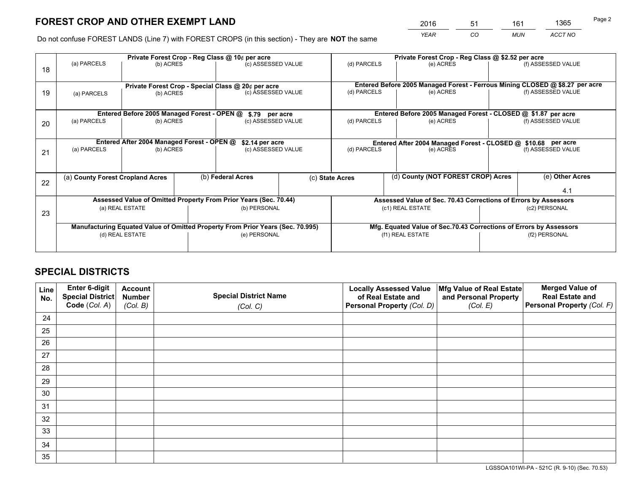*YEAR CO MUN ACCT NO* <sup>2016</sup> <sup>51</sup> <sup>161</sup> <sup>1365</sup>

Do not confuse FOREST LANDS (Line 7) with FOREST CROPS (in this section) - They are **NOT** the same

|    | Private Forest Crop - Reg Class @ 10¢ per acre                                 |                                             |  |                                                                  |  | Private Forest Crop - Reg Class @ \$2.52 per acre                            |                                                                 |                                                                    |                    |  |
|----|--------------------------------------------------------------------------------|---------------------------------------------|--|------------------------------------------------------------------|--|------------------------------------------------------------------------------|-----------------------------------------------------------------|--------------------------------------------------------------------|--------------------|--|
| 18 | (a) PARCELS                                                                    | (b) ACRES                                   |  | (c) ASSESSED VALUE                                               |  | (d) PARCELS                                                                  | (e) ACRES                                                       |                                                                    | (f) ASSESSED VALUE |  |
|    |                                                                                |                                             |  |                                                                  |  |                                                                              |                                                                 |                                                                    |                    |  |
|    | Private Forest Crop - Special Class @ 20¢ per acre                             |                                             |  |                                                                  |  | Entered Before 2005 Managed Forest - Ferrous Mining CLOSED @ \$8.27 per acre |                                                                 |                                                                    |                    |  |
| 19 | (a) PARCELS                                                                    | (b) ACRES                                   |  | (c) ASSESSED VALUE                                               |  | (d) PARCELS                                                                  | (e) ACRES                                                       |                                                                    | (f) ASSESSED VALUE |  |
|    |                                                                                |                                             |  |                                                                  |  |                                                                              |                                                                 |                                                                    |                    |  |
|    |                                                                                | Entered Before 2005 Managed Forest - OPEN @ |  | \$.79 per acre                                                   |  |                                                                              | Entered Before 2005 Managed Forest - CLOSED @ \$1.87 per acre   |                                                                    |                    |  |
| 20 | (a) PARCELS                                                                    | (b) ACRES                                   |  | (c) ASSESSED VALUE                                               |  | (d) PARCELS                                                                  | (e) ACRES                                                       |                                                                    | (f) ASSESSED VALUE |  |
|    |                                                                                |                                             |  |                                                                  |  |                                                                              |                                                                 |                                                                    |                    |  |
|    | Entered After 2004 Managed Forest - OPEN @<br>\$2.14 per acre                  |                                             |  |                                                                  |  | Entered After 2004 Managed Forest - CLOSED @ \$10.68 per acre                |                                                                 |                                                                    |                    |  |
| 21 | (a) PARCELS                                                                    | (b) ACRES                                   |  | (c) ASSESSED VALUE                                               |  | (d) PARCELS<br>(e) ACRES                                                     |                                                                 |                                                                    | (f) ASSESSED VALUE |  |
|    |                                                                                |                                             |  |                                                                  |  |                                                                              |                                                                 |                                                                    |                    |  |
|    |                                                                                |                                             |  |                                                                  |  |                                                                              |                                                                 |                                                                    |                    |  |
| 22 | (a) County Forest Cropland Acres                                               |                                             |  | (b) Federal Acres                                                |  | (c) State Acres                                                              | (d) County (NOT FOREST CROP) Acres                              |                                                                    | (e) Other Acres    |  |
|    |                                                                                |                                             |  |                                                                  |  |                                                                              |                                                                 |                                                                    | 4.1                |  |
|    |                                                                                |                                             |  | Assessed Value of Omitted Property From Prior Years (Sec. 70.44) |  |                                                                              | Assessed Value of Sec. 70.43 Corrections of Errors by Assessors |                                                                    |                    |  |
| 23 |                                                                                | (a) REAL ESTATE                             |  | (b) PERSONAL                                                     |  | (c1) REAL ESTATE                                                             |                                                                 | (c2) PERSONAL                                                      |                    |  |
|    |                                                                                |                                             |  |                                                                  |  |                                                                              |                                                                 |                                                                    |                    |  |
|    | Manufacturing Equated Value of Omitted Property From Prior Years (Sec. 70.995) |                                             |  |                                                                  |  |                                                                              |                                                                 | Mfg. Equated Value of Sec.70.43 Corrections of Errors by Assessors |                    |  |
|    |                                                                                | (d) REAL ESTATE                             |  | (e) PERSONAL                                                     |  |                                                                              | (f1) REAL ESTATE                                                |                                                                    | (f2) PERSONAL      |  |
|    |                                                                                |                                             |  |                                                                  |  |                                                                              |                                                                 |                                                                    |                    |  |

## **SPECIAL DISTRICTS**

| Line<br>No. | Enter 6-digit<br>Special District<br>Code (Col. A) | <b>Account</b><br><b>Number</b> | <b>Special District Name</b> | <b>Locally Assessed Value</b><br>of Real Estate and | Mfg Value of Real Estate<br>and Personal Property | <b>Merged Value of</b><br><b>Real Estate and</b><br>Personal Property (Col. F) |
|-------------|----------------------------------------------------|---------------------------------|------------------------------|-----------------------------------------------------|---------------------------------------------------|--------------------------------------------------------------------------------|
|             |                                                    | (Col. B)                        | (Col. C)                     | Personal Property (Col. D)                          | (Col. E)                                          |                                                                                |
| 24          |                                                    |                                 |                              |                                                     |                                                   |                                                                                |
| 25          |                                                    |                                 |                              |                                                     |                                                   |                                                                                |
| 26          |                                                    |                                 |                              |                                                     |                                                   |                                                                                |
| 27          |                                                    |                                 |                              |                                                     |                                                   |                                                                                |
| 28          |                                                    |                                 |                              |                                                     |                                                   |                                                                                |
| 29          |                                                    |                                 |                              |                                                     |                                                   |                                                                                |
| 30          |                                                    |                                 |                              |                                                     |                                                   |                                                                                |
| 31          |                                                    |                                 |                              |                                                     |                                                   |                                                                                |
| 32          |                                                    |                                 |                              |                                                     |                                                   |                                                                                |
| 33          |                                                    |                                 |                              |                                                     |                                                   |                                                                                |
| 34          |                                                    |                                 |                              |                                                     |                                                   |                                                                                |
| 35          |                                                    |                                 |                              |                                                     |                                                   |                                                                                |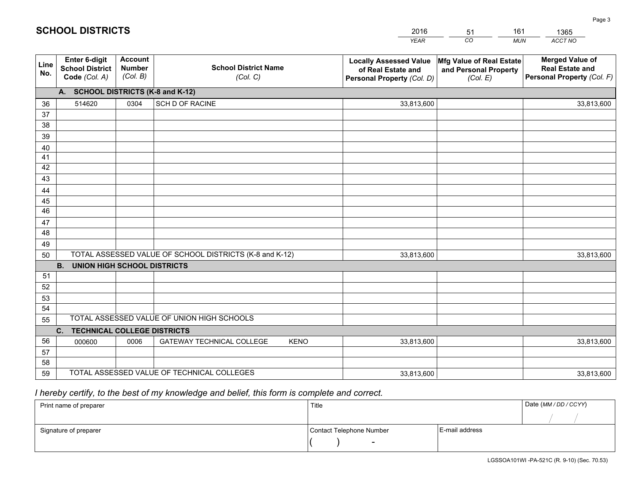|             |                                                          |                                             |                                                         | <b>YEAR</b>                                                                       | CO<br><b>MUN</b>                                              | ACCT NO                                                                        |
|-------------|----------------------------------------------------------|---------------------------------------------|---------------------------------------------------------|-----------------------------------------------------------------------------------|---------------------------------------------------------------|--------------------------------------------------------------------------------|
| Line<br>No. | Enter 6-digit<br><b>School District</b><br>Code (Col. A) | <b>Account</b><br><b>Number</b><br>(Col. B) | <b>School District Name</b><br>(Col. C)                 | <b>Locally Assessed Value</b><br>of Real Estate and<br>Personal Property (Col. D) | Mfg Value of Real Estate<br>and Personal Property<br>(Col. E) | <b>Merged Value of</b><br><b>Real Estate and</b><br>Personal Property (Col. F) |
|             | A. SCHOOL DISTRICTS (K-8 and K-12)                       |                                             |                                                         |                                                                                   |                                                               |                                                                                |
| 36          | 514620                                                   | 0304                                        | <b>SCH D OF RACINE</b>                                  | 33,813,600                                                                        |                                                               | 33,813,600                                                                     |
| 37          |                                                          |                                             |                                                         |                                                                                   |                                                               |                                                                                |
| 38          |                                                          |                                             |                                                         |                                                                                   |                                                               |                                                                                |
| 39          |                                                          |                                             |                                                         |                                                                                   |                                                               |                                                                                |
| 40          |                                                          |                                             |                                                         |                                                                                   |                                                               |                                                                                |
| 41          |                                                          |                                             |                                                         |                                                                                   |                                                               |                                                                                |
| 42          |                                                          |                                             |                                                         |                                                                                   |                                                               |                                                                                |
| 43          |                                                          |                                             |                                                         |                                                                                   |                                                               |                                                                                |
| 44          |                                                          |                                             |                                                         |                                                                                   |                                                               |                                                                                |
| 45<br>46    |                                                          |                                             |                                                         |                                                                                   |                                                               |                                                                                |
| 47          |                                                          |                                             |                                                         |                                                                                   |                                                               |                                                                                |
| 48          |                                                          |                                             |                                                         |                                                                                   |                                                               |                                                                                |
| 49          |                                                          |                                             |                                                         |                                                                                   |                                                               |                                                                                |
| 50          |                                                          |                                             | TOTAL ASSESSED VALUE OF SCHOOL DISTRICTS (K-8 and K-12) | 33,813,600                                                                        |                                                               | 33,813,600                                                                     |
|             | <b>B.</b><br><b>UNION HIGH SCHOOL DISTRICTS</b>          |                                             |                                                         |                                                                                   |                                                               |                                                                                |
| 51          |                                                          |                                             |                                                         |                                                                                   |                                                               |                                                                                |
| 52          |                                                          |                                             |                                                         |                                                                                   |                                                               |                                                                                |
| 53          |                                                          |                                             |                                                         |                                                                                   |                                                               |                                                                                |
| 54          |                                                          |                                             |                                                         |                                                                                   |                                                               |                                                                                |
| 55          |                                                          |                                             | TOTAL ASSESSED VALUE OF UNION HIGH SCHOOLS              |                                                                                   |                                                               |                                                                                |
|             | C.<br><b>TECHNICAL COLLEGE DISTRICTS</b>                 |                                             |                                                         |                                                                                   |                                                               |                                                                                |
| 56          | 000600                                                   | 0006                                        | <b>GATEWAY TECHNICAL COLLEGE</b><br><b>KENO</b>         | 33,813,600                                                                        |                                                               | 33,813,600                                                                     |
| 57          |                                                          |                                             |                                                         |                                                                                   |                                                               |                                                                                |
| 58          |                                                          |                                             |                                                         |                                                                                   |                                                               |                                                                                |
| 59          |                                                          |                                             | TOTAL ASSESSED VALUE OF TECHNICAL COLLEGES              | 33,813,600                                                                        |                                                               | 33,813,600                                                                     |

51

161

 *I hereby certify, to the best of my knowledge and belief, this form is complete and correct.*

**SCHOOL DISTRICTS**

| Print name of preparer | Title                    |                | Date (MM/DD/CCYY) |
|------------------------|--------------------------|----------------|-------------------|
|                        |                          |                |                   |
| Signature of preparer  | Contact Telephone Number | E-mail address |                   |
|                        | $\overline{\phantom{a}}$ |                |                   |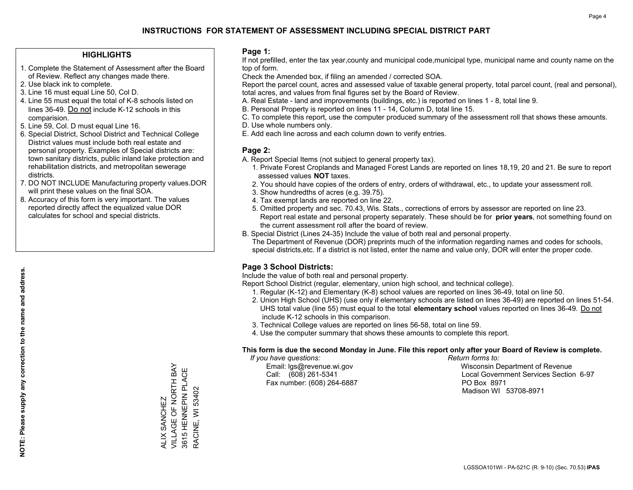## **HIGHLIGHTS**

- 1. Complete the Statement of Assessment after the Board of Review. Reflect any changes made there.
- 2. Use black ink to complete.
- 3. Line 16 must equal Line 50, Col D.
- 4. Line 55 must equal the total of K-8 schools listed on lines 36-49. Do not include K-12 schools in this comparision.
- 5. Line 59, Col. D must equal Line 16.
- 6. Special District, School District and Technical College District values must include both real estate and personal property. Examples of Special districts are: town sanitary districts, public inland lake protection and rehabilitation districts, and metropolitan sewerage districts.
- 7. DO NOT INCLUDE Manufacturing property values.DOR will print these values on the final SOA.
- 8. Accuracy of this form is very important. The values reported directly affect the equalized value DOR calculates for school and special districts.

### **Page 1:**

 If not prefilled, enter the tax year,county and municipal code,municipal type, municipal name and county name on the top of form.

Check the Amended box, if filing an amended / corrected SOA.

 Report the parcel count, acres and assessed value of taxable general property, total parcel count, (real and personal), total acres, and values from final figures set by the Board of Review.

- A. Real Estate land and improvements (buildings, etc.) is reported on lines 1 8, total line 9.
- B. Personal Property is reported on lines 11 14, Column D, total line 15.
- C. To complete this report, use the computer produced summary of the assessment roll that shows these amounts.
- D. Use whole numbers only.
- E. Add each line across and each column down to verify entries.

## **Page 2:**

- A. Report Special Items (not subject to general property tax).
- 1. Private Forest Croplands and Managed Forest Lands are reported on lines 18,19, 20 and 21. Be sure to report assessed values **NOT** taxes.
- 2. You should have copies of the orders of entry, orders of withdrawal, etc., to update your assessment roll.
	- 3. Show hundredths of acres (e.g. 39.75).
- 4. Tax exempt lands are reported on line 22.
- 5. Omitted property and sec. 70.43, Wis. Stats., corrections of errors by assessor are reported on line 23. Report real estate and personal property separately. These should be for **prior years**, not something found on the current assessment roll after the board of review.
- B. Special District (Lines 24-35) Include the value of both real and personal property.

 The Department of Revenue (DOR) preprints much of the information regarding names and codes for schools, special districts,etc. If a district is not listed, enter the name and value only, DOR will enter the proper code.

## **Page 3 School Districts:**

Include the value of both real and personal property.

Report School District (regular, elementary, union high school, and technical college).

- 1. Regular (K-12) and Elementary (K-8) school values are reported on lines 36-49, total on line 50.
- 2. Union High School (UHS) (use only if elementary schools are listed on lines 36-49) are reported on lines 51-54. UHS total value (line 55) must equal to the total **elementary school** values reported on lines 36-49. Do notinclude K-12 schools in this comparison.
- 3. Technical College values are reported on lines 56-58, total on line 59.
- 4. Use the computer summary that shows these amounts to complete this report.

#### **This form is due the second Monday in June. File this report only after your Board of Review is complete.**

 *If you have questions: Return forms to:*

Fax number: (608) 264-6887 PO Box 8971

 Email: lgs@revenue.wi.gov Wisconsin Department of Revenue Call: (608) 261-5341 Local Government Services Section 6-97Madison WI 53708-8971

VILLAGE OF NORTH BAY VILLAGE OF NORTH BAY 3615 HENNEPIN PLACE 3615 HENNEPIN PLACE RACINE, WI 53402 RACINE, WI 53402 ALIX SANCHEZ ALIX SANCHEZ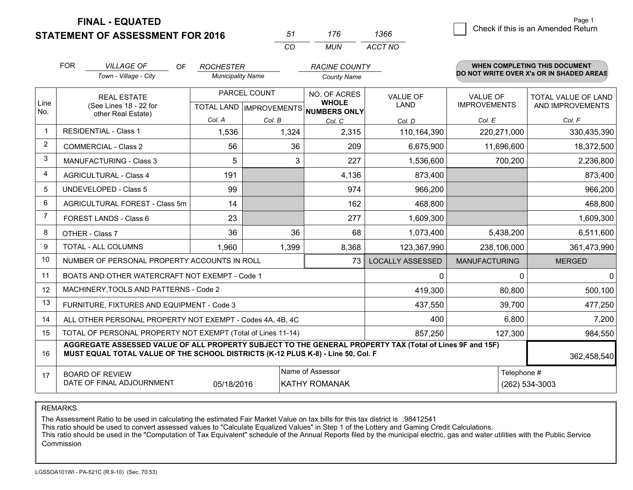## **STATEMENT OF ASSESSMENT FOR 2016**

| .51      | 176 | 1366    |
|----------|-----|---------|
| $\cdots$ | MUN | ACCT NO |

|             | <b>FOR</b>                                                                                                                                                                                   | <b>VILLAGE OF</b><br>OF.<br>Town - Village - City         | <b>ROCHESTER</b><br><b>Municipality Name</b> |                                                          | <b>RACINE COUNTY</b><br><b>County Name</b> |                                |                                        | <b>WHEN COMPLETING THIS DOCUMENT</b><br>DO NOT WRITE OVER X's OR IN SHADED AREAS |
|-------------|----------------------------------------------------------------------------------------------------------------------------------------------------------------------------------------------|-----------------------------------------------------------|----------------------------------------------|----------------------------------------------------------|--------------------------------------------|--------------------------------|----------------------------------------|----------------------------------------------------------------------------------|
| Line<br>No. | <b>REAL ESTATE</b><br>(See Lines 18 - 22 for                                                                                                                                                 |                                                           |                                              | PARCEL COUNT<br>TOTAL LAND   IMPROVEMENTS   NUMBERS ONLY |                                            | <b>VALUE OF</b><br><b>LAND</b> | <b>VALUE OF</b><br><b>IMPROVEMENTS</b> | <b>TOTAL VALUE OF LAND</b><br>AND IMPROVEMENTS                                   |
|             |                                                                                                                                                                                              | other Real Estate)                                        | Col. A                                       | Col. B                                                   | Col. C                                     | Col. D                         | Col. E                                 | Col. F                                                                           |
|             |                                                                                                                                                                                              | <b>RESIDENTIAL - Class 1</b>                              | 1,536                                        | 1,324                                                    | 2,315                                      | 110,164,390                    | 220,271,000                            | 330,435,390                                                                      |
| 2           |                                                                                                                                                                                              | <b>COMMERCIAL - Class 2</b>                               | 56                                           | 36                                                       | 209                                        | 6,675,900                      | 11,696,600                             | 18,372,500                                                                       |
| 3           |                                                                                                                                                                                              | <b>MANUFACTURING - Class 3</b>                            | 5                                            | 3                                                        | 227                                        | 1,536,600                      | 700,200                                | 2,236,800                                                                        |
| 4           |                                                                                                                                                                                              | <b>AGRICULTURAL - Class 4</b>                             | 191                                          |                                                          | 4,136                                      | 873,400                        |                                        | 873,400                                                                          |
| 5           |                                                                                                                                                                                              | UNDEVELOPED - Class 5                                     | 99                                           |                                                          | 974                                        | 966,200                        |                                        | 966,200                                                                          |
| 6           |                                                                                                                                                                                              | AGRICULTURAL FOREST - Class 5m                            | 14                                           |                                                          | 162                                        | 468,800                        |                                        | 468,800                                                                          |
| 7           | FOREST LANDS - Class 6                                                                                                                                                                       |                                                           | 23                                           |                                                          | 277                                        | 1,609,300                      |                                        | 1,609,300                                                                        |
| 8           |                                                                                                                                                                                              | OTHER - Class 7                                           | 36                                           | 36                                                       | 68                                         | 1,073,400                      | 5,438,200                              | 6,511,600                                                                        |
| 9           |                                                                                                                                                                                              | TOTAL - ALL COLUMNS                                       | 1,960                                        | 1,399                                                    | 8,368                                      | 123,367,990                    | 238,106,000                            | 361,473,990                                                                      |
| 10          |                                                                                                                                                                                              | NUMBER OF PERSONAL PROPERTY ACCOUNTS IN ROLL              |                                              |                                                          | 73                                         | <b>LOCALLY ASSESSED</b>        | <b>MANUFACTURING</b>                   | <b>MERGED</b>                                                                    |
| 11          |                                                                                                                                                                                              | BOATS AND OTHER WATERCRAFT NOT EXEMPT - Code 1            |                                              |                                                          |                                            | 0                              | $\Omega$                               | 0                                                                                |
| 12          |                                                                                                                                                                                              | MACHINERY, TOOLS AND PATTERNS - Code 2                    |                                              |                                                          |                                            | 419,300                        | 80,800                                 | 500,100                                                                          |
| 13          |                                                                                                                                                                                              | FURNITURE, FIXTURES AND EQUIPMENT - Code 3                |                                              |                                                          |                                            | 437,550                        | 39,700                                 | 477,250                                                                          |
| 14          |                                                                                                                                                                                              | ALL OTHER PERSONAL PROPERTY NOT EXEMPT - Codes 4A, 4B, 4C |                                              |                                                          |                                            | 400                            | 6,800                                  | 7,200                                                                            |
| 15          | TOTAL OF PERSONAL PROPERTY NOT EXEMPT (Total of Lines 11-14)<br>857,250                                                                                                                      |                                                           |                                              |                                                          |                                            |                                | 127,300                                | 984,550                                                                          |
| 16          | AGGREGATE ASSESSED VALUE OF ALL PROPERTY SUBJECT TO THE GENERAL PROPERTY TAX (Total of Lines 9F and 15F)<br>MUST EQUAL TOTAL VALUE OF THE SCHOOL DISTRICTS (K-12 PLUS K-8) - Line 50, Col. F |                                                           |                                              |                                                          |                                            |                                | 362,458,540                            |                                                                                  |
| 17          | Name of Assessor<br><b>BOARD OF REVIEW</b><br>DATE OF FINAL ADJOURNMENT<br>05/18/2016<br>KATHY ROMANAK                                                                                       |                                                           |                                              |                                                          |                                            | Telephone #                    | (262) 534-3003                         |                                                                                  |

REMARKS

The Assessment Ratio to be used in calculating the estimated Fair Market Value on tax bills for this tax district is .98412541<br>This ratio should be used to convert assessed values to "Calculate Equalized Values" in Step 1 Commission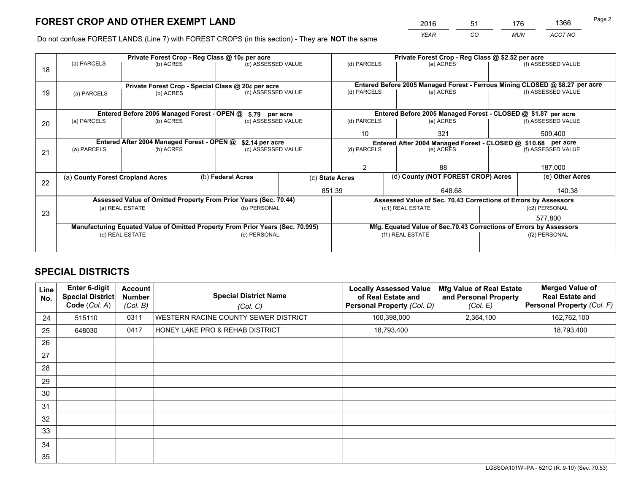*YEAR CO MUN ACCT NO* <sup>2016</sup> <sup>51</sup> <sup>176</sup> <sup>1366</sup>

Do not confuse FOREST LANDS (Line 7) with FOREST CROPS (in this section) - They are **NOT** the same

|    | Private Forest Crop - Reg Class @ 10¢ per acre                                 |                                             |  |                                                                  |     |                                                                              | Private Forest Crop - Reg Class @ \$2.52 per acre                  |                    |                    |  |
|----|--------------------------------------------------------------------------------|---------------------------------------------|--|------------------------------------------------------------------|-----|------------------------------------------------------------------------------|--------------------------------------------------------------------|--------------------|--------------------|--|
| 18 | (a) PARCELS                                                                    | (b) ACRES                                   |  | (c) ASSESSED VALUE                                               |     | (d) PARCELS                                                                  | (e) ACRES                                                          |                    | (f) ASSESSED VALUE |  |
|    |                                                                                |                                             |  |                                                                  |     |                                                                              |                                                                    |                    |                    |  |
|    | Private Forest Crop - Special Class @ 20¢ per acre                             |                                             |  |                                                                  |     | Entered Before 2005 Managed Forest - Ferrous Mining CLOSED @ \$8.27 per acre |                                                                    |                    |                    |  |
| 19 | (a) PARCELS                                                                    | (b) ACRES                                   |  | (c) ASSESSED VALUE                                               |     | (d) PARCELS                                                                  | (e) ACRES                                                          |                    | (f) ASSESSED VALUE |  |
|    |                                                                                |                                             |  |                                                                  |     |                                                                              |                                                                    |                    |                    |  |
|    |                                                                                | Entered Before 2005 Managed Forest - OPEN @ |  | \$.79 per acre                                                   |     |                                                                              | Entered Before 2005 Managed Forest - CLOSED @ \$1.87 per acre      |                    |                    |  |
| 20 | (a) PARCELS                                                                    | (b) ACRES                                   |  | (c) ASSESSED VALUE                                               |     | (d) PARCELS                                                                  | (e) ACRES                                                          |                    | (f) ASSESSED VALUE |  |
|    |                                                                                |                                             |  | 10                                                               | 321 |                                                                              | 509.400                                                            |                    |                    |  |
|    | Entered After 2004 Managed Forest - OPEN @<br>\$2.14 per acre                  |                                             |  |                                                                  |     |                                                                              | Entered After 2004 Managed Forest - CLOSED @ \$10.68 per acre      |                    |                    |  |
| 21 | (a) PARCELS                                                                    | (b) ACRES                                   |  | (c) ASSESSED VALUE                                               |     | (d) PARCELS<br>(e) ACRES                                                     |                                                                    | (f) ASSESSED VALUE |                    |  |
|    |                                                                                |                                             |  |                                                                  |     |                                                                              |                                                                    |                    |                    |  |
|    |                                                                                |                                             |  |                                                                  |     | 2                                                                            | 88                                                                 |                    | 187,000            |  |
| 22 | (a) County Forest Cropland Acres                                               |                                             |  | (b) Federal Acres                                                |     | (d) County (NOT FOREST CROP) Acres<br>(c) State Acres                        |                                                                    |                    | (e) Other Acres    |  |
|    |                                                                                |                                             |  |                                                                  |     | 851.39                                                                       | 648.68                                                             |                    | 140.38             |  |
|    |                                                                                |                                             |  | Assessed Value of Omitted Property From Prior Years (Sec. 70.44) |     |                                                                              | Assessed Value of Sec. 70.43 Corrections of Errors by Assessors    |                    |                    |  |
| 23 |                                                                                | (a) REAL ESTATE                             |  | (b) PERSONAL                                                     |     |                                                                              | (c1) REAL ESTATE                                                   |                    | (c2) PERSONAL      |  |
|    |                                                                                |                                             |  |                                                                  |     |                                                                              |                                                                    | 577.800            |                    |  |
|    | Manufacturing Equated Value of Omitted Property From Prior Years (Sec. 70.995) |                                             |  |                                                                  |     |                                                                              | Mfg. Equated Value of Sec.70.43 Corrections of Errors by Assessors |                    |                    |  |
|    |                                                                                | (d) REAL ESTATE                             |  | (e) PERSONAL                                                     |     |                                                                              | (f1) REAL ESTATE                                                   | (f2) PERSONAL      |                    |  |
|    |                                                                                |                                             |  |                                                                  |     |                                                                              |                                                                    |                    |                    |  |

## **SPECIAL DISTRICTS**

| Line<br>No. | <b>Enter 6-digit</b><br>Special District<br>Code (Col. A) | <b>Account</b><br><b>Number</b><br>(Col. B) | <b>Special District Name</b><br>(Col. C) | <b>Locally Assessed Value</b><br>of Real Estate and<br>Personal Property (Col. D) | Mfg Value of Real Estate<br>and Personal Property<br>(Col. E) | <b>Merged Value of</b><br><b>Real Estate and</b><br>Personal Property (Col. F) |
|-------------|-----------------------------------------------------------|---------------------------------------------|------------------------------------------|-----------------------------------------------------------------------------------|---------------------------------------------------------------|--------------------------------------------------------------------------------|
| 24          | 515110                                                    | 0311                                        | WESTERN RACINE COUNTY SEWER DISTRICT     | 160,398,000                                                                       | 2,364,100                                                     | 162,762,100                                                                    |
| 25          | 648030                                                    | 0417                                        | HONEY LAKE PRO & REHAB DISTRICT          | 18,793,400                                                                        |                                                               | 18,793,400                                                                     |
| 26          |                                                           |                                             |                                          |                                                                                   |                                                               |                                                                                |
| 27          |                                                           |                                             |                                          |                                                                                   |                                                               |                                                                                |
| 28          |                                                           |                                             |                                          |                                                                                   |                                                               |                                                                                |
| 29          |                                                           |                                             |                                          |                                                                                   |                                                               |                                                                                |
| 30          |                                                           |                                             |                                          |                                                                                   |                                                               |                                                                                |
| 31          |                                                           |                                             |                                          |                                                                                   |                                                               |                                                                                |
| 32          |                                                           |                                             |                                          |                                                                                   |                                                               |                                                                                |
| 33          |                                                           |                                             |                                          |                                                                                   |                                                               |                                                                                |
| 34          |                                                           |                                             |                                          |                                                                                   |                                                               |                                                                                |
| 35          |                                                           |                                             |                                          |                                                                                   |                                                               |                                                                                |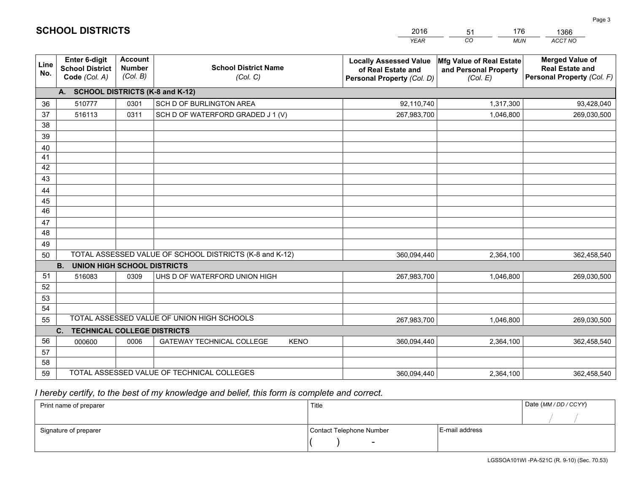|             |                                                                 |                                             |                                                         | <b>YEAR</b>                                                                       | CO<br><b>MUN</b>                                                     | <b>ACCT NO</b>                                                                 |
|-------------|-----------------------------------------------------------------|---------------------------------------------|---------------------------------------------------------|-----------------------------------------------------------------------------------|----------------------------------------------------------------------|--------------------------------------------------------------------------------|
| Line<br>No. | <b>Enter 6-digit</b><br><b>School District</b><br>Code (Col. A) | <b>Account</b><br><b>Number</b><br>(Col. B) | <b>School District Name</b><br>(Col. C)                 | <b>Locally Assessed Value</b><br>of Real Estate and<br>Personal Property (Col. D) | <b>Mfg Value of Real Estate</b><br>and Personal Property<br>(Col. E) | <b>Merged Value of</b><br><b>Real Estate and</b><br>Personal Property (Col. F) |
|             | A. SCHOOL DISTRICTS (K-8 and K-12)                              |                                             |                                                         |                                                                                   |                                                                      |                                                                                |
| 36          | 510777                                                          | 0301                                        | SCH D OF BURLINGTON AREA                                | 92,110,740                                                                        | 1,317,300                                                            | 93,428,040                                                                     |
| 37          | 516113                                                          | 0311                                        | SCH D OF WATERFORD GRADED J 1 (V)                       | 267,983,700                                                                       | 1,046,800                                                            | 269,030,500                                                                    |
| 38          |                                                                 |                                             |                                                         |                                                                                   |                                                                      |                                                                                |
| 39          |                                                                 |                                             |                                                         |                                                                                   |                                                                      |                                                                                |
| 40          |                                                                 |                                             |                                                         |                                                                                   |                                                                      |                                                                                |
| 41          |                                                                 |                                             |                                                         |                                                                                   |                                                                      |                                                                                |
| 42<br>43    |                                                                 |                                             |                                                         |                                                                                   |                                                                      |                                                                                |
|             |                                                                 |                                             |                                                         |                                                                                   |                                                                      |                                                                                |
| 44<br>45    |                                                                 |                                             |                                                         |                                                                                   |                                                                      |                                                                                |
| 46          |                                                                 |                                             |                                                         |                                                                                   |                                                                      |                                                                                |
| 47          |                                                                 |                                             |                                                         |                                                                                   |                                                                      |                                                                                |
| 48          |                                                                 |                                             |                                                         |                                                                                   |                                                                      |                                                                                |
| 49          |                                                                 |                                             |                                                         |                                                                                   |                                                                      |                                                                                |
| 50          |                                                                 |                                             | TOTAL ASSESSED VALUE OF SCHOOL DISTRICTS (K-8 and K-12) | 360,094,440                                                                       | 2,364,100                                                            | 362,458,540                                                                    |
|             | <b>B.</b><br><b>UNION HIGH SCHOOL DISTRICTS</b>                 |                                             |                                                         |                                                                                   |                                                                      |                                                                                |
| 51          | 516083                                                          | 0309                                        | UHS D OF WATERFORD UNION HIGH                           | 267,983,700                                                                       | 1,046,800                                                            | 269,030,500                                                                    |
| 52          |                                                                 |                                             |                                                         |                                                                                   |                                                                      |                                                                                |
| 53          |                                                                 |                                             |                                                         |                                                                                   |                                                                      |                                                                                |
| 54          |                                                                 |                                             |                                                         |                                                                                   |                                                                      |                                                                                |
| 55          |                                                                 |                                             | TOTAL ASSESSED VALUE OF UNION HIGH SCHOOLS              | 267,983,700                                                                       | 1,046,800                                                            | 269,030,500                                                                    |
|             | C.<br><b>TECHNICAL COLLEGE DISTRICTS</b>                        |                                             |                                                         |                                                                                   |                                                                      |                                                                                |
| 56          | 000600                                                          | 0006                                        | <b>GATEWAY TECHNICAL COLLEGE</b><br><b>KENO</b>         | 360,094,440                                                                       | 2,364,100                                                            | 362,458,540                                                                    |
| 57          |                                                                 |                                             |                                                         |                                                                                   |                                                                      |                                                                                |
| 58          |                                                                 |                                             |                                                         |                                                                                   |                                                                      |                                                                                |
| 59          |                                                                 |                                             | TOTAL ASSESSED VALUE OF TECHNICAL COLLEGES              | 360,094,440                                                                       | 2,364,100                                                            | 362,458,540                                                                    |

51

176

 *I hereby certify, to the best of my knowledge and belief, this form is complete and correct.*

**SCHOOL DISTRICTS**

| Print name of preparer | Title                    |                | Date (MM / DD / CCYY) |
|------------------------|--------------------------|----------------|-----------------------|
|                        |                          |                |                       |
| Signature of preparer  | Contact Telephone Number | E-mail address |                       |
|                        | $\sim$                   |                |                       |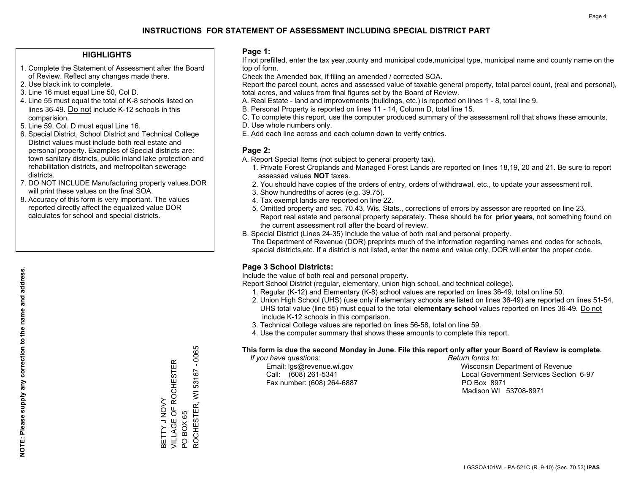## **HIGHLIGHTS**

- 1. Complete the Statement of Assessment after the Board of Review. Reflect any changes made there.
- 2. Use black ink to complete.
- 3. Line 16 must equal Line 50, Col D.
- 4. Line 55 must equal the total of K-8 schools listed on lines 36-49. Do not include K-12 schools in this comparision.
- 5. Line 59, Col. D must equal Line 16.
- 6. Special District, School District and Technical College District values must include both real estate and personal property. Examples of Special districts are: town sanitary districts, public inland lake protection and rehabilitation districts, and metropolitan sewerage districts.
- 7. DO NOT INCLUDE Manufacturing property values.DOR will print these values on the final SOA.

BETTY J NOVY

VILLAGE OF ROCHESTER

BETTY J NOVY<br>VILLAGE OF ROCHESTER

PO BOX 65

 $\overline{S}$ 

BOX 65

ROCHESTER, WI 53167 - 0065

ROCHESTER, WI 53167

 $-0065$ 

 8. Accuracy of this form is very important. The values reported directly affect the equalized value DOR calculates for school and special districts.

### **Page 1:**

 If not prefilled, enter the tax year,county and municipal code,municipal type, municipal name and county name on the top of form.

Check the Amended box, if filing an amended / corrected SOA.

 Report the parcel count, acres and assessed value of taxable general property, total parcel count, (real and personal), total acres, and values from final figures set by the Board of Review.

- A. Real Estate land and improvements (buildings, etc.) is reported on lines 1 8, total line 9.
- B. Personal Property is reported on lines 11 14, Column D, total line 15.
- C. To complete this report, use the computer produced summary of the assessment roll that shows these amounts.
- D. Use whole numbers only.
- E. Add each line across and each column down to verify entries.

## **Page 2:**

- A. Report Special Items (not subject to general property tax).
- 1. Private Forest Croplands and Managed Forest Lands are reported on lines 18,19, 20 and 21. Be sure to report assessed values **NOT** taxes.
- 2. You should have copies of the orders of entry, orders of withdrawal, etc., to update your assessment roll.
	- 3. Show hundredths of acres (e.g. 39.75).
- 4. Tax exempt lands are reported on line 22.
- 5. Omitted property and sec. 70.43, Wis. Stats., corrections of errors by assessor are reported on line 23. Report real estate and personal property separately. These should be for **prior years**, not something found on the current assessment roll after the board of review.
- B. Special District (Lines 24-35) Include the value of both real and personal property.
- The Department of Revenue (DOR) preprints much of the information regarding names and codes for schools, special districts,etc. If a district is not listed, enter the name and value only, DOR will enter the proper code.

## **Page 3 School Districts:**

Include the value of both real and personal property.

Report School District (regular, elementary, union high school, and technical college).

- 1. Regular (K-12) and Elementary (K-8) school values are reported on lines 36-49, total on line 50.
- 2. Union High School (UHS) (use only if elementary schools are listed on lines 36-49) are reported on lines 51-54. UHS total value (line 55) must equal to the total **elementary school** values reported on lines 36-49. Do notinclude K-12 schools in this comparison.
- 3. Technical College values are reported on lines 56-58, total on line 59.
- 4. Use the computer summary that shows these amounts to complete this report.

#### **This form is due the second Monday in June. File this report only after your Board of Review is complete.**

 *If you have questions: Return forms to:*

Fax number: (608) 264-6887 PO Box 8971

 Email: lgs@revenue.wi.gov Wisconsin Department of Revenue Call: (608) 261-5341 Local Government Services Section 6-97Madison WI 53708-8971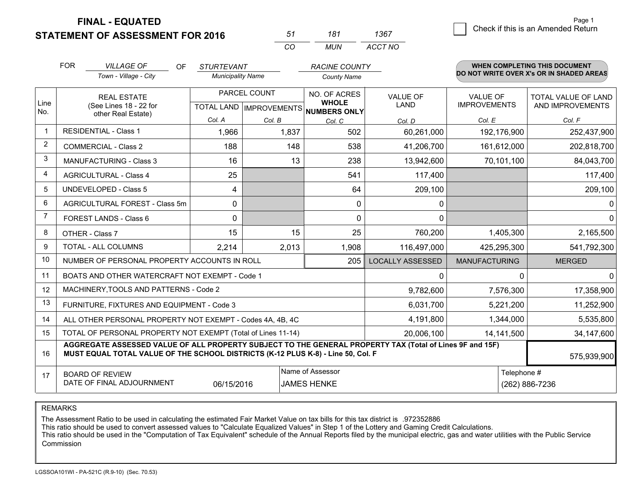**STATEMENT OF ASSESSMENT FOR 2016** 

| 51 | 181 | 1367    |
|----|-----|---------|
| CO | MUN | ACCT NO |

|             | <b>FOR</b><br><b>VILLAGE OF</b><br>OF.<br>Town - Village - City                                                                                                                              | <b>STURTEVANT</b><br><b>Municipality Name</b>       |            | <b>RACINE COUNTY</b><br><b>County Name</b> |                                |                                        | <b>WHEN COMPLETING THIS DOCUMENT</b><br>DO NOT WRITE OVER X's OR IN SHADED AREAS |
|-------------|----------------------------------------------------------------------------------------------------------------------------------------------------------------------------------------------|-----------------------------------------------------|------------|--------------------------------------------|--------------------------------|----------------------------------------|----------------------------------------------------------------------------------|
| Line<br>No. | <b>REAL ESTATE</b><br>(See Lines 18 - 22 for<br>other Real Estate)                                                                                                                           | PARCEL COUNT<br>TOTAL LAND MPROVEMENTS NUMBERS ONLY |            | NO. OF ACRES<br><b>WHOLE</b>               | <b>VALUE OF</b><br><b>LAND</b> | <b>VALUE OF</b><br><b>IMPROVEMENTS</b> | <b>TOTAL VALUE OF LAND</b><br>AND IMPROVEMENTS                                   |
|             |                                                                                                                                                                                              | Col. A                                              | Col. B     | Col. C                                     | Col. D                         | Col. E                                 | Col. F                                                                           |
| $\mathbf 1$ | <b>RESIDENTIAL - Class 1</b>                                                                                                                                                                 | 1,966                                               | 1,837      | 502                                        | 60,261,000                     | 192,176,900                            | 252,437,900                                                                      |
| 2           | <b>COMMERCIAL - Class 2</b>                                                                                                                                                                  | 188                                                 | 148        | 538                                        | 41,206,700                     | 161,612,000                            | 202,818,700                                                                      |
| 3           | <b>MANUFACTURING - Class 3</b>                                                                                                                                                               | 16                                                  | 13         | 238                                        | 13,942,600                     | 70,101,100                             | 84,043,700                                                                       |
| 4           | <b>AGRICULTURAL - Class 4</b>                                                                                                                                                                | 25                                                  |            | 541                                        | 117,400                        |                                        | 117,400                                                                          |
| 5           | <b>UNDEVELOPED - Class 5</b>                                                                                                                                                                 | 4                                                   |            | 64                                         | 209,100                        |                                        | 209,100                                                                          |
| 6           | AGRICULTURAL FOREST - Class 5m                                                                                                                                                               | $\mathbf{0}$                                        |            | $\mathbf{0}$                               | 0                              |                                        | 0                                                                                |
| 7           | FOREST LANDS - Class 6                                                                                                                                                                       | $\mathbf{0}$                                        |            | $\Omega$                                   | $\Omega$                       |                                        | $\mathbf 0$                                                                      |
| 8           | OTHER - Class 7                                                                                                                                                                              | 15                                                  | 15         | 25                                         | 760,200                        | 1,405,300                              | 2,165,500                                                                        |
| 9           | TOTAL - ALL COLUMNS                                                                                                                                                                          | 2,214                                               | 2,013      | 1,908                                      | 116,497,000                    | 425,295,300                            | 541,792,300                                                                      |
| 10          | NUMBER OF PERSONAL PROPERTY ACCOUNTS IN ROLL                                                                                                                                                 |                                                     |            | 205                                        | <b>LOCALLY ASSESSED</b>        | <b>MANUFACTURING</b>                   | <b>MERGED</b>                                                                    |
| 11          | BOATS AND OTHER WATERCRAFT NOT EXEMPT - Code 1                                                                                                                                               |                                                     |            |                                            | 0                              | $\Omega$                               | $\Omega$                                                                         |
| 12          | MACHINERY, TOOLS AND PATTERNS - Code 2                                                                                                                                                       |                                                     |            |                                            | 9,782,600                      | 7,576,300                              | 17,358,900                                                                       |
| 13          | FURNITURE, FIXTURES AND EQUIPMENT - Code 3                                                                                                                                                   |                                                     |            |                                            | 6,031,700                      | 5,221,200                              | 11,252,900                                                                       |
| 14          | ALL OTHER PERSONAL PROPERTY NOT EXEMPT - Codes 4A, 4B, 4C                                                                                                                                    |                                                     |            |                                            | 4,191,800                      | 1,344,000                              | 5,535,800                                                                        |
| 15          | TOTAL OF PERSONAL PROPERTY NOT EXEMPT (Total of Lines 11-14)                                                                                                                                 |                                                     | 20,006,100 | 14,141,500                                 | 34,147,600                     |                                        |                                                                                  |
| 16          | AGGREGATE ASSESSED VALUE OF ALL PROPERTY SUBJECT TO THE GENERAL PROPERTY TAX (Total of Lines 9F and 15F)<br>MUST EQUAL TOTAL VALUE OF THE SCHOOL DISTRICTS (K-12 PLUS K-8) - Line 50, Col. F |                                                     |            |                                            |                                |                                        | 575,939,900                                                                      |
| 17          | Name of Assessor<br>Telephone #<br><b>BOARD OF REVIEW</b><br>DATE OF FINAL ADJOURNMENT<br>06/15/2016<br>JAMES HENKE                                                                          |                                                     |            |                                            | (262) 886-7236                 |                                        |                                                                                  |

REMARKS

The Assessment Ratio to be used in calculating the estimated Fair Market Value on tax bills for this tax district is .972352886

This ratio should be used to convert assessed values to "Calculate Equalized Values" in Step 1 of the Lottery and Gaming Credit Calculations.

 This ratio should be used in the "Computation of Tax Equivalent" schedule of the Annual Reports filed by the municipal electric, gas and water utilities with the Public Service Commission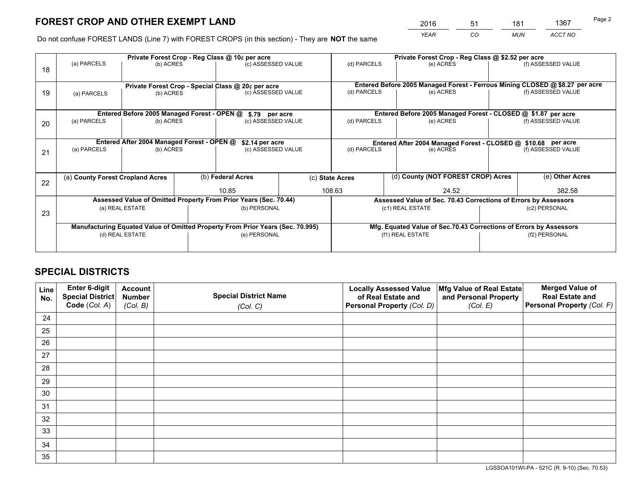*YEAR CO MUN ACCT NO* <sup>2016</sup> <sup>51</sup> <sup>181</sup> <sup>1367</sup>

Do not confuse FOREST LANDS (Line 7) with FOREST CROPS (in this section) - They are **NOT** the same

|    | Private Forest Crop - Reg Class @ 10¢ per acre                                 |                                             |  |                                                                  |                                                                              | Private Forest Crop - Reg Class @ \$2.52 per acre     |                                                                    |                                                               |                                                                 |  |
|----|--------------------------------------------------------------------------------|---------------------------------------------|--|------------------------------------------------------------------|------------------------------------------------------------------------------|-------------------------------------------------------|--------------------------------------------------------------------|---------------------------------------------------------------|-----------------------------------------------------------------|--|
| 18 | (a) PARCELS                                                                    | (b) ACRES                                   |  | (c) ASSESSED VALUE                                               |                                                                              | (d) PARCELS                                           | (e) ACRES                                                          |                                                               | (f) ASSESSED VALUE                                              |  |
|    |                                                                                |                                             |  |                                                                  |                                                                              |                                                       |                                                                    |                                                               |                                                                 |  |
|    | Private Forest Crop - Special Class @ 20¢ per acre                             |                                             |  |                                                                  | Entered Before 2005 Managed Forest - Ferrous Mining CLOSED @ \$8.27 per acre |                                                       |                                                                    |                                                               |                                                                 |  |
| 19 | (a) PARCELS                                                                    | (b) ACRES                                   |  | (c) ASSESSED VALUE                                               |                                                                              | (d) PARCELS                                           | (e) ACRES                                                          |                                                               | (f) ASSESSED VALUE                                              |  |
|    |                                                                                |                                             |  |                                                                  |                                                                              |                                                       |                                                                    |                                                               |                                                                 |  |
|    |                                                                                | Entered Before 2005 Managed Forest - OPEN @ |  | \$.79 per acre                                                   |                                                                              |                                                       | Entered Before 2005 Managed Forest - CLOSED @ \$1.87 per acre      |                                                               |                                                                 |  |
| 20 | (a) PARCELS                                                                    | (b) ACRES                                   |  | (c) ASSESSED VALUE                                               |                                                                              | (d) PARCELS                                           | (e) ACRES                                                          |                                                               | (f) ASSESSED VALUE                                              |  |
|    |                                                                                |                                             |  |                                                                  |                                                                              |                                                       |                                                                    |                                                               |                                                                 |  |
|    | Entered After 2004 Managed Forest - OPEN @                                     |                                             |  | \$2.14 per acre                                                  |                                                                              |                                                       |                                                                    | Entered After 2004 Managed Forest - CLOSED @ \$10.68 per acre |                                                                 |  |
| 21 | (a) PARCELS                                                                    | (b) ACRES                                   |  | (c) ASSESSED VALUE                                               |                                                                              | (d) PARCELS<br>(e) ACRES                              |                                                                    |                                                               | (f) ASSESSED VALUE                                              |  |
|    |                                                                                |                                             |  |                                                                  |                                                                              |                                                       |                                                                    |                                                               |                                                                 |  |
|    |                                                                                |                                             |  |                                                                  |                                                                              |                                                       |                                                                    |                                                               |                                                                 |  |
| 22 | (a) County Forest Cropland Acres                                               |                                             |  | (b) Federal Acres                                                |                                                                              | (d) County (NOT FOREST CROP) Acres<br>(c) State Acres |                                                                    |                                                               | (e) Other Acres                                                 |  |
|    |                                                                                |                                             |  | 10.85                                                            |                                                                              | 108.63<br>24.52                                       |                                                                    |                                                               | 382.58                                                          |  |
|    |                                                                                |                                             |  | Assessed Value of Omitted Property From Prior Years (Sec. 70.44) |                                                                              |                                                       |                                                                    |                                                               | Assessed Value of Sec. 70.43 Corrections of Errors by Assessors |  |
| 23 |                                                                                | (a) REAL ESTATE                             |  | (b) PERSONAL                                                     |                                                                              |                                                       | (c1) REAL ESTATE                                                   |                                                               | (c2) PERSONAL                                                   |  |
|    |                                                                                |                                             |  |                                                                  |                                                                              |                                                       |                                                                    |                                                               |                                                                 |  |
|    | Manufacturing Equated Value of Omitted Property From Prior Years (Sec. 70.995) |                                             |  |                                                                  |                                                                              |                                                       | Mfg. Equated Value of Sec.70.43 Corrections of Errors by Assessors |                                                               |                                                                 |  |
|    |                                                                                | (d) REAL ESTATE                             |  | (e) PERSONAL                                                     |                                                                              |                                                       | (f1) REAL ESTATE                                                   |                                                               | (f2) PERSONAL                                                   |  |
|    |                                                                                |                                             |  |                                                                  |                                                                              |                                                       |                                                                    |                                                               |                                                                 |  |

## **SPECIAL DISTRICTS**

| Line<br>No. | Enter 6-digit<br><b>Special District</b> | <b>Account</b><br><b>Number</b> | <b>Special District Name</b> | <b>Locally Assessed Value</b><br>of Real Estate and | Mfg Value of Real Estate<br>and Personal Property | <b>Merged Value of</b><br><b>Real Estate and</b> |
|-------------|------------------------------------------|---------------------------------|------------------------------|-----------------------------------------------------|---------------------------------------------------|--------------------------------------------------|
|             | Code (Col. A)                            | (Col. B)                        | (Col. C)                     | Personal Property (Col. D)                          | (Col. E)                                          | Personal Property (Col. F)                       |
| 24          |                                          |                                 |                              |                                                     |                                                   |                                                  |
| 25          |                                          |                                 |                              |                                                     |                                                   |                                                  |
| 26          |                                          |                                 |                              |                                                     |                                                   |                                                  |
| 27          |                                          |                                 |                              |                                                     |                                                   |                                                  |
| 28          |                                          |                                 |                              |                                                     |                                                   |                                                  |
| 29          |                                          |                                 |                              |                                                     |                                                   |                                                  |
| 30          |                                          |                                 |                              |                                                     |                                                   |                                                  |
| 31          |                                          |                                 |                              |                                                     |                                                   |                                                  |
| 32          |                                          |                                 |                              |                                                     |                                                   |                                                  |
| 33          |                                          |                                 |                              |                                                     |                                                   |                                                  |
| 34          |                                          |                                 |                              |                                                     |                                                   |                                                  |
| 35          |                                          |                                 |                              |                                                     |                                                   |                                                  |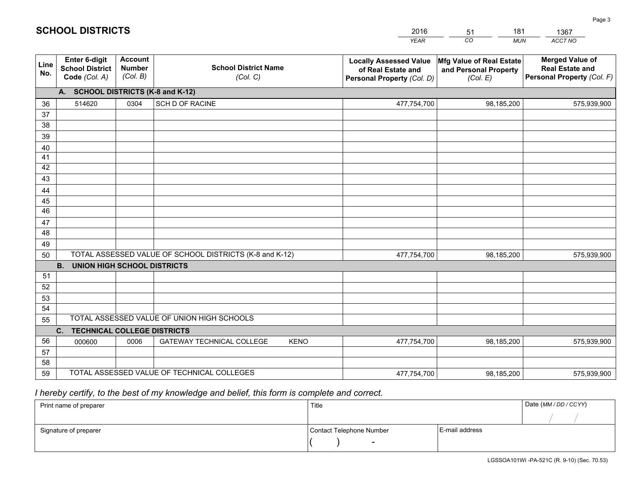|             |                                                                 |                                             |                                                         | <b>YEAR</b>                                                                       | CO<br><b>MUN</b>                                              | ACCT NO                                                                        |
|-------------|-----------------------------------------------------------------|---------------------------------------------|---------------------------------------------------------|-----------------------------------------------------------------------------------|---------------------------------------------------------------|--------------------------------------------------------------------------------|
| Line<br>No. | <b>Enter 6-digit</b><br><b>School District</b><br>Code (Col. A) | <b>Account</b><br><b>Number</b><br>(Col. B) | <b>School District Name</b><br>(Col. C)                 | <b>Locally Assessed Value</b><br>of Real Estate and<br>Personal Property (Col. D) | Mfg Value of Real Estate<br>and Personal Property<br>(Col. E) | <b>Merged Value of</b><br><b>Real Estate and</b><br>Personal Property (Col. F) |
|             | A. SCHOOL DISTRICTS (K-8 and K-12)                              |                                             |                                                         |                                                                                   |                                                               |                                                                                |
| 36          | 514620                                                          | 0304                                        | <b>SCH D OF RACINE</b>                                  | 477,754,700                                                                       | 98,185,200                                                    | 575,939,900                                                                    |
| 37          |                                                                 |                                             |                                                         |                                                                                   |                                                               |                                                                                |
| 38          |                                                                 |                                             |                                                         |                                                                                   |                                                               |                                                                                |
| 39          |                                                                 |                                             |                                                         |                                                                                   |                                                               |                                                                                |
| 40          |                                                                 |                                             |                                                         |                                                                                   |                                                               |                                                                                |
| 41<br>42    |                                                                 |                                             |                                                         |                                                                                   |                                                               |                                                                                |
| 43          |                                                                 |                                             |                                                         |                                                                                   |                                                               |                                                                                |
| 44          |                                                                 |                                             |                                                         |                                                                                   |                                                               |                                                                                |
| 45          |                                                                 |                                             |                                                         |                                                                                   |                                                               |                                                                                |
| 46          |                                                                 |                                             |                                                         |                                                                                   |                                                               |                                                                                |
| 47          |                                                                 |                                             |                                                         |                                                                                   |                                                               |                                                                                |
| 48          |                                                                 |                                             |                                                         |                                                                                   |                                                               |                                                                                |
| 49          |                                                                 |                                             |                                                         |                                                                                   |                                                               |                                                                                |
| 50          |                                                                 |                                             | TOTAL ASSESSED VALUE OF SCHOOL DISTRICTS (K-8 and K-12) | 477,754,700                                                                       | 98,185,200                                                    | 575,939,900                                                                    |
|             | <b>B.</b><br><b>UNION HIGH SCHOOL DISTRICTS</b>                 |                                             |                                                         |                                                                                   |                                                               |                                                                                |
| 51<br>52    |                                                                 |                                             |                                                         |                                                                                   |                                                               |                                                                                |
| 53          |                                                                 |                                             |                                                         |                                                                                   |                                                               |                                                                                |
| 54          |                                                                 |                                             |                                                         |                                                                                   |                                                               |                                                                                |
| 55          |                                                                 |                                             | TOTAL ASSESSED VALUE OF UNION HIGH SCHOOLS              |                                                                                   |                                                               |                                                                                |
|             | C.<br><b>TECHNICAL COLLEGE DISTRICTS</b>                        |                                             |                                                         |                                                                                   |                                                               |                                                                                |
| 56          | 000600                                                          | 0006                                        | <b>GATEWAY TECHNICAL COLLEGE</b><br><b>KENO</b>         | 477,754,700                                                                       | 98,185,200                                                    | 575,939,900                                                                    |
| 57          |                                                                 |                                             |                                                         |                                                                                   |                                                               |                                                                                |
| 58          |                                                                 |                                             |                                                         |                                                                                   |                                                               |                                                                                |
| 59          |                                                                 |                                             | TOTAL ASSESSED VALUE OF TECHNICAL COLLEGES              | 477,754,700                                                                       | 98,185,200                                                    | 575,939,900                                                                    |

51

181

 *I hereby certify, to the best of my knowledge and belief, this form is complete and correct.*

**SCHOOL DISTRICTS**

| Print name of preparer | Title                    |                | Date (MM/DD/CCYY) |
|------------------------|--------------------------|----------------|-------------------|
|                        |                          |                |                   |
| Signature of preparer  | Contact Telephone Number | E-mail address |                   |
|                        | $\overline{\phantom{a}}$ |                |                   |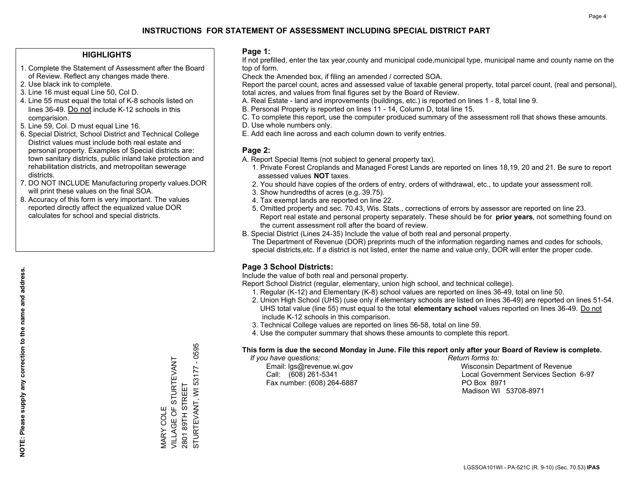## **HIGHLIGHTS**

- 1. Complete the Statement of Assessment after the Board of Review. Reflect any changes made there.
- 2. Use black ink to complete.
- 3. Line 16 must equal Line 50, Col D.
- 4. Line 55 must equal the total of K-8 schools listed on lines 36-49. Do not include K-12 schools in this comparision.
- 5. Line 59, Col. D must equal Line 16.
- 6. Special District, School District and Technical College District values must include both real estate and personal property. Examples of Special districts are: town sanitary districts, public inland lake protection and rehabilitation districts, and metropolitan sewerage districts.
- 7. DO NOT INCLUDE Manufacturing property values.DOR will print these values on the final SOA.

MARY COLE

**VIARY COLE** 

VILLAGE OF STURTEVANT

VILLAGE OF STURTEVANT

2801 89TH STREET

STURTEVANT, WI 53177 - 0595

STURTEVANT, WI 53177 2801 89TH STREET

 $-0595$ 

 8. Accuracy of this form is very important. The values reported directly affect the equalized value DOR calculates for school and special districts.

### **Page 1:**

 If not prefilled, enter the tax year,county and municipal code,municipal type, municipal name and county name on the top of form.

Check the Amended box, if filing an amended / corrected SOA.

 Report the parcel count, acres and assessed value of taxable general property, total parcel count, (real and personal), total acres, and values from final figures set by the Board of Review.

- A. Real Estate land and improvements (buildings, etc.) is reported on lines 1 8, total line 9.
- B. Personal Property is reported on lines 11 14, Column D, total line 15.
- C. To complete this report, use the computer produced summary of the assessment roll that shows these amounts.
- D. Use whole numbers only.
- E. Add each line across and each column down to verify entries.

## **Page 2:**

- A. Report Special Items (not subject to general property tax).
- 1. Private Forest Croplands and Managed Forest Lands are reported on lines 18,19, 20 and 21. Be sure to report assessed values **NOT** taxes.
- 2. You should have copies of the orders of entry, orders of withdrawal, etc., to update your assessment roll.
	- 3. Show hundredths of acres (e.g. 39.75).
- 4. Tax exempt lands are reported on line 22.
- 5. Omitted property and sec. 70.43, Wis. Stats., corrections of errors by assessor are reported on line 23. Report real estate and personal property separately. These should be for **prior years**, not something found on the current assessment roll after the board of review.
- B. Special District (Lines 24-35) Include the value of both real and personal property.
- The Department of Revenue (DOR) preprints much of the information regarding names and codes for schools, special districts,etc. If a district is not listed, enter the name and value only, DOR will enter the proper code.

## **Page 3 School Districts:**

Include the value of both real and personal property.

Report School District (regular, elementary, union high school, and technical college).

- 1. Regular (K-12) and Elementary (K-8) school values are reported on lines 36-49, total on line 50.
- 2. Union High School (UHS) (use only if elementary schools are listed on lines 36-49) are reported on lines 51-54. UHS total value (line 55) must equal to the total **elementary school** values reported on lines 36-49. Do notinclude K-12 schools in this comparison.
- 3. Technical College values are reported on lines 56-58, total on line 59.
- 4. Use the computer summary that shows these amounts to complete this report.

#### **This form is due the second Monday in June. File this report only after your Board of Review is complete.**

 *If you have questions: Return forms to:*

Fax number: (608) 264-6887 PO Box 8971

 Email: lgs@revenue.wi.gov Wisconsin Department of Revenue Call: (608) 261-5341 Local Government Services Section 6-97Madison WI 53708-8971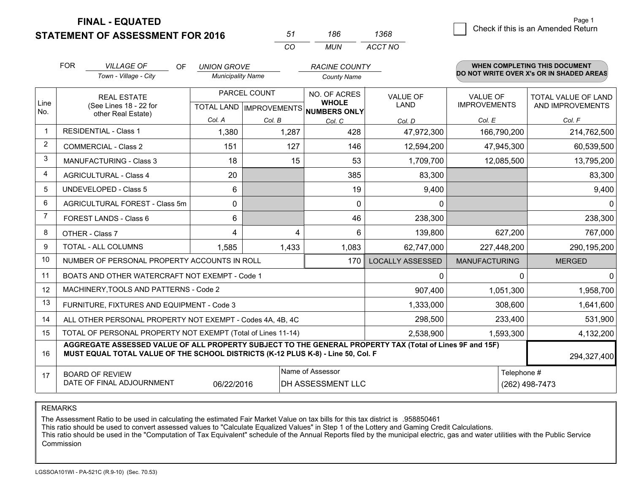**STATEMENT OF ASSESSMENT FOR 2016** 

| 51 | 186 | 1368    |
|----|-----|---------|
| rη | MUN | ACCT NO |

|                | <b>FOR</b>                                                                                                                                                                                   | <b>VILLAGE OF</b><br>OF.<br>Town - Village - City            | <b>UNION GROVE</b><br><b>Municipality Name</b>      |        | <b>RACINE COUNTY</b><br><b>County Name</b> |                         |                                        | <b>WHEN COMPLETING THIS DOCUMENT</b><br>DO NOT WRITE OVER X's OR IN SHADED AREAS |
|----------------|----------------------------------------------------------------------------------------------------------------------------------------------------------------------------------------------|--------------------------------------------------------------|-----------------------------------------------------|--------|--------------------------------------------|-------------------------|----------------------------------------|----------------------------------------------------------------------------------|
| Line<br>No.    | <b>REAL ESTATE</b><br>(See Lines 18 - 22 for                                                                                                                                                 |                                                              | PARCEL COUNT<br>TOTAL LAND MPROVEMENTS NUMBERS ONLY |        | <b>NO. OF ACRES</b><br><b>WHOLE</b>        | <b>VALUE OF</b><br>LAND | <b>VALUE OF</b><br><b>IMPROVEMENTS</b> | TOTAL VALUE OF LAND<br>AND IMPROVEMENTS                                          |
|                |                                                                                                                                                                                              | other Real Estate)                                           | Col. A                                              | Col. B | Col. C                                     | Col. D                  | Col. E                                 | Col. F                                                                           |
| -1             |                                                                                                                                                                                              | <b>RESIDENTIAL - Class 1</b>                                 | 1,380                                               | 1,287  | 428                                        | 47,972,300              | 166,790,200                            | 214,762,500                                                                      |
| $\overline{2}$ |                                                                                                                                                                                              | <b>COMMERCIAL - Class 2</b>                                  | 151                                                 | 127    | 146                                        | 12,594,200              | 47,945,300                             | 60,539,500                                                                       |
| 3              |                                                                                                                                                                                              | <b>MANUFACTURING - Class 3</b>                               | 18                                                  | 15     | 53                                         | 1,709,700               | 12,085,500                             | 13,795,200                                                                       |
| 4              |                                                                                                                                                                                              | <b>AGRICULTURAL - Class 4</b>                                | 20                                                  |        | 385                                        | 83,300                  |                                        | 83,300                                                                           |
| 5              |                                                                                                                                                                                              | UNDEVELOPED - Class 5                                        | 6                                                   |        | 19                                         | 9,400                   |                                        | 9,400                                                                            |
| 6              |                                                                                                                                                                                              | AGRICULTURAL FOREST - Class 5m                               | $\Omega$                                            |        | $\Omega$                                   | $\mathbf 0$             |                                        | $\Omega$                                                                         |
| 7              |                                                                                                                                                                                              | FOREST LANDS - Class 6                                       | 6                                                   |        | 46                                         | 238,300                 |                                        | 238,300                                                                          |
| 8              |                                                                                                                                                                                              | OTHER - Class 7                                              | 4                                                   | 4      | 6                                          | 139,800                 | 627,200                                | 767,000                                                                          |
| 9              |                                                                                                                                                                                              | TOTAL - ALL COLUMNS                                          | 1,585                                               | 1,433  | 1,083                                      | 62,747,000              | 227,448,200                            | 290,195,200                                                                      |
| 10             |                                                                                                                                                                                              | NUMBER OF PERSONAL PROPERTY ACCOUNTS IN ROLL                 |                                                     |        | 170                                        | <b>LOCALLY ASSESSED</b> | <b>MANUFACTURING</b>                   | <b>MERGED</b>                                                                    |
| 11             |                                                                                                                                                                                              | BOATS AND OTHER WATERCRAFT NOT EXEMPT - Code 1               |                                                     |        |                                            | 0                       | 0                                      | $\Omega$                                                                         |
| 12             |                                                                                                                                                                                              | MACHINERY, TOOLS AND PATTERNS - Code 2                       |                                                     |        |                                            | 907,400                 | 1,051,300                              | 1,958,700                                                                        |
| 13             |                                                                                                                                                                                              | FURNITURE, FIXTURES AND EQUIPMENT - Code 3                   |                                                     |        |                                            | 1,333,000               | 308,600                                | 1,641,600                                                                        |
| 14             |                                                                                                                                                                                              | ALL OTHER PERSONAL PROPERTY NOT EXEMPT - Codes 4A, 4B, 4C    |                                                     |        |                                            | 298,500                 | 233,400                                | 531,900                                                                          |
| 15             |                                                                                                                                                                                              | TOTAL OF PERSONAL PROPERTY NOT EXEMPT (Total of Lines 11-14) |                                                     |        |                                            | 2,538,900               | 1,593,300                              | 4,132,200                                                                        |
| 16             | AGGREGATE ASSESSED VALUE OF ALL PROPERTY SUBJECT TO THE GENERAL PROPERTY TAX (Total of Lines 9F and 15F)<br>MUST EQUAL TOTAL VALUE OF THE SCHOOL DISTRICTS (K-12 PLUS K-8) - Line 50, Col. F |                                                              |                                                     |        |                                            |                         |                                        | 294,327,400                                                                      |
| 17             | Name of Assessor<br>Telephone #<br><b>BOARD OF REVIEW</b><br>DATE OF FINAL ADJOURNMENT<br>DH ASSESSMENT LLC<br>06/22/2016                                                                    |                                                              |                                                     |        |                                            | (262) 498-7473          |                                        |                                                                                  |

REMARKS

The Assessment Ratio to be used in calculating the estimated Fair Market Value on tax bills for this tax district is .958850461

This ratio should be used to convert assessed values to "Calculate Equalized Values" in Step 1 of the Lottery and Gaming Credit Calculations.<br>This ratio should be used in the "Computation of Tax Equivalent" schedule of the Commission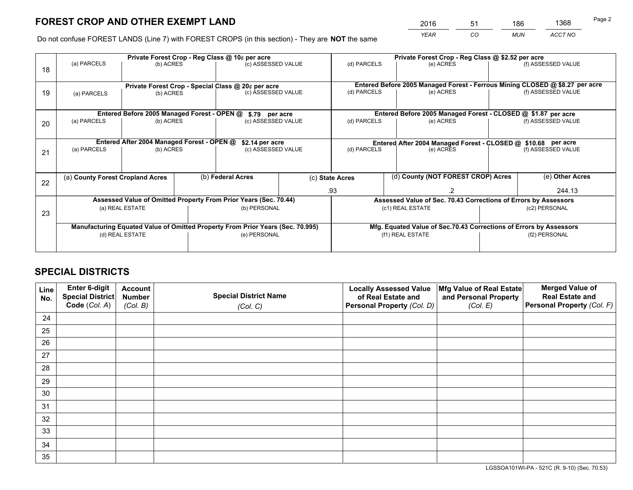*YEAR CO MUN ACCT NO* <sup>2016</sup> <sup>51</sup> <sup>186</sup> <sup>1368</sup>

Do not confuse FOREST LANDS (Line 7) with FOREST CROPS (in this section) - They are **NOT** the same

|    |                                                               |                                             |  | Private Forest Crop - Reg Class @ 10¢ per acre                                 |                                   | Private Forest Crop - Reg Class @ \$2.52 per acre                                      |  |                                                                 |  |                                                                                                    |
|----|---------------------------------------------------------------|---------------------------------------------|--|--------------------------------------------------------------------------------|-----------------------------------|----------------------------------------------------------------------------------------|--|-----------------------------------------------------------------|--|----------------------------------------------------------------------------------------------------|
| 18 | (a) PARCELS                                                   | (b) ACRES                                   |  | (c) ASSESSED VALUE                                                             |                                   | (d) PARCELS                                                                            |  | (e) ACRES                                                       |  | (f) ASSESSED VALUE                                                                                 |
|    |                                                               |                                             |  |                                                                                |                                   |                                                                                        |  |                                                                 |  |                                                                                                    |
|    | Private Forest Crop - Special Class @ 20¢ per acre            |                                             |  |                                                                                |                                   |                                                                                        |  |                                                                 |  | Entered Before 2005 Managed Forest - Ferrous Mining CLOSED @ \$8.27 per acre<br>(f) ASSESSED VALUE |
| 19 | (a) PARCELS                                                   | (b) ACRES                                   |  | (c) ASSESSED VALUE                                                             |                                   | (d) PARCELS                                                                            |  | (e) ACRES                                                       |  |                                                                                                    |
|    |                                                               |                                             |  |                                                                                |                                   |                                                                                        |  |                                                                 |  |                                                                                                    |
|    |                                                               | Entered Before 2005 Managed Forest - OPEN @ |  | \$.79 per acre                                                                 |                                   |                                                                                        |  | Entered Before 2005 Managed Forest - CLOSED @ \$1.87 per acre   |  |                                                                                                    |
| 20 | (a) PARCELS                                                   | (b) ACRES                                   |  | (c) ASSESSED VALUE                                                             |                                   | (d) PARCELS                                                                            |  | (e) ACRES                                                       |  | (f) ASSESSED VALUE                                                                                 |
|    |                                                               |                                             |  |                                                                                |                                   |                                                                                        |  |                                                                 |  |                                                                                                    |
|    | Entered After 2004 Managed Forest - OPEN @<br>\$2.14 per acre |                                             |  |                                                                                |                                   | Entered After 2004 Managed Forest - CLOSED @ \$10.68 per acre                          |  |                                                                 |  |                                                                                                    |
| 21 | (a) PARCELS                                                   | (b) ACRES                                   |  |                                                                                | (d) PARCELS<br>(c) ASSESSED VALUE |                                                                                        |  | (e) ACRES                                                       |  | (f) ASSESSED VALUE                                                                                 |
|    |                                                               |                                             |  |                                                                                |                                   |                                                                                        |  |                                                                 |  |                                                                                                    |
|    |                                                               |                                             |  |                                                                                |                                   |                                                                                        |  |                                                                 |  |                                                                                                    |
| 22 | (a) County Forest Cropland Acres                              |                                             |  | (b) Federal Acres                                                              |                                   | (d) County (NOT FOREST CROP) Acres<br>(c) State Acres                                  |  |                                                                 |  | (e) Other Acres                                                                                    |
|    |                                                               |                                             |  |                                                                                |                                   | .93                                                                                    |  |                                                                 |  | 244.13                                                                                             |
|    |                                                               |                                             |  | Assessed Value of Omitted Property From Prior Years (Sec. 70.44)               |                                   |                                                                                        |  | Assessed Value of Sec. 70.43 Corrections of Errors by Assessors |  |                                                                                                    |
|    |                                                               | (a) REAL ESTATE                             |  | (b) PERSONAL                                                                   |                                   |                                                                                        |  | (c1) REAL ESTATE                                                |  | (c2) PERSONAL                                                                                      |
| 23 |                                                               |                                             |  |                                                                                |                                   |                                                                                        |  |                                                                 |  |                                                                                                    |
|    |                                                               |                                             |  | Manufacturing Equated Value of Omitted Property From Prior Years (Sec. 70.995) |                                   |                                                                                        |  |                                                                 |  |                                                                                                    |
|    |                                                               | (d) REAL ESTATE                             |  | (e) PERSONAL                                                                   |                                   | Mfg. Equated Value of Sec.70.43 Corrections of Errors by Assessors<br>(f1) REAL ESTATE |  | (f2) PERSONAL                                                   |  |                                                                                                    |
|    |                                                               |                                             |  |                                                                                |                                   |                                                                                        |  |                                                                 |  |                                                                                                    |
|    |                                                               |                                             |  |                                                                                |                                   |                                                                                        |  |                                                                 |  |                                                                                                    |

## **SPECIAL DISTRICTS**

| Line<br>No. | Enter 6-digit<br><b>Special District</b> | <b>Account</b><br><b>Number</b> | <b>Special District Name</b> | <b>Locally Assessed Value</b><br>of Real Estate and | Mfg Value of Real Estate<br>and Personal Property | <b>Merged Value of</b><br><b>Real Estate and</b> |
|-------------|------------------------------------------|---------------------------------|------------------------------|-----------------------------------------------------|---------------------------------------------------|--------------------------------------------------|
|             | Code (Col. A)                            | (Col. B)                        | (Col. C)                     | Personal Property (Col. D)                          | (Col. E)                                          | Personal Property (Col. F)                       |
| 24          |                                          |                                 |                              |                                                     |                                                   |                                                  |
| 25          |                                          |                                 |                              |                                                     |                                                   |                                                  |
| 26          |                                          |                                 |                              |                                                     |                                                   |                                                  |
| 27          |                                          |                                 |                              |                                                     |                                                   |                                                  |
| 28          |                                          |                                 |                              |                                                     |                                                   |                                                  |
| 29          |                                          |                                 |                              |                                                     |                                                   |                                                  |
| 30          |                                          |                                 |                              |                                                     |                                                   |                                                  |
| 31          |                                          |                                 |                              |                                                     |                                                   |                                                  |
| 32          |                                          |                                 |                              |                                                     |                                                   |                                                  |
| 33          |                                          |                                 |                              |                                                     |                                                   |                                                  |
| 34          |                                          |                                 |                              |                                                     |                                                   |                                                  |
| 35          |                                          |                                 |                              |                                                     |                                                   |                                                  |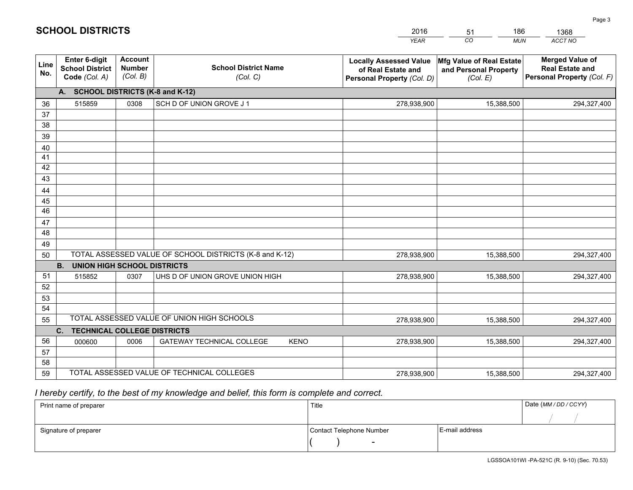|             |                                                                 |                                             |                                                         | <b>YEAR</b>                                                                       | CO<br><b>MUN</b>                                              | ACCT NO                                                                        |
|-------------|-----------------------------------------------------------------|---------------------------------------------|---------------------------------------------------------|-----------------------------------------------------------------------------------|---------------------------------------------------------------|--------------------------------------------------------------------------------|
| Line<br>No. | <b>Enter 6-digit</b><br><b>School District</b><br>Code (Col. A) | <b>Account</b><br><b>Number</b><br>(Col. B) | <b>School District Name</b><br>(Col. C)                 | <b>Locally Assessed Value</b><br>of Real Estate and<br>Personal Property (Col. D) | Mfg Value of Real Estate<br>and Personal Property<br>(Col. E) | <b>Merged Value of</b><br><b>Real Estate and</b><br>Personal Property (Col. F) |
|             | A. SCHOOL DISTRICTS (K-8 and K-12)                              |                                             |                                                         |                                                                                   |                                                               |                                                                                |
| 36          | 515859                                                          | 0308                                        | SCH D OF UNION GROVE J 1                                | 278,938,900                                                                       | 15,388,500                                                    | 294,327,400                                                                    |
| 37          |                                                                 |                                             |                                                         |                                                                                   |                                                               |                                                                                |
| 38          |                                                                 |                                             |                                                         |                                                                                   |                                                               |                                                                                |
| 39          |                                                                 |                                             |                                                         |                                                                                   |                                                               |                                                                                |
| 40          |                                                                 |                                             |                                                         |                                                                                   |                                                               |                                                                                |
| 41<br>42    |                                                                 |                                             |                                                         |                                                                                   |                                                               |                                                                                |
| 43          |                                                                 |                                             |                                                         |                                                                                   |                                                               |                                                                                |
|             |                                                                 |                                             |                                                         |                                                                                   |                                                               |                                                                                |
| 44<br>45    |                                                                 |                                             |                                                         |                                                                                   |                                                               |                                                                                |
| 46          |                                                                 |                                             |                                                         |                                                                                   |                                                               |                                                                                |
| 47          |                                                                 |                                             |                                                         |                                                                                   |                                                               |                                                                                |
| 48          |                                                                 |                                             |                                                         |                                                                                   |                                                               |                                                                                |
| 49          |                                                                 |                                             |                                                         |                                                                                   |                                                               |                                                                                |
| 50          |                                                                 |                                             | TOTAL ASSESSED VALUE OF SCHOOL DISTRICTS (K-8 and K-12) | 278,938,900                                                                       | 15,388,500                                                    | 294,327,400                                                                    |
|             | <b>UNION HIGH SCHOOL DISTRICTS</b><br><b>B.</b>                 |                                             |                                                         |                                                                                   |                                                               |                                                                                |
| 51          | 515852                                                          | 0307                                        | UHS D OF UNION GROVE UNION HIGH                         | 278,938,900                                                                       | 15,388,500                                                    | 294,327,400                                                                    |
| 52          |                                                                 |                                             |                                                         |                                                                                   |                                                               |                                                                                |
| 53          |                                                                 |                                             |                                                         |                                                                                   |                                                               |                                                                                |
| 54          |                                                                 |                                             |                                                         |                                                                                   |                                                               |                                                                                |
| 55          |                                                                 |                                             | TOTAL ASSESSED VALUE OF UNION HIGH SCHOOLS              | 278,938,900                                                                       | 15,388,500                                                    | 294,327,400                                                                    |
|             | C.<br><b>TECHNICAL COLLEGE DISTRICTS</b>                        |                                             |                                                         |                                                                                   |                                                               |                                                                                |
| 56          | 000600                                                          | 0006                                        | <b>GATEWAY TECHNICAL COLLEGE</b><br><b>KENO</b>         | 278,938,900                                                                       | 15,388,500                                                    | 294,327,400                                                                    |
| 57<br>58    |                                                                 |                                             |                                                         |                                                                                   |                                                               |                                                                                |
| 59          |                                                                 |                                             | TOTAL ASSESSED VALUE OF TECHNICAL COLLEGES              | 278,938,900                                                                       | 15,388,500                                                    | 294,327,400                                                                    |
|             |                                                                 |                                             |                                                         |                                                                                   |                                                               |                                                                                |

51

186

 *I hereby certify, to the best of my knowledge and belief, this form is complete and correct.*

**SCHOOL DISTRICTS**

| Print name of preparer | Title                    | Date (MM/DD/CCYY) |  |
|------------------------|--------------------------|-------------------|--|
|                        |                          |                   |  |
| Signature of preparer  | Contact Telephone Number | E-mail address    |  |
|                        | $\overline{\phantom{0}}$ |                   |  |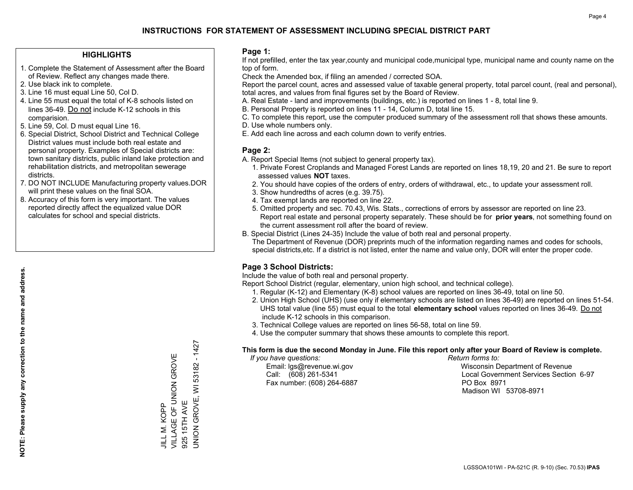## **HIGHLIGHTS**

- 1. Complete the Statement of Assessment after the Board of Review. Reflect any changes made there.
- 2. Use black ink to complete.
- 3. Line 16 must equal Line 50, Col D.
- 4. Line 55 must equal the total of K-8 schools listed on lines 36-49. Do not include K-12 schools in this comparision.
- 5. Line 59, Col. D must equal Line 16.
- 6. Special District, School District and Technical College District values must include both real estate and personal property. Examples of Special districts are: town sanitary districts, public inland lake protection and rehabilitation districts, and metropolitan sewerage districts.
- 7. DO NOT INCLUDE Manufacturing property values.DOR will print these values on the final SOA.

JILL M. KOPP

VILLAGE OF UNION GROVE

JILL M. KOPP<br>VILLAGE OF UNION GROVE

925 15TH AVE

UNION GROVE, WI 53182 - 1427

JNION GROVE, WI 925 15TH AVE

53182 - 1427

 8. Accuracy of this form is very important. The values reported directly affect the equalized value DOR calculates for school and special districts.

### **Page 1:**

 If not prefilled, enter the tax year,county and municipal code,municipal type, municipal name and county name on the top of form.

Check the Amended box, if filing an amended / corrected SOA.

 Report the parcel count, acres and assessed value of taxable general property, total parcel count, (real and personal), total acres, and values from final figures set by the Board of Review.

- A. Real Estate land and improvements (buildings, etc.) is reported on lines 1 8, total line 9.
- B. Personal Property is reported on lines 11 14, Column D, total line 15.
- C. To complete this report, use the computer produced summary of the assessment roll that shows these amounts.
- D. Use whole numbers only.
- E. Add each line across and each column down to verify entries.

### **Page 2:**

- A. Report Special Items (not subject to general property tax).
- 1. Private Forest Croplands and Managed Forest Lands are reported on lines 18,19, 20 and 21. Be sure to report assessed values **NOT** taxes.
- 2. You should have copies of the orders of entry, orders of withdrawal, etc., to update your assessment roll.
	- 3. Show hundredths of acres (e.g. 39.75).
- 4. Tax exempt lands are reported on line 22.
- 5. Omitted property and sec. 70.43, Wis. Stats., corrections of errors by assessor are reported on line 23. Report real estate and personal property separately. These should be for **prior years**, not something found on the current assessment roll after the board of review.
- B. Special District (Lines 24-35) Include the value of both real and personal property.
- The Department of Revenue (DOR) preprints much of the information regarding names and codes for schools, special districts,etc. If a district is not listed, enter the name and value only, DOR will enter the proper code.

## **Page 3 School Districts:**

Include the value of both real and personal property.

Report School District (regular, elementary, union high school, and technical college).

- 1. Regular (K-12) and Elementary (K-8) school values are reported on lines 36-49, total on line 50.
- 2. Union High School (UHS) (use only if elementary schools are listed on lines 36-49) are reported on lines 51-54. UHS total value (line 55) must equal to the total **elementary school** values reported on lines 36-49. Do notinclude K-12 schools in this comparison.
- 3. Technical College values are reported on lines 56-58, total on line 59.
- 4. Use the computer summary that shows these amounts to complete this report.

#### **This form is due the second Monday in June. File this report only after your Board of Review is complete.**

 *If you have questions: Return forms to:*

Fax number: (608) 264-6887 PO Box 8971

 Email: lgs@revenue.wi.gov Wisconsin Department of Revenue Call: (608) 261-5341 Local Government Services Section 6-97Madison WI 53708-8971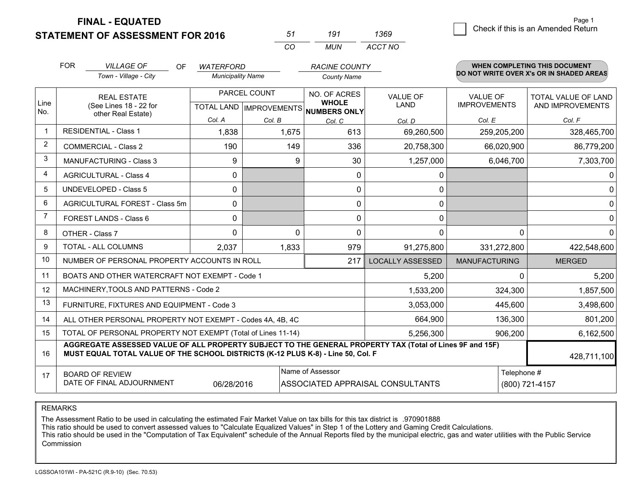g **Check if this is an Amended Return** Page 1

# **STATEMENT OF ASSESSMENT FOR 2016**

| .51 | 191 | 1369    |
|-----|-----|---------|
| CO  | MUN | ACCT NO |

|                | <b>FOR</b>                                                                            | <b>VILLAGE OF</b><br><b>OF</b>                                                                                                                                                               | <b>WATERFORD</b>         |              | <b>RACINE COUNTY</b>                                                 |                                  |                                 | <b>WHEN COMPLETING THIS DOCUMENT</b><br>DO NOT WRITE OVER X's OR IN SHADED AREAS |
|----------------|---------------------------------------------------------------------------------------|----------------------------------------------------------------------------------------------------------------------------------------------------------------------------------------------|--------------------------|--------------|----------------------------------------------------------------------|----------------------------------|---------------------------------|----------------------------------------------------------------------------------|
|                |                                                                                       | Town - Village - City                                                                                                                                                                        | <b>Municipality Name</b> |              | <b>County Name</b>                                                   |                                  |                                 |                                                                                  |
| Line           |                                                                                       | <b>REAL ESTATE</b><br>(See Lines 18 - 22 for                                                                                                                                                 |                          | PARCEL COUNT | NO. OF ACRES<br><b>WHOLE</b><br>TOTAL LAND IMPROVEMENTS NUMBERS ONLY | <b>VALUE OF</b><br>LAND          | VALUE OF<br><b>IMPROVEMENTS</b> | TOTAL VALUE OF LAND<br>AND IMPROVEMENTS                                          |
| No.            |                                                                                       | other Real Estate)                                                                                                                                                                           | Col. A                   | Col. B       | Col. C                                                               | Col. D                           | Col. E                          | Col. F                                                                           |
| $\mathbf{1}$   |                                                                                       | <b>RESIDENTIAL - Class 1</b>                                                                                                                                                                 | 1,838                    | 1,675        | 613                                                                  | 69,260,500                       | 259,205,200                     | 328,465,700                                                                      |
| $\overline{2}$ |                                                                                       | <b>COMMERCIAL - Class 2</b>                                                                                                                                                                  | 190                      | 149          | 336                                                                  | 20,758,300                       | 66,020,900                      | 86,779,200                                                                       |
| 3              |                                                                                       | <b>MANUFACTURING - Class 3</b>                                                                                                                                                               | 9                        |              | 30<br>9                                                              | 1,257,000                        | 6,046,700                       | 7,303,700                                                                        |
| 4              |                                                                                       | <b>AGRICULTURAL - Class 4</b>                                                                                                                                                                | 0                        |              | $\mathbf{0}$                                                         | 0                                |                                 |                                                                                  |
| 5              |                                                                                       | <b>UNDEVELOPED - Class 5</b>                                                                                                                                                                 | $\Omega$                 |              | $\mathbf{0}$                                                         | $\mathbf{0}$                     |                                 |                                                                                  |
| 6              |                                                                                       | AGRICULTURAL FOREST - Class 5m                                                                                                                                                               | 0                        |              | 0                                                                    | 0                                |                                 | 0                                                                                |
| $\overline{7}$ |                                                                                       | FOREST LANDS - Class 6                                                                                                                                                                       | $\mathbf{0}$             |              | 0                                                                    | $\mathbf{0}$                     |                                 |                                                                                  |
| 8              |                                                                                       | OTHER - Class 7                                                                                                                                                                              | $\Omega$                 |              | $\Omega$<br>0                                                        | $\mathbf 0$                      | $\Omega$                        |                                                                                  |
| 9              |                                                                                       | TOTAL - ALL COLUMNS                                                                                                                                                                          | 2,037                    | 1,833        | 979                                                                  | 91,275,800                       | 331,272,800                     | 422,548,600                                                                      |
| 10             |                                                                                       | NUMBER OF PERSONAL PROPERTY ACCOUNTS IN ROLL                                                                                                                                                 |                          |              | 217                                                                  | <b>LOCALLY ASSESSED</b>          | <b>MANUFACTURING</b>            | <b>MERGED</b>                                                                    |
| 11             |                                                                                       | BOATS AND OTHER WATERCRAFT NOT EXEMPT - Code 1                                                                                                                                               |                          |              |                                                                      | 5,200                            | $\Omega$                        | 5,200                                                                            |
| 12             |                                                                                       | MACHINERY, TOOLS AND PATTERNS - Code 2                                                                                                                                                       |                          |              |                                                                      | 1,533,200                        | 324,300                         | 1,857,500                                                                        |
| 13             |                                                                                       | FURNITURE, FIXTURES AND EQUIPMENT - Code 3                                                                                                                                                   |                          |              |                                                                      | 3,053,000                        | 445,600                         | 3,498,600                                                                        |
| 14             |                                                                                       | ALL OTHER PERSONAL PROPERTY NOT EXEMPT - Codes 4A, 4B, 4C                                                                                                                                    |                          |              |                                                                      | 664,900                          | 136,300                         | 801,200                                                                          |
| 15             |                                                                                       | TOTAL OF PERSONAL PROPERTY NOT EXEMPT (Total of Lines 11-14)                                                                                                                                 |                          |              |                                                                      | 5,256,300                        | 906,200                         | 6,162,500                                                                        |
| 16             |                                                                                       | AGGREGATE ASSESSED VALUE OF ALL PROPERTY SUBJECT TO THE GENERAL PROPERTY TAX (Total of Lines 9F and 15F)<br>MUST EQUAL TOTAL VALUE OF THE SCHOOL DISTRICTS (K-12 PLUS K-8) - Line 50, Col. F |                          |              |                                                                      |                                  |                                 | 428,711,100                                                                      |
| 17             | Name of Assessor<br><b>BOARD OF REVIEW</b><br>DATE OF FINAL ADJOURNMENT<br>06/28/2016 |                                                                                                                                                                                              |                          |              |                                                                      | ASSOCIATED APPRAISAL CONSULTANTS | Telephone #                     | (800) 721-4157                                                                   |

REMARKS

The Assessment Ratio to be used in calculating the estimated Fair Market Value on tax bills for this tax district is .970901888

This ratio should be used to convert assessed values to "Calculate Equalized Values" in Step 1 of the Lottery and Gaming Credit Calculations.<br>This ratio should be used in the "Computation of Tax Equivalent" schedule of the Commission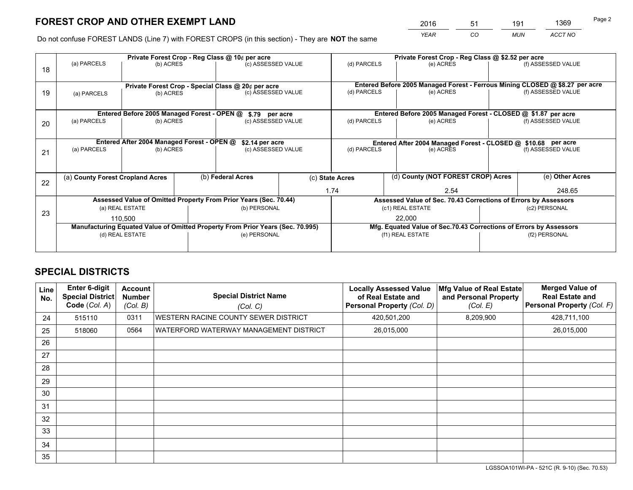*YEAR CO MUN ACCT NO* <sup>2016</sup> <sup>51</sup> <sup>191</sup> <sup>1369</sup>

Do not confuse FOREST LANDS (Line 7) with FOREST CROPS (in this section) - They are **NOT** the same

|    |                                                                                |                                             |  | Private Forest Crop - Reg Class @ 10¢ per acre                   |  | Private Forest Crop - Reg Class @ \$2.52 per acre             |                                                                              |               |                    |  |
|----|--------------------------------------------------------------------------------|---------------------------------------------|--|------------------------------------------------------------------|--|---------------------------------------------------------------|------------------------------------------------------------------------------|---------------|--------------------|--|
| 18 | (a) PARCELS                                                                    | (b) ACRES                                   |  | (c) ASSESSED VALUE                                               |  | (d) PARCELS                                                   | (e) ACRES                                                                    |               | (f) ASSESSED VALUE |  |
|    |                                                                                |                                             |  | Private Forest Crop - Special Class @ 20¢ per acre               |  |                                                               | Entered Before 2005 Managed Forest - Ferrous Mining CLOSED @ \$8.27 per acre |               |                    |  |
| 19 | (b) ACRES<br>(a) PARCELS                                                       |                                             |  | (c) ASSESSED VALUE                                               |  | (d) PARCELS                                                   | (e) ACRES                                                                    |               | (f) ASSESSED VALUE |  |
|    |                                                                                | Entered Before 2005 Managed Forest - OPEN @ |  | \$.79 per acre                                                   |  |                                                               | Entered Before 2005 Managed Forest - CLOSED @ \$1.87 per acre                |               |                    |  |
| 20 | (a) PARCELS<br>(b) ACRES                                                       |                                             |  | (c) ASSESSED VALUE                                               |  | (d) PARCELS<br>(e) ACRES                                      |                                                                              |               | (f) ASSESSED VALUE |  |
|    | Entered After 2004 Managed Forest - OPEN @<br>\$2.14 per acre                  |                                             |  |                                                                  |  | Entered After 2004 Managed Forest - CLOSED @ \$10.68 per acre |                                                                              |               |                    |  |
| 21 | (a) PARCELS<br>(b) ACRES                                                       |                                             |  | (c) ASSESSED VALUE                                               |  | (d) PARCELS                                                   | (e) ACRES                                                                    |               | (f) ASSESSED VALUE |  |
|    |                                                                                |                                             |  |                                                                  |  |                                                               |                                                                              |               |                    |  |
| 22 |                                                                                | (a) County Forest Cropland Acres            |  | (b) Federal Acres                                                |  | (d) County (NOT FOREST CROP) Acres<br>(c) State Acres         |                                                                              |               | (e) Other Acres    |  |
|    |                                                                                |                                             |  |                                                                  |  | 1.74<br>2.54                                                  |                                                                              |               | 248.65             |  |
|    |                                                                                |                                             |  | Assessed Value of Omitted Property From Prior Years (Sec. 70.44) |  |                                                               | Assessed Value of Sec. 70.43 Corrections of Errors by Assessors              |               |                    |  |
| 23 |                                                                                | (a) REAL ESTATE                             |  | (b) PERSONAL                                                     |  |                                                               | (c1) REAL ESTATE                                                             |               | (c2) PERSONAL      |  |
|    |                                                                                | 110.500                                     |  |                                                                  |  |                                                               | 22,000                                                                       |               |                    |  |
|    | Manufacturing Equated Value of Omitted Property From Prior Years (Sec. 70.995) |                                             |  |                                                                  |  |                                                               | Mfg. Equated Value of Sec.70.43 Corrections of Errors by Assessors           |               |                    |  |
|    |                                                                                | (d) REAL ESTATE                             |  | (e) PERSONAL                                                     |  | (f1) REAL ESTATE                                              |                                                                              | (f2) PERSONAL |                    |  |
|    |                                                                                |                                             |  |                                                                  |  |                                                               |                                                                              |               |                    |  |

## **SPECIAL DISTRICTS**

| Line<br>No. | <b>Enter 6-digit</b><br><b>Special District</b><br>Code (Col. A) | <b>Account</b><br><b>Number</b><br>(Col. B) | <b>Special District Name</b><br>(Col. C) | <b>Locally Assessed Value</b><br>of Real Estate and<br>Personal Property (Col. D) | Mfg Value of Real Estate<br>and Personal Property<br>(Col. E) | <b>Merged Value of</b><br><b>Real Estate and</b><br>Personal Property (Col. F) |
|-------------|------------------------------------------------------------------|---------------------------------------------|------------------------------------------|-----------------------------------------------------------------------------------|---------------------------------------------------------------|--------------------------------------------------------------------------------|
| 24          | 515110                                                           | 0311                                        | WESTERN RACINE COUNTY SEWER DISTRICT     | 420,501,200                                                                       | 8,209,900                                                     | 428,711,100                                                                    |
| 25          | 518060                                                           | 0564                                        | WATERFORD WATERWAY MANAGEMENT DISTRICT   | 26,015,000                                                                        |                                                               | 26,015,000                                                                     |
| 26          |                                                                  |                                             |                                          |                                                                                   |                                                               |                                                                                |
| 27          |                                                                  |                                             |                                          |                                                                                   |                                                               |                                                                                |
| 28          |                                                                  |                                             |                                          |                                                                                   |                                                               |                                                                                |
| 29          |                                                                  |                                             |                                          |                                                                                   |                                                               |                                                                                |
| 30          |                                                                  |                                             |                                          |                                                                                   |                                                               |                                                                                |
| 31          |                                                                  |                                             |                                          |                                                                                   |                                                               |                                                                                |
| 32          |                                                                  |                                             |                                          |                                                                                   |                                                               |                                                                                |
| 33          |                                                                  |                                             |                                          |                                                                                   |                                                               |                                                                                |
| 34          |                                                                  |                                             |                                          |                                                                                   |                                                               |                                                                                |
| 35          |                                                                  |                                             |                                          |                                                                                   |                                                               |                                                                                |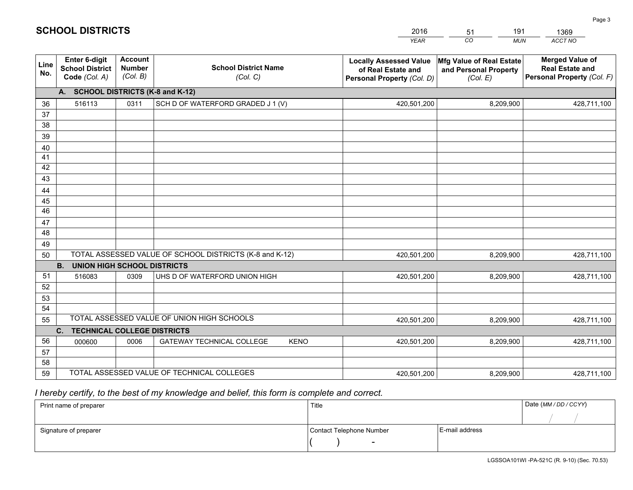|             |                                                                 |                                             |                                                         | <b>YEAR</b>                                                                       | CO<br><b>MUN</b>                                              | ACCT NO                                                                        |
|-------------|-----------------------------------------------------------------|---------------------------------------------|---------------------------------------------------------|-----------------------------------------------------------------------------------|---------------------------------------------------------------|--------------------------------------------------------------------------------|
| Line<br>No. | <b>Enter 6-digit</b><br><b>School District</b><br>Code (Col. A) | <b>Account</b><br><b>Number</b><br>(Col. B) | <b>School District Name</b><br>(Col. C)                 | <b>Locally Assessed Value</b><br>of Real Estate and<br>Personal Property (Col. D) | Mfg Value of Real Estate<br>and Personal Property<br>(Col. E) | <b>Merged Value of</b><br><b>Real Estate and</b><br>Personal Property (Col. F) |
|             | A. SCHOOL DISTRICTS (K-8 and K-12)                              |                                             |                                                         |                                                                                   |                                                               |                                                                                |
| 36          | 516113                                                          | 0311                                        | SCH D OF WATERFORD GRADED J 1 (V)                       | 420,501,200                                                                       | 8,209,900                                                     | 428,711,100                                                                    |
| 37          |                                                                 |                                             |                                                         |                                                                                   |                                                               |                                                                                |
| 38          |                                                                 |                                             |                                                         |                                                                                   |                                                               |                                                                                |
| 39          |                                                                 |                                             |                                                         |                                                                                   |                                                               |                                                                                |
| 40          |                                                                 |                                             |                                                         |                                                                                   |                                                               |                                                                                |
| 41<br>42    |                                                                 |                                             |                                                         |                                                                                   |                                                               |                                                                                |
| 43          |                                                                 |                                             |                                                         |                                                                                   |                                                               |                                                                                |
| 44          |                                                                 |                                             |                                                         |                                                                                   |                                                               |                                                                                |
| 45          |                                                                 |                                             |                                                         |                                                                                   |                                                               |                                                                                |
| 46          |                                                                 |                                             |                                                         |                                                                                   |                                                               |                                                                                |
| 47          |                                                                 |                                             |                                                         |                                                                                   |                                                               |                                                                                |
| 48          |                                                                 |                                             |                                                         |                                                                                   |                                                               |                                                                                |
| 49          |                                                                 |                                             |                                                         |                                                                                   |                                                               |                                                                                |
| 50          |                                                                 |                                             | TOTAL ASSESSED VALUE OF SCHOOL DISTRICTS (K-8 and K-12) | 420,501,200                                                                       | 8,209,900                                                     | 428,711,100                                                                    |
|             | <b>B.</b><br><b>UNION HIGH SCHOOL DISTRICTS</b>                 |                                             |                                                         |                                                                                   |                                                               |                                                                                |
| 51          | 516083                                                          | 0309                                        | UHS D OF WATERFORD UNION HIGH                           | 420,501,200                                                                       | 8,209,900                                                     | 428,711,100                                                                    |
| 52          |                                                                 |                                             |                                                         |                                                                                   |                                                               |                                                                                |
| 53<br>54    |                                                                 |                                             |                                                         |                                                                                   |                                                               |                                                                                |
| 55          |                                                                 |                                             | TOTAL ASSESSED VALUE OF UNION HIGH SCHOOLS              | 420,501,200                                                                       | 8,209,900                                                     | 428,711,100                                                                    |
|             | C.<br><b>TECHNICAL COLLEGE DISTRICTS</b>                        |                                             |                                                         |                                                                                   |                                                               |                                                                                |
| 56          | 000600                                                          | 0006                                        | <b>GATEWAY TECHNICAL COLLEGE</b><br><b>KENO</b>         | 420,501,200                                                                       | 8,209,900                                                     | 428,711,100                                                                    |
| 57          |                                                                 |                                             |                                                         |                                                                                   |                                                               |                                                                                |
| 58          |                                                                 |                                             |                                                         |                                                                                   |                                                               |                                                                                |
| 59          |                                                                 |                                             | TOTAL ASSESSED VALUE OF TECHNICAL COLLEGES              | 420,501,200                                                                       | 8,209,900                                                     | 428,711,100                                                                    |

51

191

 *I hereby certify, to the best of my knowledge and belief, this form is complete and correct.*

**SCHOOL DISTRICTS**

| Print name of preparer | Title                    |                | Date (MM/DD/CCYY) |
|------------------------|--------------------------|----------------|-------------------|
|                        |                          |                |                   |
| Signature of preparer  | Contact Telephone Number | E-mail address |                   |
|                        | $\overline{\phantom{a}}$ |                |                   |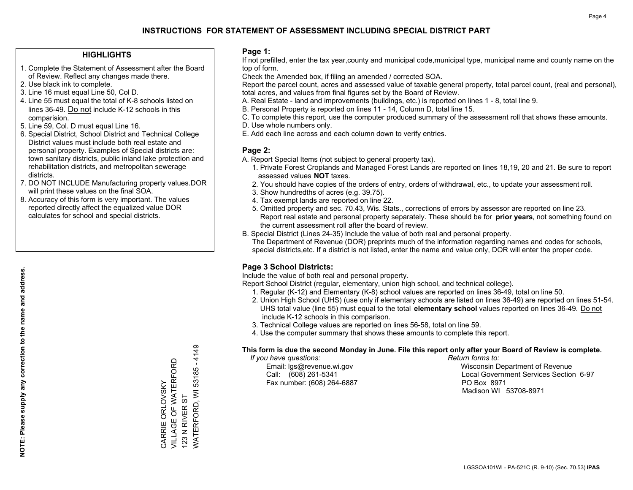## **HIGHLIGHTS**

- 1. Complete the Statement of Assessment after the Board of Review. Reflect any changes made there.
- 2. Use black ink to complete.
- 3. Line 16 must equal Line 50, Col D.
- 4. Line 55 must equal the total of K-8 schools listed on lines 36-49. Do not include K-12 schools in this comparision.
- 5. Line 59, Col. D must equal Line 16.
- 6. Special District, School District and Technical College District values must include both real estate and personal property. Examples of Special districts are: town sanitary districts, public inland lake protection and rehabilitation districts, and metropolitan sewerage districts.
- 7. DO NOT INCLUDE Manufacturing property values.DOR will print these values on the final SOA.

CARRIE ORLOVSKY VILLAGE OF WATERFORD

CARRIE ORLOVSKY

VILLAGE OF WATERFORD

123 N RIVER ST

123 N RIVER ST

WATERFORD, WI 53185 - 4149

WATERFORD, WI 53185

 $-4149$ 

 8. Accuracy of this form is very important. The values reported directly affect the equalized value DOR calculates for school and special districts.

### **Page 1:**

 If not prefilled, enter the tax year,county and municipal code,municipal type, municipal name and county name on the top of form.

Check the Amended box, if filing an amended / corrected SOA.

 Report the parcel count, acres and assessed value of taxable general property, total parcel count, (real and personal), total acres, and values from final figures set by the Board of Review.

- A. Real Estate land and improvements (buildings, etc.) is reported on lines 1 8, total line 9.
- B. Personal Property is reported on lines 11 14, Column D, total line 15.
- C. To complete this report, use the computer produced summary of the assessment roll that shows these amounts.
- D. Use whole numbers only.
- E. Add each line across and each column down to verify entries.

## **Page 2:**

- A. Report Special Items (not subject to general property tax).
- 1. Private Forest Croplands and Managed Forest Lands are reported on lines 18,19, 20 and 21. Be sure to report assessed values **NOT** taxes.
- 2. You should have copies of the orders of entry, orders of withdrawal, etc., to update your assessment roll.
	- 3. Show hundredths of acres (e.g. 39.75).
- 4. Tax exempt lands are reported on line 22.
- 5. Omitted property and sec. 70.43, Wis. Stats., corrections of errors by assessor are reported on line 23. Report real estate and personal property separately. These should be for **prior years**, not something found on the current assessment roll after the board of review.
- B. Special District (Lines 24-35) Include the value of both real and personal property.

 The Department of Revenue (DOR) preprints much of the information regarding names and codes for schools, special districts,etc. If a district is not listed, enter the name and value only, DOR will enter the proper code.

## **Page 3 School Districts:**

Include the value of both real and personal property.

Report School District (regular, elementary, union high school, and technical college).

- 1. Regular (K-12) and Elementary (K-8) school values are reported on lines 36-49, total on line 50.
- 2. Union High School (UHS) (use only if elementary schools are listed on lines 36-49) are reported on lines 51-54. UHS total value (line 55) must equal to the total **elementary school** values reported on lines 36-49. Do notinclude K-12 schools in this comparison.
- 3. Technical College values are reported on lines 56-58, total on line 59.
- 4. Use the computer summary that shows these amounts to complete this report.

#### **This form is due the second Monday in June. File this report only after your Board of Review is complete.**

 *If you have questions: Return forms to:*

Fax number: (608) 264-6887 PO Box 8971

 Email: lgs@revenue.wi.gov Wisconsin Department of Revenue Call: (608) 261-5341 Local Government Services Section 6-97Madison WI 53708-8971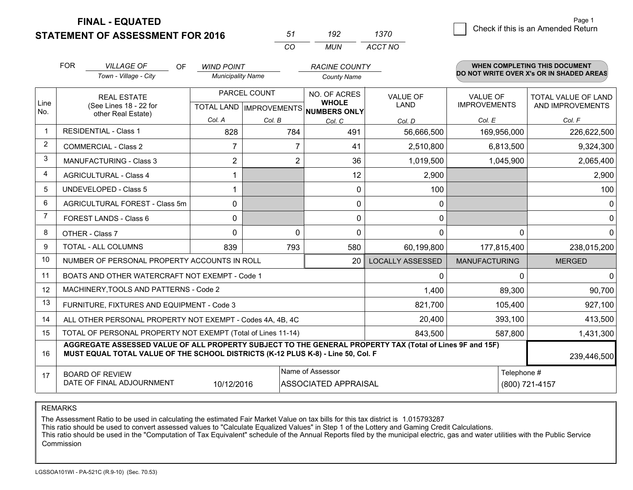**STATEMENT OF ASSESSMENT FOR 2016** 

| ר ה      | w   | 1370    |
|----------|-----|---------|
| $\cdots$ | MUN | ACCT NO |

|      | <b>FOR</b>                                                                                                                                                                                   | <b>VILLAGE OF</b><br><b>OF</b>                               | <b>WIND POINT</b>                                    |                | <b>RACINE COUNTY</b>         |                                |                                        | <b>WHEN COMPLETING THIS DOCUMENT</b>     |
|------|----------------------------------------------------------------------------------------------------------------------------------------------------------------------------------------------|--------------------------------------------------------------|------------------------------------------------------|----------------|------------------------------|--------------------------------|----------------------------------------|------------------------------------------|
|      |                                                                                                                                                                                              | Town - Village - City                                        | <b>Municipality Name</b>                             |                | <b>County Name</b>           |                                |                                        | DO NOT WRITE OVER X's OR IN SHADED AREAS |
| Line | <b>REAL ESTATE</b><br>(See Lines 18 - 22 for                                                                                                                                                 |                                                              | PARCEL COUNT<br>TOTAL LAND IMPROVEMENTS NUMBERS ONLY |                | NO. OF ACRES<br><b>WHOLE</b> | <b>VALUE OF</b><br><b>LAND</b> | <b>VALUE OF</b><br><b>IMPROVEMENTS</b> | TOTAL VALUE OF LAND<br>AND IMPROVEMENTS  |
| No.  |                                                                                                                                                                                              | other Real Estate)                                           | Col. A                                               | Col. B         | Col. C                       | Col. D                         | Col. E                                 | Col. F                                   |
|      |                                                                                                                                                                                              | <b>RESIDENTIAL - Class 1</b>                                 | 828                                                  | 784            | 491                          | 56,666,500                     | 169,956,000                            | 226,622,500                              |
| 2    |                                                                                                                                                                                              | <b>COMMERCIAL - Class 2</b>                                  | 7                                                    | 7              | 41                           | 2,510,800                      | 6,813,500                              | 9,324,300                                |
| 3    |                                                                                                                                                                                              | <b>MANUFACTURING - Class 3</b>                               | $\overline{2}$                                       | $\overline{2}$ | 36                           | 1,019,500                      | 1,045,900                              | 2,065,400                                |
| 4    |                                                                                                                                                                                              | <b>AGRICULTURAL - Class 4</b>                                |                                                      |                | 12                           | 2,900                          |                                        | 2,900                                    |
| 5    |                                                                                                                                                                                              | <b>UNDEVELOPED - Class 5</b>                                 |                                                      |                | 0                            | 100                            |                                        | 100                                      |
| 6    |                                                                                                                                                                                              | AGRICULTURAL FOREST - Class 5m                               | $\Omega$                                             |                | 0                            | 0                              |                                        | 0                                        |
| 7    |                                                                                                                                                                                              | FOREST LANDS - Class 6                                       | 0                                                    |                | 0                            | $\mathbf{0}$                   |                                        | $\Omega$                                 |
| 8    |                                                                                                                                                                                              | OTHER - Class 7                                              | $\Omega$                                             | $\Omega$       | 0                            | $\Omega$                       | 0                                      | 0                                        |
| 9    |                                                                                                                                                                                              | TOTAL - ALL COLUMNS                                          | 839                                                  | 793            | 580                          | 60,199,800                     | 177,815,400                            | 238,015,200                              |
| 10   |                                                                                                                                                                                              | NUMBER OF PERSONAL PROPERTY ACCOUNTS IN ROLL                 |                                                      |                | 20                           | <b>LOCALLY ASSESSED</b>        | <b>MANUFACTURING</b>                   | <b>MERGED</b>                            |
| 11   |                                                                                                                                                                                              | BOATS AND OTHER WATERCRAFT NOT EXEMPT - Code 1               |                                                      |                |                              | $\Omega$                       | <sup>0</sup>                           | $\Omega$                                 |
| 12   |                                                                                                                                                                                              | MACHINERY, TOOLS AND PATTERNS - Code 2                       |                                                      |                |                              | 1,400                          | 89,300                                 | 90,700                                   |
| 13   |                                                                                                                                                                                              | FURNITURE, FIXTURES AND EQUIPMENT - Code 3                   |                                                      |                |                              | 821,700                        | 105,400                                | 927,100                                  |
| 14   |                                                                                                                                                                                              | ALL OTHER PERSONAL PROPERTY NOT EXEMPT - Codes 4A, 4B, 4C    |                                                      |                |                              | 20,400                         | 393,100                                | 413,500                                  |
| 15   |                                                                                                                                                                                              | TOTAL OF PERSONAL PROPERTY NOT EXEMPT (Total of Lines 11-14) |                                                      |                | 843,500                      | 587,800                        | 1,431,300                              |                                          |
| 16   | AGGREGATE ASSESSED VALUE OF ALL PROPERTY SUBJECT TO THE GENERAL PROPERTY TAX (Total of Lines 9F and 15F)<br>MUST EQUAL TOTAL VALUE OF THE SCHOOL DISTRICTS (K-12 PLUS K-8) - Line 50, Col. F |                                                              |                                                      |                |                              |                                | 239,446,500                            |                                          |
| 17   | Name of Assessor<br>Telephone #<br><b>BOARD OF REVIEW</b><br>DATE OF FINAL ADJOURNMENT<br>(800) 721-4157<br>10/12/2016<br><b>ASSOCIATED APPRAISAL</b>                                        |                                                              |                                                      |                |                              |                                |                                        |                                          |

REMARKS

The Assessment Ratio to be used in calculating the estimated Fair Market Value on tax bills for this tax district is 1.015793287<br>This ratio should be used to convert assessed values to "Calculate Equalized Values" in Step Commission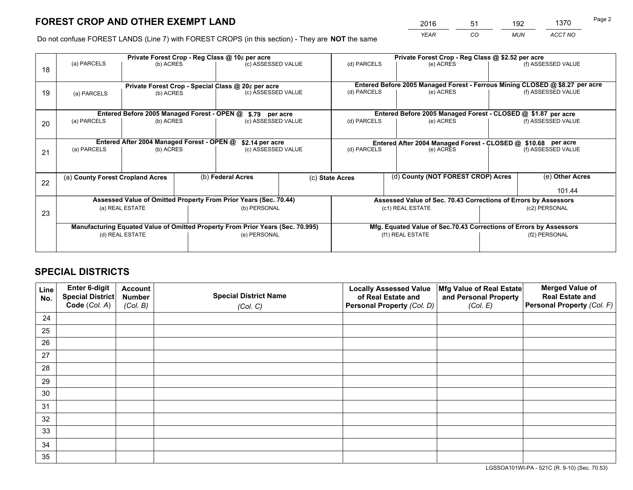*YEAR CO MUN ACCT NO* <sup>2016</sup> <sup>51</sup> <sup>192</sup> <sup>1370</sup>

Do not confuse FOREST LANDS (Line 7) with FOREST CROPS (in this section) - They are **NOT** the same

|    | Private Forest Crop - Reg Class @ 10¢ per acre                                 |                                             |                                   |                                                                  |  |                                                                    | Private Forest Crop - Reg Class @ \$2.52 per acre                            |               |                    |  |
|----|--------------------------------------------------------------------------------|---------------------------------------------|-----------------------------------|------------------------------------------------------------------|--|--------------------------------------------------------------------|------------------------------------------------------------------------------|---------------|--------------------|--|
| 18 | (a) PARCELS                                                                    | (b) ACRES                                   |                                   | (c) ASSESSED VALUE                                               |  | (d) PARCELS                                                        | (e) ACRES                                                                    |               | (f) ASSESSED VALUE |  |
|    |                                                                                |                                             |                                   | Private Forest Crop - Special Class @ 20¢ per acre               |  |                                                                    | Entered Before 2005 Managed Forest - Ferrous Mining CLOSED @ \$8.27 per acre |               |                    |  |
| 19 | (a) PARCELS                                                                    | (b) ACRES                                   |                                   | (c) ASSESSED VALUE                                               |  | (d) PARCELS                                                        | (e) ACRES                                                                    |               | (f) ASSESSED VALUE |  |
|    |                                                                                | Entered Before 2005 Managed Forest - OPEN @ |                                   | \$.79 per acre                                                   |  |                                                                    | Entered Before 2005 Managed Forest - CLOSED @ \$1.87 per acre                |               |                    |  |
| 20 | (a) PARCELS<br>(b) ACRES                                                       |                                             |                                   | (c) ASSESSED VALUE                                               |  | (d) PARCELS                                                        | (e) ACRES                                                                    |               | (f) ASSESSED VALUE |  |
|    | Entered After 2004 Managed Forest - OPEN @<br>\$2.14 per acre                  |                                             |                                   |                                                                  |  | Entered After 2004 Managed Forest - CLOSED @ \$10.68 per acre      |                                                                              |               |                    |  |
| 21 | (a) PARCELS                                                                    | (b) ACRES                                   |                                   | (c) ASSESSED VALUE                                               |  | (d) PARCELS                                                        | (e) ACRES                                                                    |               | (f) ASSESSED VALUE |  |
| 22 | (a) County Forest Cropland Acres                                               |                                             |                                   | (b) Federal Acres                                                |  | (d) County (NOT FOREST CROP) Acres<br>(c) State Acres              |                                                                              |               | (e) Other Acres    |  |
|    |                                                                                |                                             |                                   |                                                                  |  |                                                                    |                                                                              |               | 101.44             |  |
|    |                                                                                |                                             |                                   | Assessed Value of Omitted Property From Prior Years (Sec. 70.44) |  |                                                                    | Assessed Value of Sec. 70.43 Corrections of Errors by Assessors              |               |                    |  |
| 23 | (b) PERSONAL<br>(a) REAL ESTATE                                                |                                             | (c1) REAL ESTATE<br>(c2) PERSONAL |                                                                  |  |                                                                    |                                                                              |               |                    |  |
|    | Manufacturing Equated Value of Omitted Property From Prior Years (Sec. 70.995) |                                             |                                   |                                                                  |  | Mfg. Equated Value of Sec.70.43 Corrections of Errors by Assessors |                                                                              |               |                    |  |
|    | (d) REAL ESTATE                                                                |                                             | (e) PERSONAL                      |                                                                  |  | (f1) REAL ESTATE                                                   |                                                                              | (f2) PERSONAL |                    |  |
|    |                                                                                |                                             |                                   |                                                                  |  |                                                                    |                                                                              |               |                    |  |

## **SPECIAL DISTRICTS**

| Line<br>No. | Enter 6-digit<br>Special District<br>Code (Col. A) | <b>Account</b><br><b>Number</b> | <b>Special District Name</b> | <b>Locally Assessed Value</b><br>of Real Estate and | Mfg Value of Real Estate<br>and Personal Property | <b>Merged Value of</b><br><b>Real Estate and</b><br>Personal Property (Col. F) |
|-------------|----------------------------------------------------|---------------------------------|------------------------------|-----------------------------------------------------|---------------------------------------------------|--------------------------------------------------------------------------------|
|             |                                                    | (Col. B)                        | (Col. C)                     | Personal Property (Col. D)                          | (Col. E)                                          |                                                                                |
| 24          |                                                    |                                 |                              |                                                     |                                                   |                                                                                |
| 25          |                                                    |                                 |                              |                                                     |                                                   |                                                                                |
| 26          |                                                    |                                 |                              |                                                     |                                                   |                                                                                |
| 27          |                                                    |                                 |                              |                                                     |                                                   |                                                                                |
| 28          |                                                    |                                 |                              |                                                     |                                                   |                                                                                |
| 29          |                                                    |                                 |                              |                                                     |                                                   |                                                                                |
| 30          |                                                    |                                 |                              |                                                     |                                                   |                                                                                |
| 31          |                                                    |                                 |                              |                                                     |                                                   |                                                                                |
| 32          |                                                    |                                 |                              |                                                     |                                                   |                                                                                |
| 33          |                                                    |                                 |                              |                                                     |                                                   |                                                                                |
| 34          |                                                    |                                 |                              |                                                     |                                                   |                                                                                |
| 35          |                                                    |                                 |                              |                                                     |                                                   |                                                                                |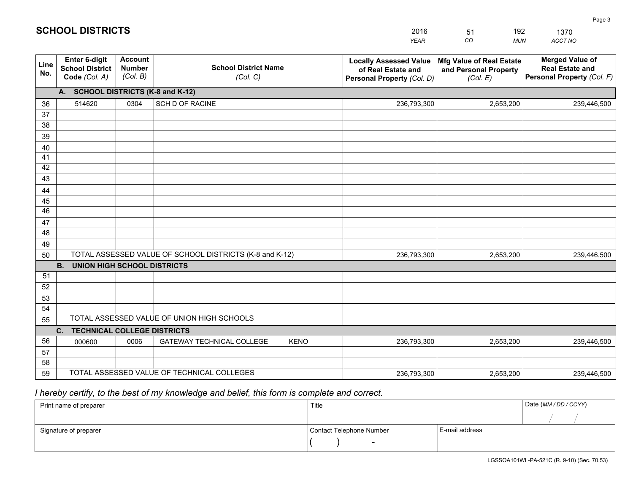|             |                                                                 |                                             |                                                         | <b>YEAR</b>                                                                       | CO<br><b>MUN</b>                                              | ACCT NO                                                                        |
|-------------|-----------------------------------------------------------------|---------------------------------------------|---------------------------------------------------------|-----------------------------------------------------------------------------------|---------------------------------------------------------------|--------------------------------------------------------------------------------|
| Line<br>No. | <b>Enter 6-digit</b><br><b>School District</b><br>Code (Col. A) | <b>Account</b><br><b>Number</b><br>(Col. B) | <b>School District Name</b><br>(Col. C)                 | <b>Locally Assessed Value</b><br>of Real Estate and<br>Personal Property (Col. D) | Mfg Value of Real Estate<br>and Personal Property<br>(Col. E) | <b>Merged Value of</b><br><b>Real Estate and</b><br>Personal Property (Col. F) |
|             | A. SCHOOL DISTRICTS (K-8 and K-12)                              |                                             |                                                         |                                                                                   |                                                               |                                                                                |
| 36          | 514620                                                          | 0304                                        | SCH D OF RACINE                                         | 236,793,300                                                                       | 2,653,200                                                     | 239,446,500                                                                    |
| 37          |                                                                 |                                             |                                                         |                                                                                   |                                                               |                                                                                |
| 38          |                                                                 |                                             |                                                         |                                                                                   |                                                               |                                                                                |
| 39          |                                                                 |                                             |                                                         |                                                                                   |                                                               |                                                                                |
| 40          |                                                                 |                                             |                                                         |                                                                                   |                                                               |                                                                                |
| 41          |                                                                 |                                             |                                                         |                                                                                   |                                                               |                                                                                |
| 42          |                                                                 |                                             |                                                         |                                                                                   |                                                               |                                                                                |
| 43          |                                                                 |                                             |                                                         |                                                                                   |                                                               |                                                                                |
| 44<br>45    |                                                                 |                                             |                                                         |                                                                                   |                                                               |                                                                                |
| 46          |                                                                 |                                             |                                                         |                                                                                   |                                                               |                                                                                |
| 47          |                                                                 |                                             |                                                         |                                                                                   |                                                               |                                                                                |
| 48          |                                                                 |                                             |                                                         |                                                                                   |                                                               |                                                                                |
| 49          |                                                                 |                                             |                                                         |                                                                                   |                                                               |                                                                                |
| 50          |                                                                 |                                             | TOTAL ASSESSED VALUE OF SCHOOL DISTRICTS (K-8 and K-12) | 236,793,300                                                                       | 2,653,200                                                     | 239,446,500                                                                    |
|             | <b>B. UNION HIGH SCHOOL DISTRICTS</b>                           |                                             |                                                         |                                                                                   |                                                               |                                                                                |
| 51          |                                                                 |                                             |                                                         |                                                                                   |                                                               |                                                                                |
| 52          |                                                                 |                                             |                                                         |                                                                                   |                                                               |                                                                                |
| 53          |                                                                 |                                             |                                                         |                                                                                   |                                                               |                                                                                |
| 54          |                                                                 |                                             |                                                         |                                                                                   |                                                               |                                                                                |
| 55          |                                                                 |                                             | TOTAL ASSESSED VALUE OF UNION HIGH SCHOOLS              |                                                                                   |                                                               |                                                                                |
|             | C.<br><b>TECHNICAL COLLEGE DISTRICTS</b>                        |                                             |                                                         |                                                                                   |                                                               |                                                                                |
| 56          | 000600                                                          | 0006                                        | <b>GATEWAY TECHNICAL COLLEGE</b><br><b>KENO</b>         | 236,793,300                                                                       | 2,653,200                                                     | 239,446,500                                                                    |
| 57          |                                                                 |                                             |                                                         |                                                                                   |                                                               |                                                                                |
| 58          |                                                                 |                                             |                                                         |                                                                                   |                                                               |                                                                                |
| 59          |                                                                 |                                             | TOTAL ASSESSED VALUE OF TECHNICAL COLLEGES              | 236,793,300                                                                       | 2,653,200                                                     | 239,446,500                                                                    |

51

192

 *I hereby certify, to the best of my knowledge and belief, this form is complete and correct.*

**SCHOOL DISTRICTS**

| Print name of preparer | Title                    |                | Date (MM / DD / CCYY) |
|------------------------|--------------------------|----------------|-----------------------|
|                        |                          |                |                       |
| Signature of preparer  | Contact Telephone Number | E-mail address |                       |
|                        | $\sim$                   |                |                       |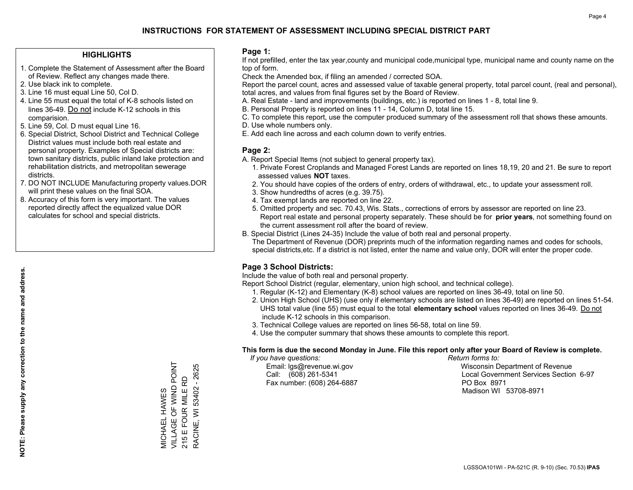## **HIGHLIGHTS**

- 1. Complete the Statement of Assessment after the Board of Review. Reflect any changes made there.
- 2. Use black ink to complete.
- 3. Line 16 must equal Line 50, Col D.
- 4. Line 55 must equal the total of K-8 schools listed on lines 36-49. Do not include K-12 schools in this comparision.
- 5. Line 59, Col. D must equal Line 16.
- 6. Special District, School District and Technical College District values must include both real estate and personal property. Examples of Special districts are: town sanitary districts, public inland lake protection and rehabilitation districts, and metropolitan sewerage districts.
- 7. DO NOT INCLUDE Manufacturing property values.DOR will print these values on the final SOA.

MICHAEL HAWES

**MICHAEL HAWES** 

VILLAGE OF WIND POINT 215 E FOUR MILE RD RACINE, WI 53402 - 2625

RACINE, WI 53402 - 2625 215 E FOUR MILE RD

VILLAGE OF WIND POINT

 8. Accuracy of this form is very important. The values reported directly affect the equalized value DOR calculates for school and special districts.

### **Page 1:**

 If not prefilled, enter the tax year,county and municipal code,municipal type, municipal name and county name on the top of form.

Check the Amended box, if filing an amended / corrected SOA.

 Report the parcel count, acres and assessed value of taxable general property, total parcel count, (real and personal), total acres, and values from final figures set by the Board of Review.

- A. Real Estate land and improvements (buildings, etc.) is reported on lines 1 8, total line 9.
- B. Personal Property is reported on lines 11 14, Column D, total line 15.
- C. To complete this report, use the computer produced summary of the assessment roll that shows these amounts.
- D. Use whole numbers only.
- E. Add each line across and each column down to verify entries.

### **Page 2:**

- A. Report Special Items (not subject to general property tax).
- 1. Private Forest Croplands and Managed Forest Lands are reported on lines 18,19, 20 and 21. Be sure to report assessed values **NOT** taxes.
- 2. You should have copies of the orders of entry, orders of withdrawal, etc., to update your assessment roll.
	- 3. Show hundredths of acres (e.g. 39.75).
- 4. Tax exempt lands are reported on line 22.
- 5. Omitted property and sec. 70.43, Wis. Stats., corrections of errors by assessor are reported on line 23. Report real estate and personal property separately. These should be for **prior years**, not something found on the current assessment roll after the board of review.
- B. Special District (Lines 24-35) Include the value of both real and personal property.
- The Department of Revenue (DOR) preprints much of the information regarding names and codes for schools, special districts,etc. If a district is not listed, enter the name and value only, DOR will enter the proper code.

## **Page 3 School Districts:**

Include the value of both real and personal property.

Report School District (regular, elementary, union high school, and technical college).

- 1. Regular (K-12) and Elementary (K-8) school values are reported on lines 36-49, total on line 50.
- 2. Union High School (UHS) (use only if elementary schools are listed on lines 36-49) are reported on lines 51-54. UHS total value (line 55) must equal to the total **elementary school** values reported on lines 36-49. Do notinclude K-12 schools in this comparison.
- 3. Technical College values are reported on lines 56-58, total on line 59.
- 4. Use the computer summary that shows these amounts to complete this report.

#### **This form is due the second Monday in June. File this report only after your Board of Review is complete.**

 *If you have questions: Return forms to:*

Fax number: (608) 264-6887 PO Box 8971

 Email: lgs@revenue.wi.gov Wisconsin Department of Revenue Call: (608) 261-5341 Local Government Services Section 6-97Madison WI 53708-8971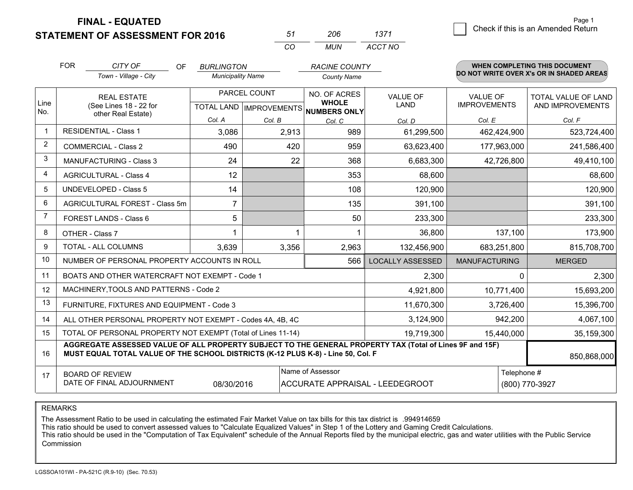**STATEMENT OF ASSESSMENT FOR 2016** 

| 57       | ノハト   | 13/1    |
|----------|-------|---------|
| $\cdots$ | MI IN | ACCT NO |

|                | <b>FOR</b>                                                                                                                                                                                   | CITY OF<br><b>OF</b><br>Town - Village - City                | <b>BURLINGTON</b><br><b>Municipality Name</b> |                           | <b>RACINE COUNTY</b><br><b>County Name</b> |                         |                      | <b>WHEN COMPLETING THIS DOCUMENT</b><br>DO NOT WRITE OVER X's OR IN SHADED AREAS |
|----------------|----------------------------------------------------------------------------------------------------------------------------------------------------------------------------------------------|--------------------------------------------------------------|-----------------------------------------------|---------------------------|--------------------------------------------|-------------------------|----------------------|----------------------------------------------------------------------------------|
|                |                                                                                                                                                                                              | PARCEL COUNT<br><b>REAL ESTATE</b>                           |                                               |                           | NO. OF ACRES                               | <b>VALUE OF</b>         | <b>VALUE OF</b>      | <b>TOTAL VALUE OF LAND</b>                                                       |
| Line<br>No.    |                                                                                                                                                                                              | (See Lines 18 - 22 for<br>other Real Estate)                 |                                               | TOTAL LAND   IMPROVEMENTS | <b>WHOLE</b><br>NUMBERS ONLY               | <b>LAND</b>             | <b>IMPROVEMENTS</b>  | AND IMPROVEMENTS                                                                 |
|                |                                                                                                                                                                                              |                                                              | Col. A                                        | Col. B                    | Col. C                                     | Col. D                  | Col. E               | Col. F                                                                           |
| -1             |                                                                                                                                                                                              | <b>RESIDENTIAL - Class 1</b>                                 | 3,086                                         | 2,913                     | 989                                        | 61,299,500              | 462,424,900          | 523,724,400                                                                      |
| 2              |                                                                                                                                                                                              | <b>COMMERCIAL - Class 2</b>                                  | 490                                           | 420                       | 959                                        | 63,623,400              | 177,963,000          | 241,586,400                                                                      |
| 3              |                                                                                                                                                                                              | <b>MANUFACTURING - Class 3</b>                               | 24                                            | 22                        | 368                                        | 6,683,300               | 42,726,800           | 49,410,100                                                                       |
| 4              |                                                                                                                                                                                              | <b>AGRICULTURAL - Class 4</b>                                | 12                                            |                           | 353                                        | 68,600                  |                      | 68,600                                                                           |
| 5              |                                                                                                                                                                                              | <b>UNDEVELOPED - Class 5</b>                                 | 14                                            |                           | 108                                        | 120,900                 |                      | 120,900                                                                          |
| 6              |                                                                                                                                                                                              | AGRICULTURAL FOREST - Class 5m                               | $\overline{7}$                                |                           | 135                                        | 391,100                 |                      | 391,100                                                                          |
| $\overline{7}$ |                                                                                                                                                                                              | FOREST LANDS - Class 6                                       | 5                                             |                           | 50                                         | 233,300                 |                      | 233,300                                                                          |
| 8              |                                                                                                                                                                                              | OTHER - Class 7                                              |                                               |                           |                                            | 36,800                  | 137,100              | 173,900                                                                          |
| 9              |                                                                                                                                                                                              | TOTAL - ALL COLUMNS                                          | 3,639                                         | 3,356                     | 2,963                                      | 132,456,900             | 683,251,800          | 815,708,700                                                                      |
| 10             |                                                                                                                                                                                              | NUMBER OF PERSONAL PROPERTY ACCOUNTS IN ROLL                 |                                               |                           | 566                                        | <b>LOCALLY ASSESSED</b> | <b>MANUFACTURING</b> | <b>MERGED</b>                                                                    |
| 11             |                                                                                                                                                                                              | BOATS AND OTHER WATERCRAFT NOT EXEMPT - Code 1               |                                               |                           |                                            | 2,300                   | <sup>0</sup>         | 2,300                                                                            |
| 12             |                                                                                                                                                                                              | MACHINERY, TOOLS AND PATTERNS - Code 2                       |                                               |                           |                                            | 4,921,800               | 10,771,400           | 15,693,200                                                                       |
| 13             |                                                                                                                                                                                              | FURNITURE, FIXTURES AND EQUIPMENT - Code 3                   |                                               |                           |                                            | 11,670,300              | 3,726,400            | 15,396,700                                                                       |
| 14             |                                                                                                                                                                                              | ALL OTHER PERSONAL PROPERTY NOT EXEMPT - Codes 4A, 4B, 4C    |                                               |                           |                                            | 3,124,900               | 942,200              | 4,067,100                                                                        |
| 15             |                                                                                                                                                                                              | TOTAL OF PERSONAL PROPERTY NOT EXEMPT (Total of Lines 11-14) |                                               |                           |                                            | 19,719,300              | 15,440,000           | 35,159,300                                                                       |
| 16             | AGGREGATE ASSESSED VALUE OF ALL PROPERTY SUBJECT TO THE GENERAL PROPERTY TAX (Total of Lines 9F and 15F)<br>MUST EQUAL TOTAL VALUE OF THE SCHOOL DISTRICTS (K-12 PLUS K-8) - Line 50, Col. F |                                                              |                                               |                           |                                            |                         | 850,868,000          |                                                                                  |
| 17             |                                                                                                                                                                                              | <b>BOARD OF REVIEW</b>                                       |                                               |                           | Name of Assessor                           |                         | Telephone #          |                                                                                  |
|                | DATE OF FINAL ADJOURNMENT<br>(800) 770-3927<br>08/30/2016<br>ACCURATE APPRAISAL - LEEDEGROOT                                                                                                 |                                                              |                                               |                           |                                            |                         |                      |                                                                                  |

REMARKS

The Assessment Ratio to be used in calculating the estimated Fair Market Value on tax bills for this tax district is .994914659<br>This ratio should be used to convert assessed values to "Calculate Equalized Values" in Step 1 Commission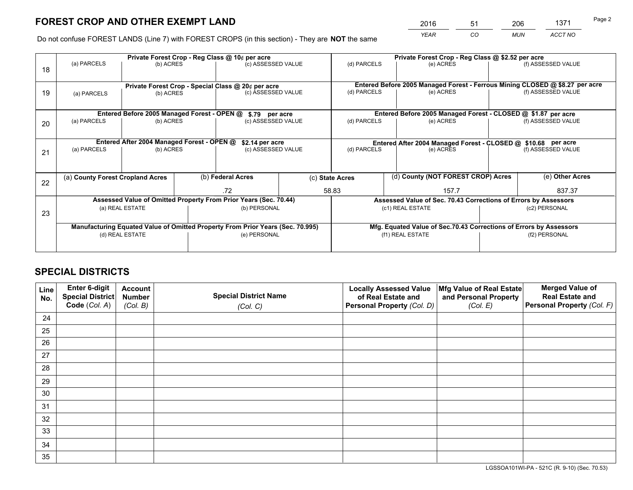*YEAR CO MUN ACCT NO* 2016 51 206 1371 51 Page 2

Do not confuse FOREST LANDS (Line 7) with FOREST CROPS (in this section) - They are **NOT** the same

|    | Private Forest Crop - Reg Class @ 10¢ per acre                                 |                                             |  |                                                                              |  | Private Forest Crop - Reg Class @ \$2.52 per acre                  |                                                                 |  |                    |  |
|----|--------------------------------------------------------------------------------|---------------------------------------------|--|------------------------------------------------------------------------------|--|--------------------------------------------------------------------|-----------------------------------------------------------------|--|--------------------|--|
| 18 | (a) PARCELS                                                                    | (b) ACRES                                   |  | (c) ASSESSED VALUE                                                           |  | (d) PARCELS                                                        | (e) ACRES                                                       |  | (f) ASSESSED VALUE |  |
|    |                                                                                |                                             |  |                                                                              |  |                                                                    |                                                                 |  |                    |  |
|    | Private Forest Crop - Special Class @ 20¢ per acre                             |                                             |  | Entered Before 2005 Managed Forest - Ferrous Mining CLOSED @ \$8.27 per acre |  |                                                                    |                                                                 |  |                    |  |
| 19 | (a) PARCELS                                                                    | (b) ACRES                                   |  | (c) ASSESSED VALUE                                                           |  | (d) PARCELS                                                        | (e) ACRES                                                       |  | (f) ASSESSED VALUE |  |
|    |                                                                                |                                             |  |                                                                              |  |                                                                    |                                                                 |  |                    |  |
|    |                                                                                | Entered Before 2005 Managed Forest - OPEN @ |  | \$.79 per acre                                                               |  |                                                                    | Entered Before 2005 Managed Forest - CLOSED @ \$1.87 per acre   |  |                    |  |
| 20 | (a) PARCELS                                                                    | (b) ACRES                                   |  | (c) ASSESSED VALUE                                                           |  | (d) PARCELS                                                        | (e) ACRES                                                       |  | (f) ASSESSED VALUE |  |
|    |                                                                                |                                             |  |                                                                              |  |                                                                    |                                                                 |  |                    |  |
|    | Entered After 2004 Managed Forest - OPEN @<br>\$2.14 per acre                  |                                             |  |                                                                              |  | Entered After 2004 Managed Forest - CLOSED @ \$10.68 per acre      |                                                                 |  |                    |  |
| 21 | (a) PARCELS                                                                    | (b) ACRES                                   |  | (c) ASSESSED VALUE                                                           |  | (d) PARCELS<br>(e) ACRES                                           |                                                                 |  | (f) ASSESSED VALUE |  |
|    |                                                                                |                                             |  |                                                                              |  |                                                                    |                                                                 |  |                    |  |
|    |                                                                                |                                             |  |                                                                              |  |                                                                    |                                                                 |  | (e) Other Acres    |  |
| 22 | (a) County Forest Cropland Acres                                               |                                             |  | (b) Federal Acres                                                            |  | (d) County (NOT FOREST CROP) Acres<br>(c) State Acres              |                                                                 |  |                    |  |
|    |                                                                                |                                             |  | .72                                                                          |  | 58.83<br>157.7                                                     |                                                                 |  | 837.37             |  |
|    |                                                                                |                                             |  | Assessed Value of Omitted Property From Prior Years (Sec. 70.44)             |  |                                                                    | Assessed Value of Sec. 70.43 Corrections of Errors by Assessors |  |                    |  |
| 23 |                                                                                | (a) REAL ESTATE                             |  | (b) PERSONAL                                                                 |  |                                                                    | (c1) REAL ESTATE                                                |  | (c2) PERSONAL      |  |
|    |                                                                                |                                             |  |                                                                              |  |                                                                    |                                                                 |  |                    |  |
|    | Manufacturing Equated Value of Omitted Property From Prior Years (Sec. 70.995) |                                             |  |                                                                              |  | Mfg. Equated Value of Sec.70.43 Corrections of Errors by Assessors |                                                                 |  |                    |  |
|    |                                                                                | (d) REAL ESTATE                             |  | (e) PERSONAL                                                                 |  |                                                                    | (f1) REAL ESTATE                                                |  | (f2) PERSONAL      |  |
|    |                                                                                |                                             |  |                                                                              |  |                                                                    |                                                                 |  |                    |  |

## **SPECIAL DISTRICTS**

| Line<br>No. | Enter 6-digit<br>Special District<br>Code (Col. A) | <b>Account</b><br><b>Number</b> | <b>Special District Name</b> | <b>Locally Assessed Value</b><br>of Real Estate and | Mfg Value of Real Estate<br>and Personal Property | <b>Merged Value of</b><br><b>Real Estate and</b><br>Personal Property (Col. F) |
|-------------|----------------------------------------------------|---------------------------------|------------------------------|-----------------------------------------------------|---------------------------------------------------|--------------------------------------------------------------------------------|
|             |                                                    | (Col. B)                        | (Col. C)                     | Personal Property (Col. D)                          | (Col. E)                                          |                                                                                |
| 24          |                                                    |                                 |                              |                                                     |                                                   |                                                                                |
| 25          |                                                    |                                 |                              |                                                     |                                                   |                                                                                |
| 26          |                                                    |                                 |                              |                                                     |                                                   |                                                                                |
| 27          |                                                    |                                 |                              |                                                     |                                                   |                                                                                |
| 28          |                                                    |                                 |                              |                                                     |                                                   |                                                                                |
| 29          |                                                    |                                 |                              |                                                     |                                                   |                                                                                |
| 30          |                                                    |                                 |                              |                                                     |                                                   |                                                                                |
| 31          |                                                    |                                 |                              |                                                     |                                                   |                                                                                |
| 32          |                                                    |                                 |                              |                                                     |                                                   |                                                                                |
| 33          |                                                    |                                 |                              |                                                     |                                                   |                                                                                |
| 34          |                                                    |                                 |                              |                                                     |                                                   |                                                                                |
| 35          |                                                    |                                 |                              |                                                     |                                                   |                                                                                |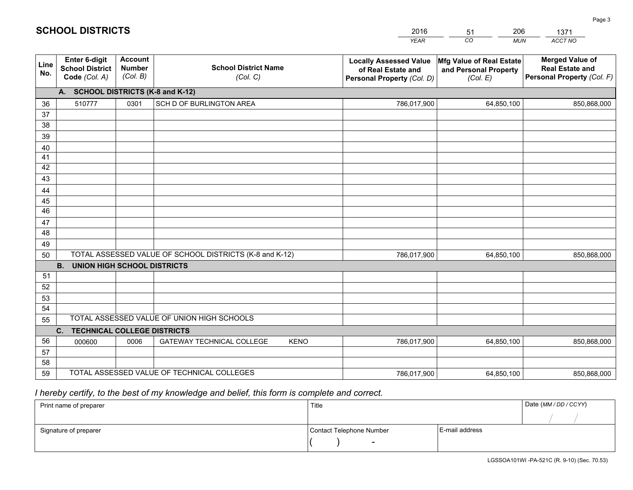|                       |                                                          |                                             |                                                         | <b>YEAR</b>                                                                       | CO<br><b>MUN</b>                                              | ACCT NO                                                                        |
|-----------------------|----------------------------------------------------------|---------------------------------------------|---------------------------------------------------------|-----------------------------------------------------------------------------------|---------------------------------------------------------------|--------------------------------------------------------------------------------|
| Line<br>No.           | Enter 6-digit<br><b>School District</b><br>Code (Col. A) | <b>Account</b><br><b>Number</b><br>(Col. B) | <b>School District Name</b><br>(Col. C)                 | <b>Locally Assessed Value</b><br>of Real Estate and<br>Personal Property (Col. D) | Mfg Value of Real Estate<br>and Personal Property<br>(Col. E) | <b>Merged Value of</b><br><b>Real Estate and</b><br>Personal Property (Col. F) |
|                       | A. SCHOOL DISTRICTS (K-8 and K-12)                       |                                             |                                                         |                                                                                   |                                                               |                                                                                |
| 36                    | 510777                                                   | 0301                                        | SCH D OF BURLINGTON AREA                                | 786,017,900                                                                       | 64,850,100                                                    | 850,868,000                                                                    |
| 37                    |                                                          |                                             |                                                         |                                                                                   |                                                               |                                                                                |
| 38                    |                                                          |                                             |                                                         |                                                                                   |                                                               |                                                                                |
| 39                    |                                                          |                                             |                                                         |                                                                                   |                                                               |                                                                                |
| 40                    |                                                          |                                             |                                                         |                                                                                   |                                                               |                                                                                |
| 41                    |                                                          |                                             |                                                         |                                                                                   |                                                               |                                                                                |
| 42                    |                                                          |                                             |                                                         |                                                                                   |                                                               |                                                                                |
| 43                    |                                                          |                                             |                                                         |                                                                                   |                                                               |                                                                                |
| 44                    |                                                          |                                             |                                                         |                                                                                   |                                                               |                                                                                |
| 45<br>$\overline{46}$ |                                                          |                                             |                                                         |                                                                                   |                                                               |                                                                                |
| 47                    |                                                          |                                             |                                                         |                                                                                   |                                                               |                                                                                |
| 48                    |                                                          |                                             |                                                         |                                                                                   |                                                               |                                                                                |
| 49                    |                                                          |                                             |                                                         |                                                                                   |                                                               |                                                                                |
| 50                    |                                                          |                                             | TOTAL ASSESSED VALUE OF SCHOOL DISTRICTS (K-8 and K-12) | 786,017,900                                                                       | 64,850,100                                                    | 850,868,000                                                                    |
|                       | <b>B.</b><br><b>UNION HIGH SCHOOL DISTRICTS</b>          |                                             |                                                         |                                                                                   |                                                               |                                                                                |
| 51                    |                                                          |                                             |                                                         |                                                                                   |                                                               |                                                                                |
| 52                    |                                                          |                                             |                                                         |                                                                                   |                                                               |                                                                                |
| 53                    |                                                          |                                             |                                                         |                                                                                   |                                                               |                                                                                |
| 54                    |                                                          |                                             |                                                         |                                                                                   |                                                               |                                                                                |
| 55                    |                                                          |                                             | TOTAL ASSESSED VALUE OF UNION HIGH SCHOOLS              |                                                                                   |                                                               |                                                                                |
|                       | C.<br><b>TECHNICAL COLLEGE DISTRICTS</b>                 |                                             |                                                         |                                                                                   |                                                               |                                                                                |
| 56                    | 000600                                                   | 0006                                        | <b>GATEWAY TECHNICAL COLLEGE</b><br><b>KENO</b>         | 786,017,900                                                                       | 64,850,100                                                    | 850,868,000                                                                    |
| 57                    |                                                          |                                             |                                                         |                                                                                   |                                                               |                                                                                |
| 58                    |                                                          |                                             |                                                         |                                                                                   |                                                               |                                                                                |
| 59                    |                                                          |                                             | TOTAL ASSESSED VALUE OF TECHNICAL COLLEGES              | 786,017,900                                                                       | 64,850,100                                                    | 850,868,000                                                                    |

51

206

 *I hereby certify, to the best of my knowledge and belief, this form is complete and correct.*

**SCHOOL DISTRICTS**

| Print name of preparer | Title                    |                | Date (MM / DD / CCYY) |
|------------------------|--------------------------|----------------|-----------------------|
|                        |                          |                |                       |
| Signature of preparer  | Contact Telephone Number | E-mail address |                       |
|                        | $\sim$                   |                |                       |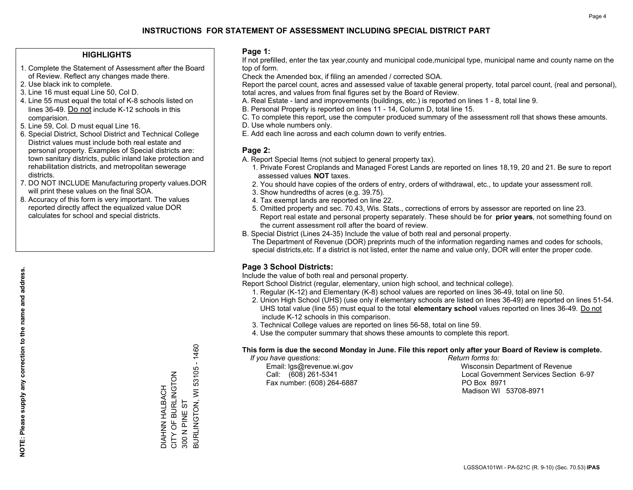## **HIGHLIGHTS**

- 1. Complete the Statement of Assessment after the Board of Review. Reflect any changes made there.
- 2. Use black ink to complete.
- 3. Line 16 must equal Line 50, Col D.
- 4. Line 55 must equal the total of K-8 schools listed on lines 36-49. Do not include K-12 schools in this comparision.
- 5. Line 59, Col. D must equal Line 16.
- 6. Special District, School District and Technical College District values must include both real estate and personal property. Examples of Special districts are: town sanitary districts, public inland lake protection and rehabilitation districts, and metropolitan sewerage districts.
- 7. DO NOT INCLUDE Manufacturing property values.DOR will print these values on the final SOA.

DIAHNN HALBACH CITY OF BURLINGTON

DIAHNN HALBACH<br>CITY OF BURLINGTON

300 N PINE ST

300 N PINE ST

BURLINGTON, WI 53105 - 1460

**BURLINGTON, WI 53105 - 1460** 

 8. Accuracy of this form is very important. The values reported directly affect the equalized value DOR calculates for school and special districts.

### **Page 1:**

 If not prefilled, enter the tax year,county and municipal code,municipal type, municipal name and county name on the top of form.

Check the Amended box, if filing an amended / corrected SOA.

 Report the parcel count, acres and assessed value of taxable general property, total parcel count, (real and personal), total acres, and values from final figures set by the Board of Review.

- A. Real Estate land and improvements (buildings, etc.) is reported on lines 1 8, total line 9.
- B. Personal Property is reported on lines 11 14, Column D, total line 15.
- C. To complete this report, use the computer produced summary of the assessment roll that shows these amounts.
- D. Use whole numbers only.
- E. Add each line across and each column down to verify entries.

### **Page 2:**

- A. Report Special Items (not subject to general property tax).
- 1. Private Forest Croplands and Managed Forest Lands are reported on lines 18,19, 20 and 21. Be sure to report assessed values **NOT** taxes.
- 2. You should have copies of the orders of entry, orders of withdrawal, etc., to update your assessment roll.
	- 3. Show hundredths of acres (e.g. 39.75).
- 4. Tax exempt lands are reported on line 22.
- 5. Omitted property and sec. 70.43, Wis. Stats., corrections of errors by assessor are reported on line 23. Report real estate and personal property separately. These should be for **prior years**, not something found on the current assessment roll after the board of review.
- B. Special District (Lines 24-35) Include the value of both real and personal property.

 The Department of Revenue (DOR) preprints much of the information regarding names and codes for schools, special districts,etc. If a district is not listed, enter the name and value only, DOR will enter the proper code.

## **Page 3 School Districts:**

Include the value of both real and personal property.

Report School District (regular, elementary, union high school, and technical college).

- 1. Regular (K-12) and Elementary (K-8) school values are reported on lines 36-49, total on line 50.
- 2. Union High School (UHS) (use only if elementary schools are listed on lines 36-49) are reported on lines 51-54. UHS total value (line 55) must equal to the total **elementary school** values reported on lines 36-49. Do notinclude K-12 schools in this comparison.
- 3. Technical College values are reported on lines 56-58, total on line 59.
- 4. Use the computer summary that shows these amounts to complete this report.

#### **This form is due the second Monday in June. File this report only after your Board of Review is complete.**

 *If you have questions: Return forms to:*

Fax number: (608) 264-6887 PO Box 8971

 Email: lgs@revenue.wi.gov Wisconsin Department of Revenue Call: (608) 261-5341 Local Government Services Section 6-97Madison WI 53708-8971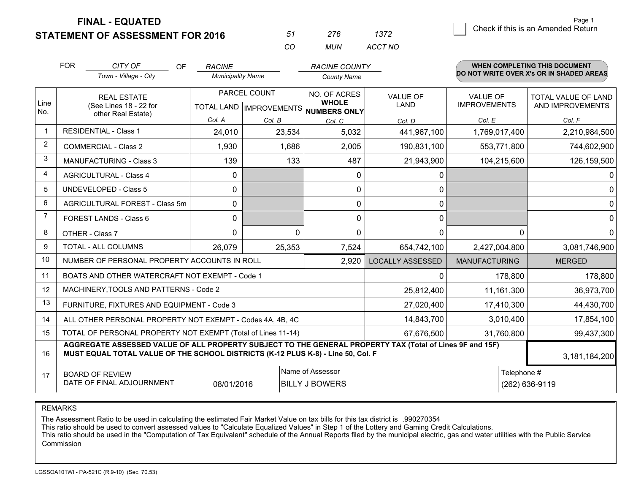**STATEMENT OF ASSESSMENT FOR 2016** 

| 51 | 276   | 1372    |
|----|-------|---------|
| rη | MI IN | ACCT NO |

|      | <b>FOR</b>                                                                                                                                                                                   | CITY OF<br><b>OF</b>                                | <b>RACINE</b>            |              | <b>RACINE COUNTY</b>                      |                         |                                        | <b>WHEN COMPLETING THIS DOCUMENT</b>           |
|------|----------------------------------------------------------------------------------------------------------------------------------------------------------------------------------------------|-----------------------------------------------------|--------------------------|--------------|-------------------------------------------|-------------------------|----------------------------------------|------------------------------------------------|
|      |                                                                                                                                                                                              | Town - Village - City                               | <b>Municipality Name</b> |              | <b>County Name</b>                        |                         |                                        | DO NOT WRITE OVER X's OR IN SHADED AREAS       |
| Line |                                                                                                                                                                                              | <b>REAL ESTATE</b><br>(See Lines 18 - 22 for        |                          | PARCEL COUNT | NO. OF ACRES<br><b>WHOLE</b>              | <b>VALUE OF</b><br>LAND | <b>VALUE OF</b><br><b>IMPROVEMENTS</b> | <b>TOTAL VALUE OF LAND</b><br>AND IMPROVEMENTS |
| No.  |                                                                                                                                                                                              | other Real Estate)                                  | Col. A                   | Col. B       | TOTAL LAND   IMPROVEMENTS   NUMBERS ONLY  |                         | Col. E                                 | Col. F                                         |
|      |                                                                                                                                                                                              | <b>RESIDENTIAL - Class 1</b>                        | 24,010                   | 23,534       | Col. C<br>5,032                           | Col. D<br>441,967,100   | 1,769,017,400                          | 2,210,984,500                                  |
| 2    |                                                                                                                                                                                              | <b>COMMERCIAL - Class 2</b>                         | 1,930                    | 1,686        | 2,005                                     | 190,831,100             | 553,771,800                            | 744,602,900                                    |
| 3    |                                                                                                                                                                                              | MANUFACTURING - Class 3                             | 139                      | 133          | 487                                       | 21,943,900              |                                        | 126,159,500                                    |
| 4    |                                                                                                                                                                                              |                                                     |                          |              |                                           |                         | 104,215,600                            |                                                |
|      |                                                                                                                                                                                              | <b>AGRICULTURAL - Class 4</b>                       | 0                        |              | $\Omega$                                  | 0                       |                                        | $\Omega$                                       |
| 5    |                                                                                                                                                                                              | <b>UNDEVELOPED - Class 5</b>                        | $\Omega$                 |              | 0                                         | 0                       |                                        | $\Omega$                                       |
| 6    |                                                                                                                                                                                              | AGRICULTURAL FOREST - Class 5m                      | 0                        |              | $\mathbf 0$                               | 0                       |                                        | 0                                              |
| 7    |                                                                                                                                                                                              | FOREST LANDS - Class 6                              | 0                        |              | $\Omega$                                  | 0                       |                                        | $\mathbf 0$                                    |
| 8    |                                                                                                                                                                                              | OTHER - Class 7                                     | $\Omega$                 | $\Omega$     | $\Omega$                                  | $\Omega$                |                                        | $\Omega$<br>0                                  |
| 9    | TOTAL - ALL COLUMNS                                                                                                                                                                          |                                                     | 26,079                   | 25,353       | 7,524                                     | 654,742,100             | 2,427,004,800                          | 3,081,746,900                                  |
| 10   | NUMBER OF PERSONAL PROPERTY ACCOUNTS IN ROLL<br>2,920                                                                                                                                        |                                                     |                          |              |                                           | <b>LOCALLY ASSESSED</b> | <b>MANUFACTURING</b>                   | <b>MERGED</b>                                  |
| 11   | BOATS AND OTHER WATERCRAFT NOT EXEMPT - Code 1                                                                                                                                               |                                                     |                          |              |                                           | 0                       | 178,800                                | 178,800                                        |
| 12   |                                                                                                                                                                                              | MACHINERY, TOOLS AND PATTERNS - Code 2              |                          |              |                                           | 25,812,400              | 11,161,300                             | 36,973,700                                     |
| 13   | FURNITURE, FIXTURES AND EQUIPMENT - Code 3                                                                                                                                                   |                                                     |                          |              |                                           | 27,020,400              | 17,410,300                             | 44,430,700                                     |
| 14   | 14,843,700<br>ALL OTHER PERSONAL PROPERTY NOT EXEMPT - Codes 4A, 4B, 4C                                                                                                                      |                                                     |                          |              |                                           |                         | 3,010,400                              | 17,854,100                                     |
| 15   | TOTAL OF PERSONAL PROPERTY NOT EXEMPT (Total of Lines 11-14)<br>67,676,500<br>31,760,800                                                                                                     |                                                     |                          |              |                                           |                         | 99,437,300                             |                                                |
| 16   | AGGREGATE ASSESSED VALUE OF ALL PROPERTY SUBJECT TO THE GENERAL PROPERTY TAX (Total of Lines 9F and 15F)<br>MUST EQUAL TOTAL VALUE OF THE SCHOOL DISTRICTS (K-12 PLUS K-8) - Line 50, Col. F |                                                     |                          |              |                                           | 3,181,184,200           |                                        |                                                |
| 17   |                                                                                                                                                                                              | <b>BOARD OF REVIEW</b><br>DATE OF FINAL ADJOURNMENT | 08/01/2016               |              | Name of Assessor<br><b>BILLY J BOWERS</b> |                         |                                        | Telephone #<br>(262) 636-9119                  |

REMARKS

The Assessment Ratio to be used in calculating the estimated Fair Market Value on tax bills for this tax district is .990270354<br>This ratio should be used to convert assessed values to "Calculate Equalized Values" in Step 1 Commission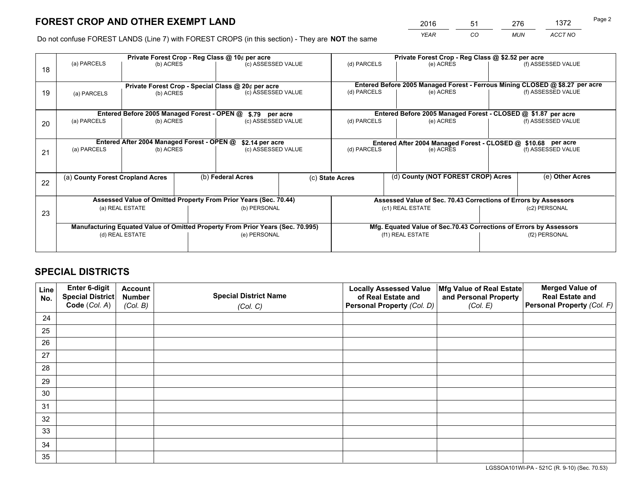*YEAR CO MUN ACCT NO* 2016 51 276 1372

Do not confuse FOREST LANDS (Line 7) with FOREST CROPS (in this section) - They are **NOT** the same

| Private Forest Crop - Reg Class @ 10¢ per acre |                                                                                |                                             |  |                                                    |  | Private Forest Crop - Reg Class @ \$2.52 per acre                  |                                                                              |                    |                    |  |
|------------------------------------------------|--------------------------------------------------------------------------------|---------------------------------------------|--|----------------------------------------------------|--|--------------------------------------------------------------------|------------------------------------------------------------------------------|--------------------|--------------------|--|
| 18                                             | (a) PARCELS                                                                    | (b) ACRES                                   |  | (c) ASSESSED VALUE                                 |  | (d) PARCELS                                                        | (e) ACRES                                                                    |                    | (f) ASSESSED VALUE |  |
|                                                |                                                                                |                                             |  | Private Forest Crop - Special Class @ 20¢ per acre |  |                                                                    | Entered Before 2005 Managed Forest - Ferrous Mining CLOSED @ \$8.27 per acre |                    |                    |  |
| 19                                             | (a) PARCELS                                                                    | (b) ACRES                                   |  | (c) ASSESSED VALUE                                 |  | (d) PARCELS                                                        | (e) ACRES                                                                    |                    | (f) ASSESSED VALUE |  |
|                                                |                                                                                | Entered Before 2005 Managed Forest - OPEN @ |  |                                                    |  |                                                                    | Entered Before 2005 Managed Forest - CLOSED @ \$1.87 per acre                |                    |                    |  |
| 20                                             | (a) PARCELS<br>(b) ACRES                                                       |                                             |  | \$.79 per acre<br>(c) ASSESSED VALUE               |  | (d) PARCELS<br>(e) ACRES                                           |                                                                              | (f) ASSESSED VALUE |                    |  |
|                                                |                                                                                | Entered After 2004 Managed Forest - OPEN @  |  | \$2.14 per acre                                    |  | Entered After 2004 Managed Forest - CLOSED @ \$10.68 per acre      |                                                                              |                    |                    |  |
| 21                                             | (a) PARCELS<br>(b) ACRES                                                       |                                             |  | (c) ASSESSED VALUE                                 |  | (d) PARCELS<br>(e) ACRES                                           |                                                                              | (f) ASSESSED VALUE |                    |  |
|                                                | (a) County Forest Cropland Acres                                               |                                             |  | (b) Federal Acres                                  |  | (d) County (NOT FOREST CROP) Acres<br>(c) State Acres              |                                                                              |                    | (e) Other Acres    |  |
| 22                                             |                                                                                |                                             |  |                                                    |  |                                                                    |                                                                              |                    |                    |  |
|                                                | Assessed Value of Omitted Property From Prior Years (Sec. 70.44)               |                                             |  |                                                    |  |                                                                    | Assessed Value of Sec. 70.43 Corrections of Errors by Assessors              |                    |                    |  |
| 23                                             | (b) PERSONAL<br>(a) REAL ESTATE                                                |                                             |  | (c1) REAL ESTATE<br>(c2) PERSONAL                  |  |                                                                    |                                                                              |                    |                    |  |
|                                                | Manufacturing Equated Value of Omitted Property From Prior Years (Sec. 70.995) |                                             |  |                                                    |  | Mfg. Equated Value of Sec.70.43 Corrections of Errors by Assessors |                                                                              |                    |                    |  |
|                                                | (d) REAL ESTATE                                                                |                                             |  | (e) PERSONAL                                       |  | (f1) REAL ESTATE                                                   |                                                                              |                    | (f2) PERSONAL      |  |
|                                                |                                                                                |                                             |  |                                                    |  |                                                                    |                                                                              |                    |                    |  |

## **SPECIAL DISTRICTS**

| Line<br>No. | Enter 6-digit<br>Special District<br>Code (Col. A) | <b>Account</b><br><b>Number</b> | <b>Special District Name</b> | <b>Locally Assessed Value</b><br>of Real Estate and | Mfg Value of Real Estate<br>and Personal Property | <b>Merged Value of</b><br><b>Real Estate and</b><br>Personal Property (Col. F) |
|-------------|----------------------------------------------------|---------------------------------|------------------------------|-----------------------------------------------------|---------------------------------------------------|--------------------------------------------------------------------------------|
|             |                                                    | (Col. B)                        | (Col. C)                     | Personal Property (Col. D)                          | (Col. E)                                          |                                                                                |
| 24          |                                                    |                                 |                              |                                                     |                                                   |                                                                                |
| 25          |                                                    |                                 |                              |                                                     |                                                   |                                                                                |
| 26          |                                                    |                                 |                              |                                                     |                                                   |                                                                                |
| 27          |                                                    |                                 |                              |                                                     |                                                   |                                                                                |
| 28          |                                                    |                                 |                              |                                                     |                                                   |                                                                                |
| 29          |                                                    |                                 |                              |                                                     |                                                   |                                                                                |
| 30          |                                                    |                                 |                              |                                                     |                                                   |                                                                                |
| 31          |                                                    |                                 |                              |                                                     |                                                   |                                                                                |
| 32          |                                                    |                                 |                              |                                                     |                                                   |                                                                                |
| 33          |                                                    |                                 |                              |                                                     |                                                   |                                                                                |
| 34          |                                                    |                                 |                              |                                                     |                                                   |                                                                                |
| 35          |                                                    |                                 |                              |                                                     |                                                   |                                                                                |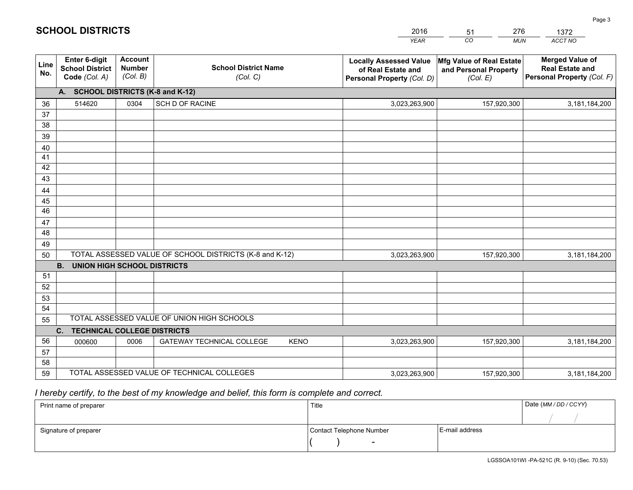|             |                                                                 |                                             |                                                         | <b>YEAR</b>                                                                       | CO<br><b>MUN</b>                                              | ACCT NO                                                                        |  |  |  |  |
|-------------|-----------------------------------------------------------------|---------------------------------------------|---------------------------------------------------------|-----------------------------------------------------------------------------------|---------------------------------------------------------------|--------------------------------------------------------------------------------|--|--|--|--|
| Line<br>No. | <b>Enter 6-digit</b><br><b>School District</b><br>Code (Col. A) | <b>Account</b><br><b>Number</b><br>(Col. B) | <b>School District Name</b><br>(Col. C)                 | <b>Locally Assessed Value</b><br>of Real Estate and<br>Personal Property (Col. D) | Mfg Value of Real Estate<br>and Personal Property<br>(Col. E) | <b>Merged Value of</b><br><b>Real Estate and</b><br>Personal Property (Col. F) |  |  |  |  |
|             | A. SCHOOL DISTRICTS (K-8 and K-12)                              |                                             |                                                         |                                                                                   |                                                               |                                                                                |  |  |  |  |
| 36          | 514620                                                          | 0304                                        | <b>SCH D OF RACINE</b>                                  | 3,023,263,900                                                                     | 157,920,300                                                   | 3,181,184,200                                                                  |  |  |  |  |
| 37          |                                                                 |                                             |                                                         |                                                                                   |                                                               |                                                                                |  |  |  |  |
| 38          |                                                                 |                                             |                                                         |                                                                                   |                                                               |                                                                                |  |  |  |  |
| 39          |                                                                 |                                             |                                                         |                                                                                   |                                                               |                                                                                |  |  |  |  |
| 40          |                                                                 |                                             |                                                         |                                                                                   |                                                               |                                                                                |  |  |  |  |
| 41<br>42    |                                                                 |                                             |                                                         |                                                                                   |                                                               |                                                                                |  |  |  |  |
| 43          |                                                                 |                                             |                                                         |                                                                                   |                                                               |                                                                                |  |  |  |  |
| 44          |                                                                 |                                             |                                                         |                                                                                   |                                                               |                                                                                |  |  |  |  |
| 45          |                                                                 |                                             |                                                         |                                                                                   |                                                               |                                                                                |  |  |  |  |
| 46          |                                                                 |                                             |                                                         |                                                                                   |                                                               |                                                                                |  |  |  |  |
| 47          |                                                                 |                                             |                                                         |                                                                                   |                                                               |                                                                                |  |  |  |  |
| 48          |                                                                 |                                             |                                                         |                                                                                   |                                                               |                                                                                |  |  |  |  |
| 49          |                                                                 |                                             |                                                         |                                                                                   |                                                               |                                                                                |  |  |  |  |
| 50          |                                                                 |                                             | TOTAL ASSESSED VALUE OF SCHOOL DISTRICTS (K-8 and K-12) | 3,023,263,900                                                                     | 157,920,300                                                   | 3,181,184,200                                                                  |  |  |  |  |
|             | <b>B. UNION HIGH SCHOOL DISTRICTS</b>                           |                                             |                                                         |                                                                                   |                                                               |                                                                                |  |  |  |  |
| 51<br>52    |                                                                 |                                             |                                                         |                                                                                   |                                                               |                                                                                |  |  |  |  |
| 53          |                                                                 |                                             |                                                         |                                                                                   |                                                               |                                                                                |  |  |  |  |
| 54          |                                                                 |                                             |                                                         |                                                                                   |                                                               |                                                                                |  |  |  |  |
| 55          |                                                                 |                                             | TOTAL ASSESSED VALUE OF UNION HIGH SCHOOLS              |                                                                                   |                                                               |                                                                                |  |  |  |  |
|             | C.<br><b>TECHNICAL COLLEGE DISTRICTS</b>                        |                                             |                                                         |                                                                                   |                                                               |                                                                                |  |  |  |  |
| 56          | 000600                                                          | 0006                                        | <b>GATEWAY TECHNICAL COLLEGE</b><br><b>KENO</b>         | 3,023,263,900                                                                     | 157,920,300                                                   | 3,181,184,200                                                                  |  |  |  |  |
| 57          |                                                                 |                                             |                                                         |                                                                                   |                                                               |                                                                                |  |  |  |  |
| 58          |                                                                 |                                             |                                                         |                                                                                   |                                                               |                                                                                |  |  |  |  |
| 59          |                                                                 |                                             | TOTAL ASSESSED VALUE OF TECHNICAL COLLEGES              | 3,023,263,900                                                                     | 157,920,300                                                   | 3,181,184,200                                                                  |  |  |  |  |

51

276

 *I hereby certify, to the best of my knowledge and belief, this form is complete and correct.*

**SCHOOL DISTRICTS**

| Print name of preparer | Title                    |                | Date (MM / DD / CCYY) |
|------------------------|--------------------------|----------------|-----------------------|
|                        |                          |                |                       |
| Signature of preparer  | Contact Telephone Number | E-mail address |                       |
|                        | $\sim$                   |                |                       |